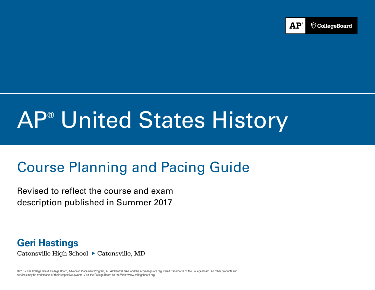

# AP**®** United States History

# Course Planning and Pacing Guide

Revised to reflect the course and exam description published in Summer 2017

**Geri Hastings** Catonsville High School ▶ Catonsville, MD

© 2017 The College Board. College Board, Advanced Placement Program, AP, AP Central, SAT, and the acorn logo are registered trademarks of the College Board. All other products and services may be trademarks of their respective owners. Visit the College Board on the Web: [www.collegeboard.org.](www.collegeboard.org)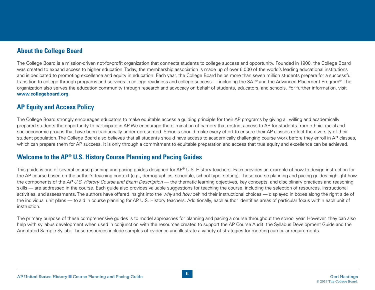### **About the College Board**

The College Board is a mission-driven not-for-profit organization that connects students to college success and opportunity. Founded in 1900, the College Board was created to expand access to higher education. Today, the membership association is made up of over 6,000 of the world's leading educational institutions and is dedicated to promoting excellence and equity in education. Each year, the College Board helps more than seven million students prepare for a successful transition to college through programs and services in college readiness and college success — including the SAT® and the Advanced Placement Program®. The organization also serves the education community through research and advocacy on behalf of students, educators, and schools. For further information, visit **www.collegeboard.org**.

# **AP Equity and Access Policy**

The College Board strongly encourages educators to make equitable access a guiding principle for their AP programs by giving all willing and academically prepared students the opportunity to participate in AP. We encourage the elimination of barriers that restrict access to AP for students from ethnic, racial and socioeconomic groups that have been traditionally underrepresented. Schools should make every effort to ensure their AP classes reflect the diversity of their student population. The College Board also believes that all students should have access to academically challenging course work before they enroll in AP classes, which can prepare them for AP success. It is only through a commitment to equitable preparation and access that true equity and excellence can be achieved.

# **Welcome to the AP® U.S. History Course Planning and Pacing Guides**

This guide is one of several course planning and pacing guides designed for AP® U.S. History teachers. Each provides an example of how to design instruction for the AP course based on the author's teaching context (e.g., demographics, schedule, school type, setting). These course planning and pacing guides highlight how the components of the *AP U.S. History Course and Exam Description* — the thematic learning objectives, key concepts, and disciplinary practices and reasoning skills — are addressed in the course. Each guide also provides valuable suggestions for teaching the course, including the selection of resources, instructional activities, and assessments. The authors have offered insight into the *why* and *how* behind their instructional choices — displayed in boxes along the right side of the individual unit plans — to aid in course planning for AP U.S. History teachers. Additionally, each author identifies areas of particular focus within each unit of instruction.

The primary purpose of these comprehensive guides is to model approaches for planning and pacing a course throughout the school year. However, they can also help with syllabus development when used in conjunction with the resources created to support the AP Course Audit: the Syllabus Development Guide and the Annotated Sample Syllabi. These resources include samples of evidence and illustrate a variety of strategies for meeting curricular requirements.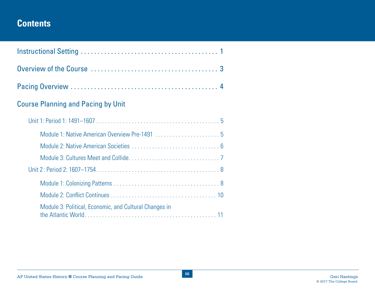# **Contents**

| <b>Course Planning and Pacing by Unit</b>              |
|--------------------------------------------------------|
|                                                        |
|                                                        |
|                                                        |
|                                                        |
|                                                        |
|                                                        |
|                                                        |
| Module 3: Political, Economic, and Cultural Changes in |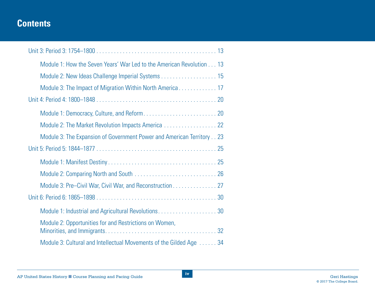# **Contents**

| Module 1: How the Seven Years' War Led to the American Revolution 13  |
|-----------------------------------------------------------------------|
| Module 2: New Ideas Challenge Imperial Systems 15                     |
|                                                                       |
|                                                                       |
|                                                                       |
| Module 2: The Market Revolution Impacts America 22                    |
| Module 3: The Expansion of Government Power and American Territory 23 |
|                                                                       |
|                                                                       |
|                                                                       |
| Module 3: Pre-Civil War, Civil War, and Reconstruction 27             |
|                                                                       |
| Module 1: Industrial and Agricultural Revolutions30                   |
| Module 2: Opportunities for and Restrictions on Women,                |
| Module 3: Cultural and Intellectual Movements of the Gilded Age 34    |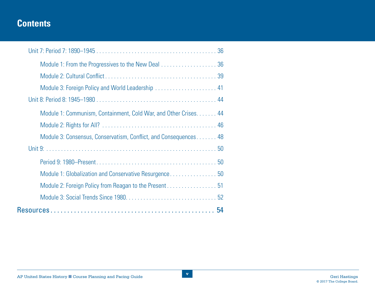# **Contents**

| Module 1: From the Progressives to the New Deal 36               |
|------------------------------------------------------------------|
|                                                                  |
| Module 3: Foreign Policy and World Leadership  41                |
|                                                                  |
| Module 1: Communism, Containment, Cold War, and Other Crises. 44 |
|                                                                  |
| Module 3: Consensus, Conservatism, Conflict, and Consequences 48 |
|                                                                  |
|                                                                  |
| Module 1: Globalization and Conservative Resurgence 50           |
|                                                                  |
|                                                                  |
|                                                                  |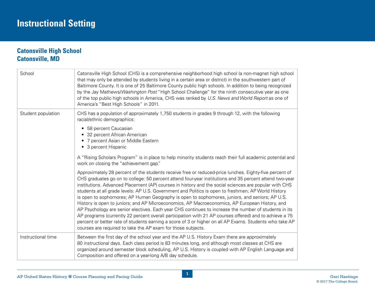# <span id="page-5-0"></span>**Catonsville High School Catonsville, MD**

| School             | Catonsville High School (CHS) is a comprehensive neighborhood high school (a non-magnet high school<br>that may only be attended by students living in a certain area or district) in the southwestern part of<br>Baltimore County. It is one of 25 Baltimore County public high schools. In addition to being recognized<br>by the Jay Mathews/Washington Post "High School Challenge" for the ninth consecutive year as one<br>of the top public high schools in America, CHS was ranked by U.S. News and World Report as one of<br>America's "Best High Schools" in 2011.                                                                                                                                                                                                                                                                                                                                                                                                                                                         |
|--------------------|--------------------------------------------------------------------------------------------------------------------------------------------------------------------------------------------------------------------------------------------------------------------------------------------------------------------------------------------------------------------------------------------------------------------------------------------------------------------------------------------------------------------------------------------------------------------------------------------------------------------------------------------------------------------------------------------------------------------------------------------------------------------------------------------------------------------------------------------------------------------------------------------------------------------------------------------------------------------------------------------------------------------------------------|
| Student population | CHS has a population of approximately 1,750 students in grades 9 through 12, with the following<br>racial/ethnic demographics:<br>• 58 percent Caucasian<br>• 32 percent African American<br>• 7 percent Asian or Middle Eastern<br>• 3 percent Hispanic<br>A "Rising Scholars Program" is in place to help minority students reach their full academic potential and<br>work on closing the "achievement gap."                                                                                                                                                                                                                                                                                                                                                                                                                                                                                                                                                                                                                      |
|                    | Approximately 28 percent of the students receive free or reduced-price lunches. Eighty-five percent of<br>CHS graduates go on to college: 50 percent attend four-year institutions and 35 percent attend two-year<br>institutions. Advanced Placement (AP) courses in history and the social sciences are popular with CHS<br>students at all grade levels: AP U.S. Government and Politics is open to freshmen; AP World History<br>is open to sophomores; AP Human Geography is open to sophomores, juniors, and seniors; AP U.S.<br>History is open to juniors; and AP Microeconomics, AP Macroeconomics, AP European History, and<br>AP Psychology are senior electives. Each year CHS continues to increase the number of students in its<br>AP programs (currently 22 percent overall participation with 21 AP courses offered) and to achieve a 75<br>percent or better rate of students earning a score of 3 or higher on all AP Exams. Students who take AP<br>courses are required to take the AP exam for those subjects. |
| Instructional time | Between the first day of the school year and the AP U.S. History Exam there are approximately<br>80 instructional days. Each class period is 83 minutes long, and although most classes at CHS are<br>organized around semester block scheduling, AP U.S. History is coupled with AP English Language and<br>Composition and offered on a year-long A/B day schedule.                                                                                                                                                                                                                                                                                                                                                                                                                                                                                                                                                                                                                                                                |

**1**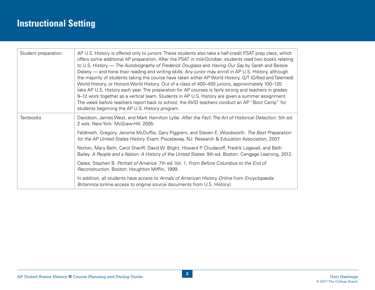# **Instructional Setting**

| Student preparation | AP U.S. History is offered only to juniors. These students also take a half-credit PSAT prep class, which<br>offers some additional AP preparation. After the PSAT in mid-October, students read two books relating<br>to U.S. History — The Autobiography of Frederick Douglass and Having Our Say by Sarah and Bessie<br>Delany — and hone their reading and writing skills. Any junior may enroll in AP U.S. History, although<br>the majority of students taking the course have taken either AP World History, G/T (Gifted and Talented)<br>World History, or Honors World History. Out of a class of 400–450 juniors, approximately 100–120<br>take AP U.S. History each year. The preparation for AP courses is fairly strong and teachers in grades<br>9-12 work together as a vertical team. Students in AP U.S. History are given a summer assignment.<br>The week before teachers report back to school, the AVID teachers conduct an AP "Boot Camp" for<br>students beginning the AP U.S. History program. |
|---------------------|------------------------------------------------------------------------------------------------------------------------------------------------------------------------------------------------------------------------------------------------------------------------------------------------------------------------------------------------------------------------------------------------------------------------------------------------------------------------------------------------------------------------------------------------------------------------------------------------------------------------------------------------------------------------------------------------------------------------------------------------------------------------------------------------------------------------------------------------------------------------------------------------------------------------------------------------------------------------------------------------------------------------|
| <b>Textbooks</b>    | Davidson, James West, and Mark Hamilton Lytle. After the Fact: The Art of Historical Detection. 5th ed.<br>2 vols. New York: McGraw-Hill, 2005.                                                                                                                                                                                                                                                                                                                                                                                                                                                                                                                                                                                                                                                                                                                                                                                                                                                                        |
|                     | Feldmeth, Gregory, Jerome McDuffie, Gary Piggrem, and Steven E. Woodworth. The Best Preparation<br>for the AP United States History Exam. Piscataway, NJ: Research & Education Association, 2007.                                                                                                                                                                                                                                                                                                                                                                                                                                                                                                                                                                                                                                                                                                                                                                                                                      |
|                     | Norton, Mary Beth, Carol Sheriff, David W. Blight, Howard P. Chudacoff, Fredrik Logevall, and Beth<br>Bailey. A People and a Nation: A History of the United States. 9th ed. Boston: Cengage Learning, 2012.                                                                                                                                                                                                                                                                                                                                                                                                                                                                                                                                                                                                                                                                                                                                                                                                           |
|                     | Oates, Stephen B. Portrait of America. 7th ed. Vol. 1, From Before Columbus to the End of<br>Reconstruction. Boston: Houghton Mifflin, 1999.                                                                                                                                                                                                                                                                                                                                                                                                                                                                                                                                                                                                                                                                                                                                                                                                                                                                           |
|                     | In addition, all students have access to Annals of American History Online from Encyclopædia<br>Britannica (online access to original source documents from U.S. History).                                                                                                                                                                                                                                                                                                                                                                                                                                                                                                                                                                                                                                                                                                                                                                                                                                             |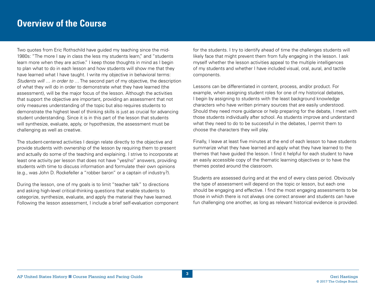# <span id="page-7-0"></span>**Overview of the Course**

Two quotes from Eric Rothschild have guided my teaching since the mid-1980s: "The more I say in class the less my students learn," and "students learn more when they are active." I keep those thoughts in mind as I begin to plan what to do in each lesson and how students will show me that they have learned what I have taught. I write my objective in behavioral terms: *Students will … in order to …* The second part of my objective, the description of what they will do in order to demonstrate what they have learned (the assessment), will be the major focus of the lesson. Although the activities that support the objective are important, providing an assessment that not only measures understanding of the topic but also requires students to demonstrate the highest level of thinking skills is just as crucial for advancing student understanding. Since it is in this part of the lesson that students will synthesize, evaluate, apply, or hypothesize, the assessment must be challenging as well as creative.

The student-centered activities I design relate directly to the objective and provide students with ownership of the lesson by requiring them to present and actually do some of the teaching and explaining. I strive to incorporate at least one activity per lesson that does not have "yes/no" answers, providing students with time to discuss information and formulate their own opinions (e.g., was John D. Rockefeller a "robber baron" or a captain of industry?).

During the lesson, one of my goals is to limit "teacher talk" to directions and asking high-level critical-thinking questions that enable students to categorize, synthesize, evaluate, and apply the material they have learned. Following the lesson assessment, I include a brief self-evaluation component

for the students. I try to identify ahead of time the challenges students will likely face that might prevent them from fully engaging in the lesson. I ask myself whether the lesson activities appeal to the multiple intelligences of my students and whether I have included visual, oral, aural, and tactile components.

Lessons can be differentiated in content, process, and/or product. For example, when assigning student roles for one of my historical debates, I begin by assigning to students with the least background knowledge characters who have written primary sources that are easily understood. Should they need more guidance or help preparing for the debate, I meet with those students individually after school. As students improve and understand what they need to do to be successful in the debates, I permit them to choose the characters they will play.

Finally, I leave at least five minutes at the end of each lesson to have students summarize what they have learned and apply what they have learned to the themes that have guided the lesson. I find it helpful for each student to have an easily accessible copy of the thematic learning objectives or to have the themes posted around the classroom.

Students are assessed during and at the end of every class period. Obviously the type of assessment will depend on the topic or lesson, but each one should be engaging and effective. I find the most engaging assessments to be those in which there is not always one correct answer and students can have fun challenging one another, as long as relevant historical evidence is provided.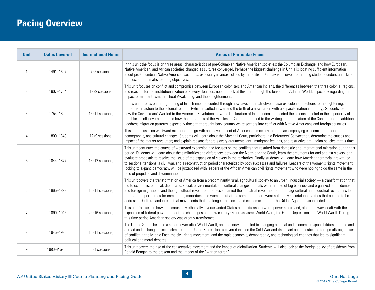# <span id="page-8-0"></span>**Pacing Overview**

| <b>Unit</b>    | <b>Dates Covered</b> | <b>Instructional Hours</b> | <b>Areas of Particular Focus</b>                                                                                                                                                                                                                                                                                                                                                                                                                                                                                                                                                                                                                                                                                                                                                                                               |
|----------------|----------------------|----------------------------|--------------------------------------------------------------------------------------------------------------------------------------------------------------------------------------------------------------------------------------------------------------------------------------------------------------------------------------------------------------------------------------------------------------------------------------------------------------------------------------------------------------------------------------------------------------------------------------------------------------------------------------------------------------------------------------------------------------------------------------------------------------------------------------------------------------------------------|
|                | 1491-1607            | 7 (5 sessions)             | In this unit the focus is on three areas: characteristics of pre-Columbian Native American societies; the Columbian Exchange; and how European,<br>Native American, and African societies changed as cultures converged. Perhaps the biggest challenge in Unit 1 is locating sufficient information<br>about pre-Columbian Native American societies, especially in areas settled by the British. One day is reserved for helping students understand skills,<br>themes, and thematic learning objectives.                                                                                                                                                                                                                                                                                                                     |
| 2              | 1607-1754            | 13 (9 sessions)            | This unit focuses on conflict and compromise between European colonizers and American Indians, the differences between the three colonial regions,<br>and reasons for the institutionalization of slavery. Teachers need to look at this unit through the lens of the Atlantic World, especially regarding the<br>impact of mercantilism, the Great Awakening, and the Enlightenment.                                                                                                                                                                                                                                                                                                                                                                                                                                          |
| 3              | 1754-1800            | 15 (11 sessions)           | In this unit I focus on the tightening of British imperial control through new laws and restrictive measures, colonial reactions to this tightening, and<br>the British reaction to the colonial reaction (which resulted in war and the birth of a new nation with a separate national identity). Students learn<br>how the Seven Years' War led to the American Revolution, how the Declaration of Independence reflected the colonists' belief in the superiority of<br>republican self-government, and how the limitations of the Articles of Confederation led to the writing and ratification of the Constitution. In addition,<br>I address migration patterns, especially those that brought back-country white settlers into conflict with Native Americans and foreign countries.                                    |
| 4              | 1800-1848            | 12 (9 sessions)            | This unit focuses on westward migration; the growth and development of American democracy; and the accompanying economic, territorial,<br>demographic, and cultural changes. Students will learn about the Marshall Court; participate in a Reformers' Convocation; determine the causes and<br>impact of the market revolution; and explain reasons for pro-slavery arguments, anti-immigrant feelings, and restrictive anti-Indian policies at this time.                                                                                                                                                                                                                                                                                                                                                                    |
| 5              | 1844-1877            | 16 (12 sessions)           | This unit continues the course of westward expansion and focuses on the conflicts that resulted from domestic and international migration during this<br>period. Students will learn about the similarities and differences between the North and the South, learn the arguments for and against slavery, and<br>evaluate proposals to resolve the issue of the expansion of slavery in the territories. Finally students will learn how American territorial growth led<br>to sectional tensions, a civil war, and a reconstruction period characterized by both successes and failures. Leaders of the women's rights movement,<br>looking to expand democracy, will be juxtaposed with leaders of the African American civil rights movement who were hoping to do the same in the<br>face of prejudice and discrimination. |
| 6              | 1865-1898            | 15 (11 sessions)           | This unit covers the transformation of America from a predominantly rural, agricultural society to an urban, industrial society — a transformation that<br>led to economic, political, diplomatic, social, environmental, and cultural changes. It deals with the rise of big business and organized labor, domestic<br>and foreign migrations, and the agricultural revolution that accompanied the industrial revolution. Both the agricultural and industrial revolutions led<br>to greater opportunities for immigrants, minorities, and women, but at the same time there were still many societal inequalities that needed to be<br>addressed. Cultural and intellectual movements that challenged the social and economic order of the Gilded Age are also included.                                                    |
| $\overline{7}$ | 1890-1945            | 22 (16 sessions)           | This unit focuses on how an increasingly ethnically diverse United States began its rise to world power status and, along the way, dealt with the<br>expansion of federal power to meet the challenges of a new century (Progressivism), World War I, the Great Depression, and World War II. During<br>this time period American society was greatly transformed.                                                                                                                                                                                                                                                                                                                                                                                                                                                             |
| 8              | 1945-1980            | 15 (11 sessions)           | The United States became a super power after World War II, and this new status led to changing political and economic responsibilities at home and<br>abroad and a changing social climate in the United States Topics covered include the Cold War and its impact on domestic and foreign affairs; causes<br>of conflict in the Middle East; the civil rights movement; and the rapid economic, demographic, and technological changes that led to significant<br>political and moral debates.                                                                                                                                                                                                                                                                                                                                |
| 9              | 1980-Present         | 5 (4 sessions)             | This unit covers the rise of the conservative movement and the impact of globalization. Students will also look at the foreign policy of presidents from<br>Ronald Reagan to the present and the impact of the "war on terror."                                                                                                                                                                                                                                                                                                                                                                                                                                                                                                                                                                                                |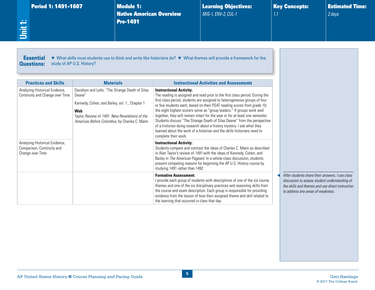#### Period 1: 1491-1607 Module 1:

Native American Overview Pre-1491

Learning Objectives: *MIG-1, ENV-2, CUL-1*

Key Concepts: *1.1*

Estimated Time: *2 days*

<span id="page-9-0"></span>**Unit 1:**

Essential Questions: ▼ What skills must students use to think and write like historians do? ▼ What themes will provide a framework for the study of AP U.S. History?

| <b>Materials</b><br><b>Practices and Skills</b>                                  |                                                                                                                                                                                                                      | <b>Instructional Activities and Assessments</b>                                                                                                                                                                                                                                                                                                                                                                                                                                                                                                                                                                                                                                             |  |  |  |
|----------------------------------------------------------------------------------|----------------------------------------------------------------------------------------------------------------------------------------------------------------------------------------------------------------------|---------------------------------------------------------------------------------------------------------------------------------------------------------------------------------------------------------------------------------------------------------------------------------------------------------------------------------------------------------------------------------------------------------------------------------------------------------------------------------------------------------------------------------------------------------------------------------------------------------------------------------------------------------------------------------------------|--|--|--|
| Analyzing Historical Evidence,<br>Continuity and Change over Time                | Davidson and Lytle, "The Strange Death of Silas<br>Deane"<br>Kennedy, Cohen, and Bailey, vol. 1., Chapter 1<br>Web<br>Taylor, Review of 1491: New Revelations of the<br>Americas Before Columbus, by Charles C. Mann | <b>Instructional Activity:</b><br>The reading is assigned and read prior to the first class period. During the<br>first class period, students are assigned to heterogeneous groups of four<br>or five students each, based on their PSAT reading scores from grade 10;<br>the eight highest scorers serve as "group leaders." If groups work well<br>together, they will remain intact for the year or for at least one semester.<br>Students discuss "The Strange Death of Silas Deane" from the perspective<br>of a historian doing research about a history mystery. I ask what they<br>learned about the work of a historian and the skills historians need to<br>complete their work. |  |  |  |
| Analyzing Historical Evidence,<br>Comparison, Continuity and<br>Change over Time |                                                                                                                                                                                                                      | <b>Instructional Activity:</b><br>Students compare and contrast the ideas of Charles C. Mann as described<br>in Alan Taylor's review of 1491 with the ideas of Kennedy, Cohen, and<br>Bailey in The American Pageant. In a whole-class discussion, students<br>present competing reasons for beginning the AP U.S. History course by<br>studying 1491 rather than 1492.                                                                                                                                                                                                                                                                                                                     |  |  |  |
|                                                                                  |                                                                                                                                                                                                                      | <b>Formative Assessment:</b><br>I provide each group of students with descriptions of one of the six course<br>themes and one of the six disciplinary practices and reasoning skills from<br>the course and exam description. Each group is responsible for providing<br>evidence from the lesson of how their assigned theme and skill related to<br>the learning that occurred in class that day.                                                                                                                                                                                                                                                                                         |  |  |  |

◀ *After students share their answers, I use class discussion to assess student understanding of the skills and themes and use direct instruction to address any areas of weakness.*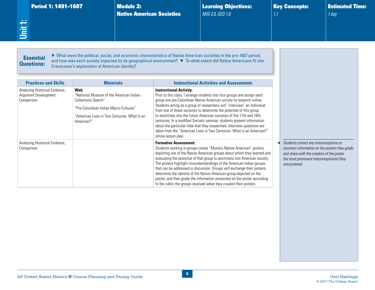<span id="page-10-0"></span>

| <b>Period 1: 1491-1607</b> |  |
|----------------------------|--|
|                            |  |

Module 2: Native American Societies Learning Objectives: *MIG-2.0, GEO-1.0*

Key Concepts: *1.1*

Estimated Time: *1 day*

#### **Essential** Questions:

▼ What were the political, social, and economic characteristics of Native American societies in the pre-1607 period, and how was each society impacted by its geographical environment? ▼ To what extent did Native Americans fit into Crevecoeur's explanation of American identity?

| <b>Practices and Skills</b>                                           | <b>Materials</b>                                                                                                                                                                      | <b>Instructional Activities and Assessments</b>                                                                                                                                                                                                                                                                                                                                                                                                                                                                                                                                                                                                                        |  |
|-----------------------------------------------------------------------|---------------------------------------------------------------------------------------------------------------------------------------------------------------------------------------|------------------------------------------------------------------------------------------------------------------------------------------------------------------------------------------------------------------------------------------------------------------------------------------------------------------------------------------------------------------------------------------------------------------------------------------------------------------------------------------------------------------------------------------------------------------------------------------------------------------------------------------------------------------------|--|
| Analyzing Historical Evidence,<br>Argument Development,<br>Comparison | Web<br>"National Museum of the American Indian -<br><b>Collections Search"</b><br>"Pre-Columbian Indian Macro-Cultures"<br>"American Lives in Two Centuries: What Is an<br>American?" | <b>Instructional Activity:</b><br>Prior to this class, I arrange students into four groups and assign each<br>group one pre-Columbian Native American society to research online.<br>Students acting as a group of researchers will "interview" an individual<br>from one of these societies to determine the potential of this group<br>to assimilate into the future American societies of the 17th and 18th<br>centuries. In a modified Socratic seminar, students present information<br>about the particular tribe that they researched. Interview questions are<br>taken from the "American Lives in Two Centuries: What is an American?"<br>online lesson plan. |  |
| Analyzing Historical Evidence,<br>Comparison                          |                                                                                                                                                                                       | <b>Formative Assessment:</b><br>Students working in groups create "Mystery Native American" posters<br>depicting one of the Native American groups about which they learned and<br>evaluating the potential of that group to assimilate into American society.<br>The posters highlight misunderstandings of the American Indian groups<br>that can be addressed in discussion. Groups will exchange their posters,<br>determine the identity of the Native American group depicted on the<br>poster, and then grade the information presented on the poster according<br>to the rubric the groups received when they created their posters.                           |  |

◀ *Students correct any misconceptions or incorrect information on the posters they grade and share with the creators of the poster the most prominent misconception(s) they tered.*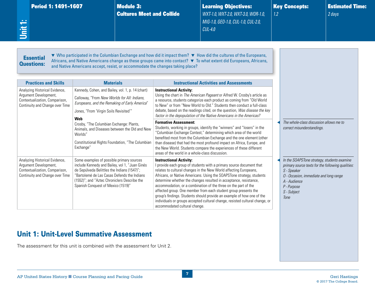<span id="page-11-0"></span>

| Period 1: 1491-1607<br>Unit 1:                                                                                               |                                                                                                                                                                                                                                                                                 | <b>Module 3:</b><br><b>Cultures Meet and Collide</b> |                                                                                 | <b>Learning Objectives:</b><br>WXT-1.0, WXT-2.0, WXT-3.0, WOR-1.0,<br>MIG-1.0, GEO-1.0, CUL-1.0, CUL-2.0,<br>$CUL-4.0$                                                                                                                                                                                                                                                                                                                                                                                                                                                                  | 1.2 | <b>Key Concepts:</b>                                                                                                                                                                                            | <b>Estimated Time:</b><br>2 days |
|------------------------------------------------------------------------------------------------------------------------------|---------------------------------------------------------------------------------------------------------------------------------------------------------------------------------------------------------------------------------------------------------------------------------|------------------------------------------------------|---------------------------------------------------------------------------------|-----------------------------------------------------------------------------------------------------------------------------------------------------------------------------------------------------------------------------------------------------------------------------------------------------------------------------------------------------------------------------------------------------------------------------------------------------------------------------------------------------------------------------------------------------------------------------------------|-----|-----------------------------------------------------------------------------------------------------------------------------------------------------------------------------------------------------------------|----------------------------------|
| <b>Essential</b><br><b>Questions:</b><br><b>Practices and Skills</b>                                                         | <b>Materials</b>                                                                                                                                                                                                                                                                |                                                      | and Native Americans accept, resist, or accommodate the changes taking place?   | ▼ Who participated in the Columbian Exchange and how did it impact them? ▼ How did the cultures of the Europeans,<br>Africans, and Native Americans change as these groups came into contact? $\blacktriangledown$ To what extent did Europeans, Africans,<br><b>Instructional Activities and Assessments</b>                                                                                                                                                                                                                                                                           |     |                                                                                                                                                                                                                 |                                  |
| Analyzing Historical Evidence,<br>Argument Development,<br>Contextualization, Comparison,<br>Continuity and Change over Time | Kennedy, Cohen, and Bailey, vol. 1, p. 14 (chart)<br>Calloway, "From New Worlds for All: Indians,<br>Europeans, and the Remaking of Early America"<br>Jones, "From 'Virgin Soils Revisited'"<br>Web                                                                             |                                                      | <b>Instructional Activity:</b>                                                  | Using the chart in The American Pageant or Alfred W. Crosby's article as<br>a resource, students categorize each product as coming from "Old World<br>to New" or from "New World to Old." Students then conduct a full-class<br>debate, based on the readings cited, on the question, Was disease the key<br>factor in the depopulation of the Native Americans in the Americas?                                                                                                                                                                                                        |     |                                                                                                                                                                                                                 |                                  |
|                                                                                                                              | Crosby, "The Columbian Exchange: Plants,<br>Animals, and Diseases between the Old and New<br>Worlds"<br>Constitutional Rights Foundation, "The Columbian<br>Exchange"                                                                                                           |                                                      | <b>Formative Assessment:</b><br>areas of the world in a whole-class discussion. | Students, working in groups, identify the "winners" and "losers" in the<br>"Columbian Exchange Contest," determining which area of the world<br>benefited most from the Columbian Exchange and the one element (other<br>than disease) that had the most profound impact on Africa, Europe, and<br>the New World. Students compare the experiences of these different                                                                                                                                                                                                                   |     | The whole-class discussion allows me to<br>correct misunderstandings.                                                                                                                                           |                                  |
| Analyzing Historical Evidence,<br>Argument Development,<br>Contextualization, Comparison,<br>Continuity and Change over Time | Some examples of possible primary sources<br>include Kennedy and Bailey, vol 1, "Juan Ginés<br>de Sepúlveda Belittles the Indians (1547)";<br>"Bartolemé de Las Casas Defends the Indians<br>(1552)"; and "Aztec Chroniclers Describe the<br>Spanish Conquest of Mexico (1519)" |                                                      | <b>Instructional Activity:</b><br>accommodated cultural change.                 | I provide each group of students with a primary source document that<br>relates to cultural changes in the New World affecting Europeans,<br>Africans, or Native Americans. Using the SOAPSTone strategy, students<br>determine whether the changes resulted in acceptance, resistance,<br>accommodation, or a combination of the three on the part of the<br>affected group. One member from each student group presents the<br>group's findings. Students should provide an example of how one of the<br>individuals or groups accepted cultural change, resisted cultural change, or |     | In the SOAPSTone strategy, students examine<br>primary source texts for the following qualities:<br>S - Speaker<br>O - Occasion, immediate and long range<br>A - Audience<br>P - Purpose<br>S - Subject<br>Tone |                                  |
| <b>Unit 1: Unit-Level Summative Assessment</b>                                                                               |                                                                                                                                                                                                                                                                                 |                                                      |                                                                                 |                                                                                                                                                                                                                                                                                                                                                                                                                                                                                                                                                                                         |     |                                                                                                                                                                                                                 |                                  |

The assessment for this unit is combined with the assessment for Unit 2.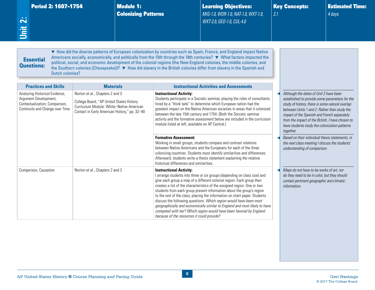|  | Period 2: 1607–1754 |  |
|--|---------------------|--|
|  |                     |  |

<span id="page-12-0"></span>**Period 2: 1607–1754** Module 1:<br>
...<br>
Colonizing<br>
<u>...</u><br>
D Colonizing Patterns Learning Objectives: *MIG-1.0, WOR-1.0, NAT-1.0, WXT-1.0, WXT-2.0, GEO-1.0, CUL-4.0*

Key Concepts:

*2.1*

Estimated Time:

*4 days*

# **Essential** Questions:

▼ How did the diverse patterns of European colonization by countries such as Spain, France, and England impact Native Americans socially, economically, and politically from the 15th through the 18th centuries? ▼ What factors impacted the political, social, and economic development of the colonial regions (the New England colonies, the middle colonies, and the Southern colonies [Chesapeake])? ▼ How did slavery in the British colonies differ from slavery in the Spanish and Dutch colonies?

| <b>Practices and Skills</b>                                                                                                  | <b>Materials</b>                                                                                                                                                         | <b>Instructional Activities and Assessments</b>                                                                                                                                                                                                                                                                                                                                                                                                                                                                                                                                                                                                                                                 |                                                                                                                                                                                                                                                                                                                                                              |
|------------------------------------------------------------------------------------------------------------------------------|--------------------------------------------------------------------------------------------------------------------------------------------------------------------------|-------------------------------------------------------------------------------------------------------------------------------------------------------------------------------------------------------------------------------------------------------------------------------------------------------------------------------------------------------------------------------------------------------------------------------------------------------------------------------------------------------------------------------------------------------------------------------------------------------------------------------------------------------------------------------------------------|--------------------------------------------------------------------------------------------------------------------------------------------------------------------------------------------------------------------------------------------------------------------------------------------------------------------------------------------------------------|
| Analyzing Historical Evidence,<br>Argument Development,<br>Contextualization, Comparison,<br>Continuity and Change over Time | Norton et al., Chapters 2 and 3<br>College Board, "AP United States History<br>Curriculum Module: White-Native American<br>Contact in Early American History," pp. 32-40 | <b>Instructional Activity:</b><br>Students participate in a Socratic seminar, playing the roles of consultants<br>hired by a "think tank" to determine which European nation had the<br>greatest impact on the Native American societies in areas that it colonized<br>between the late 15th century and 1754. (Both the Socratic seminar<br>activity and the formative assessment below are included in the curriculum<br>module listed at left, available on AP Central.)                                                                                                                                                                                                                     | Although the dates of Unit 2 have been<br>established to provide some parameters for the<br>study of history, there is some natural overlap<br>between Units 1 and 2. Rather than study the<br>impact of the Spanish and French separately<br>from the impact of the British, I have chosen to<br>have students study the colonization patterns<br>together. |
|                                                                                                                              |                                                                                                                                                                          | <b>Formative Assessment:</b><br>Working in small groups, students compare and contrast relations<br>between Native Americans and the Europeans for each of the three<br>colonizing countries. Students must identify similarities and differences.<br>Afterward, students write a thesis statement explaining the relative<br>historical differences and similarities.                                                                                                                                                                                                                                                                                                                          | Based on their individual thesis statements, in<br>the next class meeting I discuss the students'<br>understanding of comparison.                                                                                                                                                                                                                            |
| Comparison, Causation                                                                                                        | Norton et al., Chapters 2 and 3                                                                                                                                          | <b>Instructional Activity:</b><br>I arrange students into three or six groups (depending on class size) and<br>give each group a map of a different colonial region. Each group then<br>creates a list of the characteristics of the assigned region. One or two<br>students from each group present information about the group's region<br>to the rest of the class, placing the information on chart paper. Students<br>discuss the following questions: Which region would have been most<br>geographically and economically similar to England and most likely to have<br>competed with her? Which region would have been favored by England<br>because of the resources it could provide? | Maps do not have to be works of art, nor<br>do they need to be in color, but they should<br>contain pertinent geographic and climatic<br>information.                                                                                                                                                                                                        |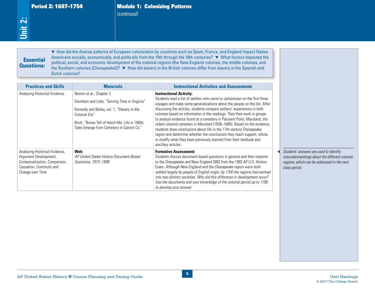*(continued)*

# **Essential** Questions:

| $\ddot{\sim}$<br>jiit | <b>Period 2: 1607-1754</b>                                                                                                                 |                                                                                                                                                                                                                                            | <i>(continued)</i> | <b>Module 1: Colonizing Patterns</b>                                                                                                                                                                                                                                                                                                                                                                                                                                                                                                                                                                                                                                                                                                                    |                                                                                                                                                          |
|-----------------------|--------------------------------------------------------------------------------------------------------------------------------------------|--------------------------------------------------------------------------------------------------------------------------------------------------------------------------------------------------------------------------------------------|--------------------|---------------------------------------------------------------------------------------------------------------------------------------------------------------------------------------------------------------------------------------------------------------------------------------------------------------------------------------------------------------------------------------------------------------------------------------------------------------------------------------------------------------------------------------------------------------------------------------------------------------------------------------------------------------------------------------------------------------------------------------------------------|----------------------------------------------------------------------------------------------------------------------------------------------------------|
|                       | <b>Essential</b><br><b>Questions:</b><br><b>Dutch colonies?</b>                                                                            |                                                                                                                                                                                                                                            |                    | ▼ How did the diverse patterns of European colonization by countries such as Spain, France, and England impact Native<br>Americans socially, economically, and politically from the 15th through the 18th centuries? ▼ What factors impacted the<br>political, social, and economic development of the colonial regions (the New England colonies, the middle colonies, and<br>the Southern colonies [Chesapeake])? ▼ How did slavery in the British colonies differ from slavery in the Spanish and                                                                                                                                                                                                                                                    |                                                                                                                                                          |
|                       | <b>Practices and Skills</b>                                                                                                                | <b>Materials</b>                                                                                                                                                                                                                           |                    | <b>Instructional Activities and Assessments</b>                                                                                                                                                                                                                                                                                                                                                                                                                                                                                                                                                                                                                                                                                                         |                                                                                                                                                          |
|                       | Analyzing Historical Evidence                                                                                                              | Norton et al., Chapter 3<br>Davidson and Lytle, "Serving Time in Virginia"<br>Kennedy and Bailey, vol. 1, "Slavery in the<br>Colonial Era"<br>Birch, "Bones Tell of Harsh Md. Life in 1600s:<br>Tales Emerge from Cemetery in Calvert Co." |                    | <b>Instructional Activity:</b><br>Students read a list of settlers who came to Jamestown on the first three<br>voyages and make some generalizations about the people on the list. After<br>discussing the articles, students compare settlers' experiences in both<br>colonies based on information in the readings. They then work in groups<br>to analyze evidence found at a cemetery in Patuxent Point, Maryland, the<br>oldest colonial cemetery in Maryland (1658-1685). Based on the evidence,<br>students draw conclusions about life in the 17th-century Chesapeake<br>region and determine whether the conclusions they reach support, refute,<br>or modify what they have previously learned from their textbook and<br>ancillary articles. |                                                                                                                                                          |
|                       | Analyzing Historical Evidence,<br>Argument Development,<br>Contextualization, Comparison,<br>Causation, Continuity and<br>Change over Time | <b>Web</b><br>AP United States History Document-Based<br>Questions, 1973-1999                                                                                                                                                              |                    | <b>Formative Assessment:</b><br>Students discuss document-based questions in general and then respond<br>to the Chesapeake and New England DBQ from the 1993 AP U.S. History<br>Exam: Although New England and the Chesapeake region were both<br>settled largely by people of English origin, by 1700 the regions had evolved<br>into two distinct societies. Why did this difference in development occur?<br>Use the documents and your knowledge of the colonial period up to 1700<br>to develop your answer.                                                                                                                                                                                                                                       | Students' answers are used to identify<br>misunderstandings about the different colonial<br>regions, which can be addressed in the next<br>class period. |
|                       |                                                                                                                                            |                                                                                                                                                                                                                                            |                    | $\overline{\mathbf{9}}$                                                                                                                                                                                                                                                                                                                                                                                                                                                                                                                                                                                                                                                                                                                                 |                                                                                                                                                          |
|                       |                                                                                                                                            | AP United States History Course Planning and Pacing Guide                                                                                                                                                                                  |                    |                                                                                                                                                                                                                                                                                                                                                                                                                                                                                                                                                                                                                                                                                                                                                         | <b>Geri Hastings</b>                                                                                                                                     |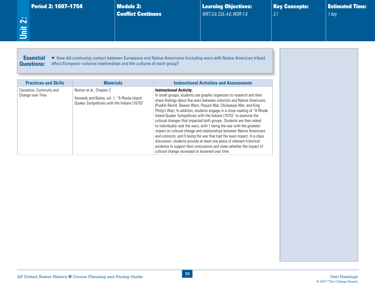<span id="page-14-0"></span>

| Period 2: 1607-1754<br>Unit 2:                                       |                                                                                                                        | <b>Module 2:</b><br><b>Conflict Continues</b> |                                                                                    | <b>Learning Objectives:</b><br>WXT-2.0, CUL-4.0, WOR-1.0                                                                                                                                                                                                                                                                                                                                                                                                                                                                                                                                                                                                                                                                                                                                                                     | <b>Key Concepts:</b><br>2.1 | <b>Estimated Time:</b><br>$1$ day |
|----------------------------------------------------------------------|------------------------------------------------------------------------------------------------------------------------|-----------------------------------------------|------------------------------------------------------------------------------------|------------------------------------------------------------------------------------------------------------------------------------------------------------------------------------------------------------------------------------------------------------------------------------------------------------------------------------------------------------------------------------------------------------------------------------------------------------------------------------------------------------------------------------------------------------------------------------------------------------------------------------------------------------------------------------------------------------------------------------------------------------------------------------------------------------------------------|-----------------------------|-----------------------------------|
| <b>Essential</b><br><b>Questions:</b><br><b>Practices and Skills</b> | affect European-colonial relationships and the cultures of each group?<br><b>Materials</b>                             |                                               |                                                                                    | • How did continuing contact between Europeans and Native Americans (including wars with Native American tribes)<br><b>Instructional Activities and Assessments</b>                                                                                                                                                                                                                                                                                                                                                                                                                                                                                                                                                                                                                                                          |                             |                                   |
| Causation, Continuity and<br>Change over Time                        | Norton et al., Chapter 2<br>Kennedy and Bailey, vol. 1, "A Rhode Island<br>Quaker Sympathizes with the Indians (1675)" |                                               | <b>Instructional Activity:</b><br>cultural change increased or lessened over time. | In small groups, students use graphic organizers to research and then<br>share findings about five wars between colonists and Native Americans<br>(Pueblo Revolt, Beaver Wars, Pequot War, Chickasaw War, and King<br>Philip's War). In addition, students engage in a close reading of "A Rhode<br>Island Quaker Sympathizes with the Indians (1675)" to examine the<br>cultural changes that impacted both groups. Students are then asked<br>to individually rank the wars, with 1 being the war with the greatest<br>impact on cultural change and relationships between Native Americans<br>and colonists, and 5 being the war that had the least impact. In a class<br>discussion, students provide at least one piece of relevant historical<br>evidence to support their conclusions and state whether the impact of |                             |                                   |
|                                                                      |                                                                                                                        |                                               |                                                                                    |                                                                                                                                                                                                                                                                                                                                                                                                                                                                                                                                                                                                                                                                                                                                                                                                                              |                             |                                   |
|                                                                      |                                                                                                                        |                                               |                                                                                    |                                                                                                                                                                                                                                                                                                                                                                                                                                                                                                                                                                                                                                                                                                                                                                                                                              |                             |                                   |

**10**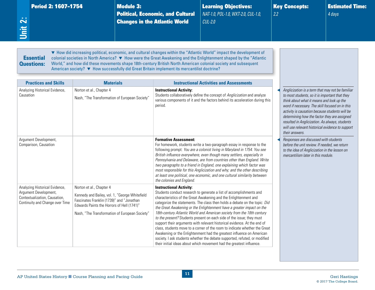<span id="page-15-0"></span>

|                                       | <b>Period 2: 1607-1754</b> | <b>Module 3:</b>                                                               | Learning Objectives: | <b>Key Concepts:</b> | $\mid$ Estimated Time: $\mid$ |
|---------------------------------------|----------------------------|--------------------------------------------------------------------------------|----------------------|----------------------|-------------------------------|
|                                       |                            | <b>Political, Economic, and Cultural</b>   NAT-1.0, POL-1.0, WXT-2.0, CUL-1.0, |                      | 2.2                  | 4 days                        |
| <b>COL</b><br>$\overline{\mathbf{N}}$ |                            | <b>Changes in the Atlantic World</b>                                           | $CUL-2.0$            |                      |                               |
| 旨                                     |                            |                                                                                |                      |                      |                               |
|                                       |                            |                                                                                |                      |                      |                               |
|                                       |                            |                                                                                |                      |                      |                               |

#### **Essential** Questions:

▼ How did increasing political, economic, and cultural changes within the "Atlantic World" impact the development of colonial societies in North America? ▼ How were the Great Awakening and the Enlightenment shaped by the "Atlantic World," and how did these movements shape 18th-century British North American colonial society and subsequent American society? ▼ How successfully did Great Britain implement its mercantilist doctrine?

| <b>Practices and Skills</b>                                                                                                 | <b>Materials</b>                                                                                                                                                                                                        | <b>Instructional Activities and Assessments</b>                                                                                                                                                                                                                                                                                                                                                                                                                                                                                                                                                                                                                                                                                                                                                                                                                              |                                                                                                                                                                                                                                                                                                                                                                                                                              |
|-----------------------------------------------------------------------------------------------------------------------------|-------------------------------------------------------------------------------------------------------------------------------------------------------------------------------------------------------------------------|------------------------------------------------------------------------------------------------------------------------------------------------------------------------------------------------------------------------------------------------------------------------------------------------------------------------------------------------------------------------------------------------------------------------------------------------------------------------------------------------------------------------------------------------------------------------------------------------------------------------------------------------------------------------------------------------------------------------------------------------------------------------------------------------------------------------------------------------------------------------------|------------------------------------------------------------------------------------------------------------------------------------------------------------------------------------------------------------------------------------------------------------------------------------------------------------------------------------------------------------------------------------------------------------------------------|
| Analyzing Historical Evidence,<br>Causation                                                                                 | Norton et al., Chapter 4<br>Nash, "The Transformation of European Society"                                                                                                                                              | <b>Instructional Activity:</b><br>Students collaboratively define the concept of Anglicization and analyze<br>various components of it and the factors behind its acceleration during this<br>period.                                                                                                                                                                                                                                                                                                                                                                                                                                                                                                                                                                                                                                                                        | Anglicization is a term that may not be familiar<br>to most students, so it is important that they<br>think about what it means and look up the<br>word if necessary. The skill focused on in this<br>activity is causation because students will be<br>determining how the factor they are assigned<br>resulted in Anglicization. As always, students<br>will use relevant historical evidence to support<br>their answers. |
| Argument Development,<br>Comparison, Causation                                                                              |                                                                                                                                                                                                                         | <b>Formative Assessment:</b><br>For homework, students write a two-paragraph essay in response to the<br>following prompt: You are a colonist living in Maryland in 1754. You see<br>British influence everywhere, even though many settlers, especially in<br>Pennsylvania and Delaware, are from countries other than England. Write<br>two paragraphs to a friend in England, one explaining which factor was<br>most responsible for this Anglicization and why; and the other describing<br>at least one political, one economic, and one cultural similarity between<br>the colonies and England.                                                                                                                                                                                                                                                                      | Responses are discussed with students<br>before the unit review. If needed, we return<br>to the idea of Anglicization in the lesson on<br>mercantilism later in this module.                                                                                                                                                                                                                                                 |
| Analyzing Historical Evidence,<br>Argument Development,<br>Contextualization, Causation,<br>Continuity and Change over Time | Norton et al., Chapter 4<br>Kennedy and Bailey, vol. 1, "George Whitefield<br>Fascinates Franklin (1739)" and "Jonathan<br>Edwards Paints the Horrors of Hell (1741)"<br>Nash, "The Transformation of European Society" | <b>Instructional Activity:</b><br>Students conduct research to generate a list of accomplishments and<br>characteristics of the Great Awakening and the Enlightenment and<br>categorize the statements. The class then holds a debate on the topic: Did<br>the Great Awakening or the Enlightenment have a greater impact on the<br>18th-century Atlantic World and American society from the 18th century<br>to the present? Students present on each side of the issue; they must<br>support their arguments with relevant historical evidence. At the end of<br>class, students move to a corner of the room to indicate whether the Great<br>Awakening or the Enlightenment had the greatest influence on American<br>society. I ask students whether the debate supported, refuted, or modified<br>their initial ideas about which movement had the greatest influence. |                                                                                                                                                                                                                                                                                                                                                                                                                              |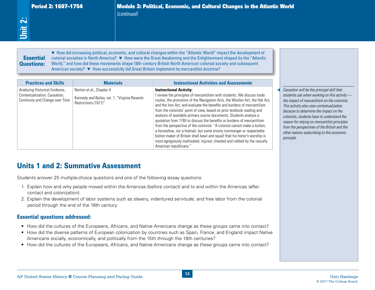# **Essential**

Period 2: 1607–1754<br> *Continued)*<br> *Continued)*<br>
<br> **2:** Political, Economic, and Cultural Changes in the Atlantic World<br>
<br>
<br> **2:** Political, Economic, and Cultural Changes within the "Atlantic World" impact the developmen ▼ How did increasing political, economic, and cultural changes within the "Atlantic World" impact the development of colonial societies in North America? ▼ How were the Great Awakening and the Enlightenment shaped by the "Atlantic World," and how did these movements shape 18th-century British North American colonial society and subsequent American society? ▼ How successfully did Great Britain implement its mercantilist doctrine? ▼ How did increasing political, economic, and cultural changes within the "Atlantic World" impact the development of<br>colonial societies in North America? ▼ How were the Great Awakening and the Enlightenment shaped by the

| <b>Essential</b><br><b>Questions:</b>                                                                                                                                                                                                                                                                                                                                                                                                                        | American society? ▼ How successfully did Great Britain implement its mercantilist doctrine?                                          | • How did increasing political, economic, and cultural changes within the "Atlantic World" impact the development of<br>colonial societies in North America? ▼ How were the Great Awakening and the Enlightenment shaped by the "Atlantic<br>World," and how did these movements shape 18th-century British North American colonial society and subsequent                                                                                                                                                                                                                                                                                                                                                                                                                                                                            |                                                                                                                                                                                                                                                                                                                                                                                                                                              |
|--------------------------------------------------------------------------------------------------------------------------------------------------------------------------------------------------------------------------------------------------------------------------------------------------------------------------------------------------------------------------------------------------------------------------------------------------------------|--------------------------------------------------------------------------------------------------------------------------------------|---------------------------------------------------------------------------------------------------------------------------------------------------------------------------------------------------------------------------------------------------------------------------------------------------------------------------------------------------------------------------------------------------------------------------------------------------------------------------------------------------------------------------------------------------------------------------------------------------------------------------------------------------------------------------------------------------------------------------------------------------------------------------------------------------------------------------------------|----------------------------------------------------------------------------------------------------------------------------------------------------------------------------------------------------------------------------------------------------------------------------------------------------------------------------------------------------------------------------------------------------------------------------------------------|
| <b>Practices and Skills</b>                                                                                                                                                                                                                                                                                                                                                                                                                                  | <b>Materials</b>                                                                                                                     | <b>Instructional Activities and Assessments</b>                                                                                                                                                                                                                                                                                                                                                                                                                                                                                                                                                                                                                                                                                                                                                                                       |                                                                                                                                                                                                                                                                                                                                                                                                                                              |
| Analyzing Historical Evidence,<br>Contextualization, Causation,<br>Continuity and Change over Time                                                                                                                                                                                                                                                                                                                                                           | Norton et al., Chapter 4<br>Kennedy and Bailey, vol. 1, "Virginia Resents<br>Restrictions (1671)"                                    | <b>Instructional Activity:</b><br>I review the principles of mercantilism with students. We discuss trade<br>routes, the provisions of the Navigation Acts, the Woolen Act, the Hat Act,<br>and the Iron Act, and evaluate the benefits and burdens of mercantilism<br>from the colonists' point of view, based on prior textbook reading and<br>analysis of available primary source documents. Students analyze a<br>quotation from 1765 to discuss the benefits or burdens of mercantilism<br>from the perspective of the colonists: "A colonist cannot make a button,<br>a horseshoe, nor a hobnail, but some snooty ironmonger or respectable<br>button maker of Britain shall bawl and squall that his honor's worship is<br>most egregiously maltreated, injured, cheated and robbed by the rascally<br>American republicans." | Causation will be the principal skill that<br>students use when working on this activity -<br>the impact of mercantilism on the colonists.<br>This activity also uses contextualization<br>because to determine the impact on the<br>colonists, students have to understand the<br>reason for relying on mercantilist principles<br>from the perspectives of the British and the<br>other nations subscribing to this economic<br>principle. |
|                                                                                                                                                                                                                                                                                                                                                                                                                                                              | <b>Units 1 and 2: Summative Assessment</b><br>Students answer 25 multiple-choice questions and one of the following essay questions: |                                                                                                                                                                                                                                                                                                                                                                                                                                                                                                                                                                                                                                                                                                                                                                                                                                       |                                                                                                                                                                                                                                                                                                                                                                                                                                              |
| contact and colonization).<br>period through the end of the 18th century.                                                                                                                                                                                                                                                                                                                                                                                    |                                                                                                                                      | 1. Explain how and why people moved within the Americas (before contact) and to and within the Americas (after<br>2. Explain the development of labor systems such as slavery, indentured servitude, and free labor from the colonial                                                                                                                                                                                                                                                                                                                                                                                                                                                                                                                                                                                                 |                                                                                                                                                                                                                                                                                                                                                                                                                                              |
| <b>Essential questions addressed:</b>                                                                                                                                                                                                                                                                                                                                                                                                                        |                                                                                                                                      |                                                                                                                                                                                                                                                                                                                                                                                                                                                                                                                                                                                                                                                                                                                                                                                                                                       |                                                                                                                                                                                                                                                                                                                                                                                                                                              |
| • How did the cultures of the Europeans, Africans, and Native Americans change as these groups came into contact?<br>How did the diverse patterns of European colonization by countries such as Spain, France, and England impact Native<br>Americans socially, economically, and politically from the 15th through the 18th centuries?<br>• How did the cultures of the Europeans, Africans, and Native Americans change as these groups came into contact? |                                                                                                                                      |                                                                                                                                                                                                                                                                                                                                                                                                                                                                                                                                                                                                                                                                                                                                                                                                                                       |                                                                                                                                                                                                                                                                                                                                                                                                                                              |

- 1. Explain how and why people moved within the Americas (before contact) and to and within the Americas (after contact and colonization).
- 2. Explain the development of labor systems such as slavery, indentured servitude, and free labor from the colonial period through the end of the 18th century.

#### Essential questions addressed:

- How did the cultures of the Europeans, Africans, and Native Americans change as these groups came into contact?
- How did the diverse patterns of European colonization by countries such as Spain, France, and England impact Native Americans socially, economically, and politically from the 15th through the 18th centuries?
- How did the cultures of the Europeans, Africans, and Native Americans change as these groups came into contact?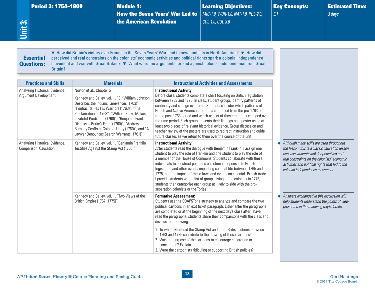<span id="page-17-0"></span>

| Period 3: 1754-1800<br>Unit 3:                                | <b>Module 1:</b><br>the American Revolution                                                                                                                                                                                                                                                                                                                                                  | <b>How the Seven Years' War Led to</b>                                | <b>Learning Objectives:</b><br>MIG-1.0, WOR-1.0, NAT-1.0, POL-2.0,<br>CUL-1.0, CUL-3.0                                                                                                                                                                                                                                                                                                                                                                                                                                                                                                                                                                                                | 3.1 | <b>Key Concepts:</b>                                                                                                                                                                                                                                                       | <b>Estimated Time:</b><br>3 days |
|---------------------------------------------------------------|----------------------------------------------------------------------------------------------------------------------------------------------------------------------------------------------------------------------------------------------------------------------------------------------------------------------------------------------------------------------------------------------|-----------------------------------------------------------------------|---------------------------------------------------------------------------------------------------------------------------------------------------------------------------------------------------------------------------------------------------------------------------------------------------------------------------------------------------------------------------------------------------------------------------------------------------------------------------------------------------------------------------------------------------------------------------------------------------------------------------------------------------------------------------------------|-----|----------------------------------------------------------------------------------------------------------------------------------------------------------------------------------------------------------------------------------------------------------------------------|----------------------------------|
| <b>Essential</b><br><b>Questions:</b><br>Britain?             | ▼ How did Britain's victory over France in the Seven Years' War lead to new conflicts in North America? ▼ How did<br>perceived and real constraints on the colonists' economic activities and political rights spark a colonial independence<br>movement and war with Great Britain? ▼ What were the arguments for and against colonial independence from Great                              |                                                                       |                                                                                                                                                                                                                                                                                                                                                                                                                                                                                                                                                                                                                                                                                       |     |                                                                                                                                                                                                                                                                            |                                  |
| <b>Practices and Skills</b><br>Analyzing Historical Evidence, | <b>Materials</b><br>Norton et al., Chapter 5                                                                                                                                                                                                                                                                                                                                                 | <b>Instructional Activity:</b>                                        | <b>Instructional Activities and Assessments</b>                                                                                                                                                                                                                                                                                                                                                                                                                                                                                                                                                                                                                                       |     |                                                                                                                                                                                                                                                                            |                                  |
| Argument Development                                          | Kennedy and Bailey, vol. 1, "Sir William Johnson<br>Describes the Indians' Grievances (1763)";<br>"Pontiac Rallies His Warriors (1763)"; "The<br>Proclamation of 1763"; "William Burke Makes<br>a Fateful Prediction (1760)"; "Benjamin Franklin<br>Dismisses Burke's Fears (1760)"; "Andrew<br>Burnaby Scoffs at Colonial Unity (1760)"; and "A<br>Lawyer Denounces Search Warrants (1761)" |                                                                       | Before class, students complete a chart focusing on British legislation<br>between 1763 and 1775. In class, student groups identify patterns of<br>continuity and change over time. Students consider which patterns of<br>British and Native American relations continued from the pre-1763 period<br>to the post-1763 period and which aspect of those relations changed over<br>the time period. Each group presents their findings on a poster using at<br>least two pieces of relevant historical evidence. Group discussion and<br>teacher review of the posters are used to redirect instruction and guide<br>future classes as we return to them over the course of the unit. |     |                                                                                                                                                                                                                                                                            |                                  |
| Analyzing Historical Evidence,<br>Comparison, Causation       | Kennedy and Bailey, vol. 1, "Benjamin Franklin<br>Testifies Against the Stamp Act (1766)"                                                                                                                                                                                                                                                                                                    | <b>Instructional Activity:</b><br>separation colonists or the Tories. | After students read the dialogue with Benjamin Franklin, I assign one<br>student to play the role of Franklin and one student to play the role of<br>a member of the House of Commons. Students collaborate with these<br>individuals to construct positions on colonial responses to British<br>legislation and other events impacting colonial life between 1765 and<br>1775, and the impact of these laws and events on colonial-British trade.<br>I provide students with a list of groups living in the colonies in 1776;<br>students then categorize each group as likely to side with the pro-                                                                                 |     | Although many skills are used throughout<br>the lesson, this is a classic causation lesson<br>because students look for perceived and<br>real constraints on the colonists' economic<br>activities and political rights that led to the<br>colonial independence movement. |                                  |
|                                                               | Kennedy and Bailey, vol. 1, "Two Views of the<br>British Empire (1767, 1775)"                                                                                                                                                                                                                                                                                                                | <b>Formative Assessment:</b><br>discuss the following:                | Students use the SOAPSTone strategy to analyze and compare the two<br>political cartoons in an exit ticket paragraph. Either after the paragraphs<br>are completed or at the beginning of the next day's class after I have<br>read the paragraphs, students share their comparisons with the class and                                                                                                                                                                                                                                                                                                                                                                               |     | Answers exchanged in this discussion will<br>help students understand the points of view<br>presented in the following day's debate.                                                                                                                                       |                                  |
|                                                               |                                                                                                                                                                                                                                                                                                                                                                                              |                                                                       | 1. To what extent did the Stamp Act and other British actions between<br>1763 and 1775 contribute to the drawing of these cartoons?<br>2. Was the purpose of the cartoons to encourage separation or                                                                                                                                                                                                                                                                                                                                                                                                                                                                                  |     |                                                                                                                                                                                                                                                                            |                                  |

3. Were the cartoonists ridiculing or supporting British policies?

conciliation? Explain.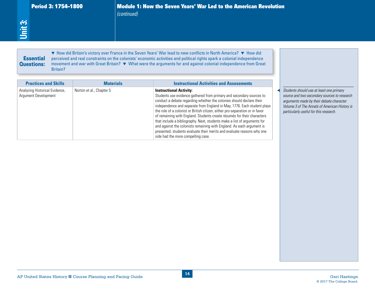# **Essential** Questions:

| <b>Practices and Skills</b><br>Analyzing Historical Evidence,<br>Argument Development | <b>Materials</b><br>Norton et al., Chapter 5 | <b>Instructional Activities and Assessments</b><br><b>Instructional Activity:</b><br>Students use evidence gathered from primary and secondary sources to<br>conduct a debate regarding whether the colonies should declare their<br>independence and separate from England in May, 1776. Each student plays<br>the role of a colonist or British citizen, either pro-separation or in favor<br>of remaining with England. Students create résumés for their characters<br>that include a bibliography. Next, students make a list of arguments for<br>and against the colonists remaining with England. As each argument is<br>presented, students evaluate their merits and evaluate reasons why one<br>side had the more compelling case. | Students should use at least one primary<br>source and two secondary sources to research<br>arguments made by their debate character.<br>Volume 3 of The Annals of American History is<br>particularly useful for this research. |
|---------------------------------------------------------------------------------------|----------------------------------------------|----------------------------------------------------------------------------------------------------------------------------------------------------------------------------------------------------------------------------------------------------------------------------------------------------------------------------------------------------------------------------------------------------------------------------------------------------------------------------------------------------------------------------------------------------------------------------------------------------------------------------------------------------------------------------------------------------------------------------------------------|----------------------------------------------------------------------------------------------------------------------------------------------------------------------------------------------------------------------------------|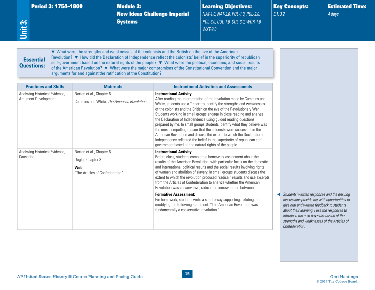|  |  | <b>Period 3: 1754-1800</b> |  |
|--|--|----------------------------|--|
|--|--|----------------------------|--|

**Module 2:** New Ideas Challenge Imperial **Systems** 

Learning Objectives: *NAT-1.0, NAT-2.0, POL-1.0, POL-2.0, POL-3.0, CUL-1.0, CUL-3.0, WOR-1.0, WXT-2.0*

Key Concepts: *3.1, 3.2*

Estimated Time: *4 days*

# **Essential** Questions:

<span id="page-19-0"></span>**Unit 3:**

▼ What were the strengths and weaknesses of the colonists and the British on the eve of the American Revolution? ▼ How did the Declaration of Independence reflect the colonists' belief in the superiority of republican self-government based on the natural rights of the people? ▼ What were the political, economic, and social results of the American Revolution? ▼ What were the major compromises of the Constitutional Convention and the major arguments for and against the ratification of the Constitution?

| <b>Practices and Skills</b>                            | <b>Materials</b>                                                                               | <b>Instructional Activities and Assessments</b>                                                                                                                                                                                                                                                                                                                                                                                                                                                                                                                                                                                                                                                                                                                         |                                                                                                                                                                                                                                                                                                          |
|--------------------------------------------------------|------------------------------------------------------------------------------------------------|-------------------------------------------------------------------------------------------------------------------------------------------------------------------------------------------------------------------------------------------------------------------------------------------------------------------------------------------------------------------------------------------------------------------------------------------------------------------------------------------------------------------------------------------------------------------------------------------------------------------------------------------------------------------------------------------------------------------------------------------------------------------------|----------------------------------------------------------------------------------------------------------------------------------------------------------------------------------------------------------------------------------------------------------------------------------------------------------|
| Analyzing Historical Evidence,<br>Argument Development | Norton et al., Chapter 6<br>Cummins and White, The American Revolution                         | <b>Instructional Activity:</b><br>After reading the interpretation of the revolution made by Cummins and<br>White, students use a T-chart to identify the strengths and weaknesses<br>of the colonists and the British on the eve of the Revolutionary War.<br>Students working in small groups engage in close reading and analyze<br>the Declaration of Independence using guided reading questions<br>prepared by me. In small groups students identify what they believe was<br>the most compelling reason that the colonists were successful in the<br>American Revolution and discuss the extent to which the Declaration of<br>Independence reflected the belief in the superiority of republican self-<br>government based on the natural rights of the people. |                                                                                                                                                                                                                                                                                                          |
| Analyzing Historical Evidence,<br>Causation            | Norton et al., Chapter 6<br>Degler, Chapter 3<br><b>Web</b><br>"The Articles of Confederation" | <b>Instructional Activity:</b><br>Before class, students complete a homework assignment about the<br>results of the American Revolution, with particular focus on the domestic<br>and international political results and the social results involving rights<br>of women and abolition of slavery. In small groups students discuss the<br>extent to which the revolution produced "radical" results and use excerpts<br>from the Articles of Confederation to analyze whether the American<br>Revolution was conservative, radical, or somewhere in between.                                                                                                                                                                                                          |                                                                                                                                                                                                                                                                                                          |
|                                                        |                                                                                                | <b>Formative Assessment:</b><br>For homework, students write a short essay supporting, refuting, or<br>modifying the following statement: "The American Revolution was<br>fundamentally a conservative revolution."                                                                                                                                                                                                                                                                                                                                                                                                                                                                                                                                                     | Students' written responses and the ensuing<br>discussions provide me with opportunities to<br>give oral and written feedback to students<br>about their learning. I use the responses to<br>introduce the next day's discussion of the<br>strengths and weaknesses of the Articles of<br>Confederation. |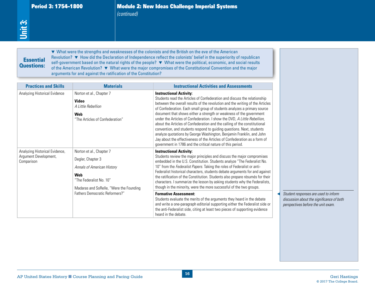# Essential Essential Questions:

Period 3: 1754–1800<br>
(continued)<br>
(continued)<br>
self-government based on the natural rights of the people? ▼ What were the strengths and weaknesses of the colonists and the British on the eve of the American<br> **Essential** R ▼ What were the strengths and weaknesses of the colonists and the British on the eve of the American Revolution? ▼ How did the Declaration of Independence reflect the colonists' belief in the superiority of republican self-government based on the natural rights of the people? ▼ What were the political, economic, and social results of the American Revolution? ▼ What were the major compromises of the Constitutional Convention and the major arguments for and against the ratification of the Constitution?

| <b>Practices and Skills</b>                                           | arguments for and against the ratification of the Constitution?<br><b>Materials</b>                                                                      | <b>Instructional Activities and Assessments</b>                                                                                                                                                                                                                                                                                                                                                                                                                                                                                                                                                                                                                                                                                                                                                     |                                                                                                                         |
|-----------------------------------------------------------------------|----------------------------------------------------------------------------------------------------------------------------------------------------------|-----------------------------------------------------------------------------------------------------------------------------------------------------------------------------------------------------------------------------------------------------------------------------------------------------------------------------------------------------------------------------------------------------------------------------------------------------------------------------------------------------------------------------------------------------------------------------------------------------------------------------------------------------------------------------------------------------------------------------------------------------------------------------------------------------|-------------------------------------------------------------------------------------------------------------------------|
| Analyzing Historical Evidence                                         | Norton et al., Chapter 7<br><b>Video</b><br>A Little Rebellion<br>Web<br>"The Articles of Confederation"                                                 | <b>Instructional Activity:</b><br>Students read the Articles of Confederation and discuss the relationship<br>between the overall results of the revolution and the writing of the Articles<br>of Confederation. Each small group of students analyzes a primary source<br>document that shows either a strength or weakness of the government<br>under the Articles of Confederation. I show the DVD, A Little Rebellion,<br>about the Articles of Confederation and the calling of the constitutional<br>convention, and students respond to guiding questions. Next, students<br>analyze quotations by George Washington, Benjamin Franklin, and John<br>Jay about the effectiveness of the Articles of Confederation as a form of<br>government in 1786 and the critical nature of this period. |                                                                                                                         |
| Analyzing Historical Evidence,<br>Argument Development,<br>Comparison | Norton et al., Chapter 7<br>Degler, Chapter 3<br>Annals of American History<br>Web<br>"The Federalist No. 10"<br>Madaras and SoRelle, "Were the Founding | <b>Instructional Activity:</b><br>Students review the major principles and discuss the major compromises<br>embedded in the U.S. Constitution. Students analyze "The Federalist No.<br>10" from the Federalist Papers. Taking the roles of Federalist or anti-<br>Federalist historical characters, students debate arguments for and against<br>the ratification of the Constitution. Students also prepare résumés for their<br>characters. I summarize the lesson by asking students why the Federalists,<br>though in the minority, were the more successful of the two groups.                                                                                                                                                                                                                 |                                                                                                                         |
|                                                                       | Fathers Democratic Reformers?"                                                                                                                           | <b>Formative Assessment:</b><br>Students evaluate the merits of the arguments they heard in the debate<br>and write a one-paragraph editorial supporting either the Federalist side or<br>the anti-Federalist side, citing at least two pieces of supporting evidence<br>heard in the debate.                                                                                                                                                                                                                                                                                                                                                                                                                                                                                                       | Student responses are used to inform<br>discussion about the significance of both<br>perspectives before the unit exam. |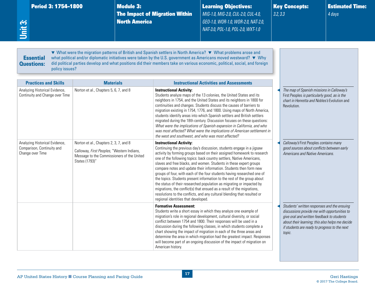<span id="page-21-0"></span>

| Unit 3: | Period 3: 1754-1800                                                              |                                                                                                                                                      | <b>Module 3:</b><br><b>North America</b> | <b>The Impact of Migration Within</b>                                                | <b>Learning Objectives:</b><br>MIG-1.0, MIG-2.0, CUL-2.0, CUL-4.0,<br>GEO-1.0, WOR-1.0, WOR-2.0, NAT-2.0,<br>NAT-3.0, POL-1.0, POL-2.0, WXT-1.0                                                                                                                                                                                                                                                                                                                                                                                                                                                                                                                                                                                                            | 3.2, 3.3 | <b>Key Concepts:</b>                                                                                                                                                                                                                                    | <b>Estimated Time:</b><br>4 days |
|---------|----------------------------------------------------------------------------------|------------------------------------------------------------------------------------------------------------------------------------------------------|------------------------------------------|--------------------------------------------------------------------------------------|------------------------------------------------------------------------------------------------------------------------------------------------------------------------------------------------------------------------------------------------------------------------------------------------------------------------------------------------------------------------------------------------------------------------------------------------------------------------------------------------------------------------------------------------------------------------------------------------------------------------------------------------------------------------------------------------------------------------------------------------------------|----------|---------------------------------------------------------------------------------------------------------------------------------------------------------------------------------------------------------------------------------------------------------|----------------------------------|
|         | <b>Essential</b><br><b>Questions:</b><br>policy issues?                          |                                                                                                                                                      |                                          |                                                                                      | ▼ What were the migration patterns of British and Spanish settlers in North America? ▼ What problems arose and<br>what political and/or diplomatic initiatives were taken by the U.S. government as Americans moved westward? $\blacktriangledown$ Why<br>did political parties develop and what positions did their members take on various economic, political, social, and foreign                                                                                                                                                                                                                                                                                                                                                                      |          |                                                                                                                                                                                                                                                         |                                  |
|         | <b>Practices and Skills</b>                                                      | <b>Materials</b>                                                                                                                                     |                                          |                                                                                      | <b>Instructional Activities and Assessments</b>                                                                                                                                                                                                                                                                                                                                                                                                                                                                                                                                                                                                                                                                                                            |          |                                                                                                                                                                                                                                                         |                                  |
|         | Analyzing Historical Evidence,<br>Continuity and Change over Time                | Norton et al., Chapters 5, 6, 7, and 8                                                                                                               |                                          | <b>Instructional Activity:</b><br>the west and southwest, and who was most affected? | Students analyze maps of the 13 colonies, the United States and its<br>neighbors in 1754, and the United States and its neighbors in 1800 for<br>continuities and changes. Students discuss the causes of barriers to<br>migration existing in 1754, 1776, and 1800. Using maps of North America,<br>students identify areas into which Spanish settlers and British settlers<br>migrated during the 18th century. Discussion focuses on these questions:<br>What were the implications of Spanish expansion in California, and who<br>was most affected? What were the implications of American settlement in                                                                                                                                             |          | The map of Spanish missions in Calloway's<br>First Peoples is particularly good, as is the<br>chart in Henretta and Nobles's Evolution and<br>Revolution.                                                                                               |                                  |
|         | Analyzing Historical Evidence,<br>Comparison, Continuity and<br>Change over Time | Norton et al., Chapters 2, 3, 7, and 8<br>Calloway, First Peoples, "Western Indians,<br>Message to the Commissioners of the United<br>States (1793)" |                                          | <b>Instructional Activity:</b><br>regional identities that developed.                | Continuing the previous day's discussion, students engage in a jigsaw<br>activity by forming groups based on their assigned homework to research<br>one of the following topics: back country settlers, Native Americans,<br>slaves and free blacks, and women. Students in these expert groups<br>compare notes and update their information. Students then form new<br>groups of four, with each of the four students having researched one of<br>the topics. Students present information to the rest of the group about<br>the status of their researched population as migrating or impacted by<br>migrations, the conflict(s) that ensued as a result of the migrations,<br>resolutions to the conflicts, and any cultural blending that resulted or |          | Calloway's First Peoples contains many<br>good sources about conflicts between early<br>Americans and Native Americans.                                                                                                                                 |                                  |
|         |                                                                                  |                                                                                                                                                      |                                          | <b>Formative Assessment:</b><br>American history.                                    | Students write a short essay in which they analyze one example of<br>migration's role in regional development, cultural diversity, or social<br>conflict between 1754 and 1800. Their responses will be used in a<br>discussion during the following classes, in which students complete a<br>chart showing the impact of migration in each of the three areas and<br>determine the area in which migration had the greatest impact. Responses<br>will become part of an ongoing discussion of the impact of migration on                                                                                                                                                                                                                                  |          | Students' written responses and the ensuing<br>discussions provide me with opportunities to<br>give oral and written feedback to students<br>about their learning; this also helps me decide<br>if students are ready to progress to the next<br>topic. |                                  |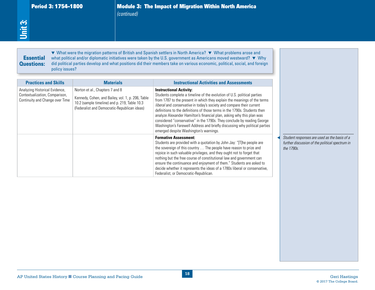#### Period 3: 1754–1800 Module 3: The Impact of Migration Within North America *(continued)*

# **Essential** Questions:

| <b>Essential</b><br><b>Questions:</b><br>policy issues?                                                                            |                                                                                                                                                                                                           | ▼ What were the migration patterns of British and Spanish settlers in North America? ▼ What problems arose and<br>what political and/or diplomatic initiatives were taken by the U.S. government as Americans moved westward? ▼ Why<br>did political parties develop and what positions did their members take on various economic, political, social, and foreign                                                                                                                                                                                                                                                                                                                                                                                                                                                                                                                                                                                                                                                                                                                                                                                                                                         |                                                                                                               |
|------------------------------------------------------------------------------------------------------------------------------------|-----------------------------------------------------------------------------------------------------------------------------------------------------------------------------------------------------------|------------------------------------------------------------------------------------------------------------------------------------------------------------------------------------------------------------------------------------------------------------------------------------------------------------------------------------------------------------------------------------------------------------------------------------------------------------------------------------------------------------------------------------------------------------------------------------------------------------------------------------------------------------------------------------------------------------------------------------------------------------------------------------------------------------------------------------------------------------------------------------------------------------------------------------------------------------------------------------------------------------------------------------------------------------------------------------------------------------------------------------------------------------------------------------------------------------|---------------------------------------------------------------------------------------------------------------|
| <b>Practices and Skills</b><br>Analyzing Historical Evidence,<br>Contextualization, Comparison,<br>Continuity and Change over Time | <b>Materials</b><br>Norton et al., Chapters 7 and 8<br>Kennedy, Cohen, and Bailey, vol. 1, p. 206, Table<br>10.2 (sample timeline) and p. 219, Table 10.3<br>(Federalist and Democratic-Republican ideas) | <b>Instructional Activities and Assessments</b><br><b>Instructional Activity:</b><br>Students complete a timeline of the evolution of U.S. political parties<br>from 1787 to the present in which they explain the meanings of the terms<br>liberal and conservative in today's society and compare their current<br>definitions to the definitions of those terms in the 1790s. Students then<br>analyze Alexander Hamilton's financial plan, asking why this plan was<br>considered "conservative" in the 1790s. They conclude by reading George<br>Washington's Farewell Address and briefly discussing why political parties<br>emerged despite Washington's warnings.<br><b>Formative Assessment:</b><br>Students are provided with a quotation by John Jay: "[T]he people are<br>the sovereign of this country  The people have reason to prize and<br>rejoice in such valuable privileges, and they ought not to forget that<br>nothing but the free course of constitutional law and government can<br>ensure the continuance and enjoyment of them." Students are asked to<br>decide whether it represents the ideas of a 1780s liberal or conservative,<br>Federalist, or Democratic-Republican. | Student responses are used as the basis of a<br>further discussion of the political spectrum in<br>the 1790s. |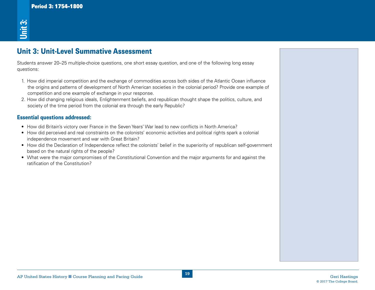# Period 3: 1754–1800<br> **2:**<br>
<u>Unit 3: Unit-Level Summative Assessment</u>

Students answer 20–25 multiple-choice questions, one short essay question, and one of the following long essay questions:

- AP<br>
AP United States History **Biography Assessment**<br>
United States History and Course Planning and Pacing Course Planning and Pacing Guide Geri Hasting Guide Geri<br>
Unit 3: Unit if the Course Planning and Pacing Guide Ger 1. How did imperial competition and the exchange of commodities across both sides of the Atlantic Ocean influence the origins and patterns of development of North American societies in the colonial period? Provide one example of competition and one example of exchange in your response.
- 2. How did changing religious ideals, Enlightenment beliefs, and republican thought shape the politics, culture, and society of the time period from the colonial era through the early Republic?

#### Essential questions addressed:

- How did Britain's victory over France in the Seven Years' War lead to new conflicts in North America?
- • How did perceived and real constraints on the colonists' economic activities and political rights spark a colonial independence movement and war with Great Britain?
- How did the Declaration of Independence reflect the colonists' belief in the superiority of republican self-government based on the natural rights of the people?
- What were the major compromises of the Constitutional Convention and the major arguments for and against the ratification of the Constitution?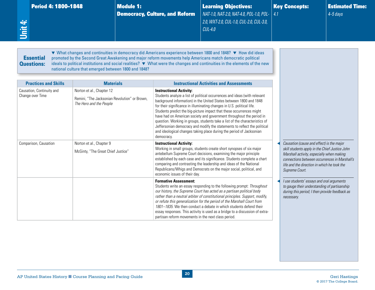<span id="page-24-0"></span>

| <b>Period 4: 1800-1848</b><br>Unit 4:                                        |                                                                                                                           | <b>Module 1:</b> | <b>Democracy, Culture, and Reform</b>                                               | <b>Learning Objectives:</b><br>NAT-1.0, NAT-2.0, NAT-4.0, POL-1.0, POL-<br>2.0, WXT-2.0, CUL-1.0, CUL-2.0, CUL-3.0,<br><b>CUL-4.0</b>                                                                                                                                                                                                                                                                                                                                                                                                                                                                                                                            | 4.1 | <b>Key Concepts:</b>                                                                                                                                                                                                                                       | <b>Estimated Time:</b><br>$4 - 5$ days |
|------------------------------------------------------------------------------|---------------------------------------------------------------------------------------------------------------------------|------------------|-------------------------------------------------------------------------------------|------------------------------------------------------------------------------------------------------------------------------------------------------------------------------------------------------------------------------------------------------------------------------------------------------------------------------------------------------------------------------------------------------------------------------------------------------------------------------------------------------------------------------------------------------------------------------------------------------------------------------------------------------------------|-----|------------------------------------------------------------------------------------------------------------------------------------------------------------------------------------------------------------------------------------------------------------|----------------------------------------|
| <b>Essential</b><br><b>Questions:</b>                                        | national culture that emerged between 1800 and 1848?                                                                      |                  |                                                                                     | ▼ What changes and continuities in democracy did Americans experience between 1800 and 1848? ▼ How did ideas<br>promoted by the Second Great Awakening and major reform movements help Americans match democratic political<br>ideals to political institutions and social realities? ▼ What were the changes and continuities in the elements of the new                                                                                                                                                                                                                                                                                                        |     |                                                                                                                                                                                                                                                            |                                        |
| <b>Practices and Skills</b><br>Causation, Continuity and<br>Change over Time | <b>Materials</b><br>Norton et al., Chapter 12<br>Remini. "The Jacksonian Revolution" or Brown.<br>The Hero and the People |                  | <b>Instructional Activity:</b><br>democracy.                                        | <b>Instructional Activities and Assessments</b><br>Students analyze a list of political occurrences and ideas (with relevant<br>background information) in the United States between 1800 and 1848<br>for their significance in illuminating changes in U.S. political life.<br>Students predict the big-picture impact that these occurrences might<br>have had on American society and government throughout the period in<br>question. Working in groups, students take a list of the characteristics of<br>Jeffersonian democracy and modify the statements to reflect the political<br>and ideological changes taking place during the period of Jacksonian |     |                                                                                                                                                                                                                                                            |                                        |
| Comparison, Causation                                                        | Norton et al., Chapter 9<br>McGinty, "The Great Chief Justice"                                                            |                  | <b>Instructional Activity:</b><br>economic issues of their day.                     | Working in small groups, students create short synopses of six major<br>antebellum Supreme Court decisions, examining the major principle<br>established by each case and its significance. Students complete a chart<br>comparing and contrasting the leadership and ideas of the National<br>Republicans/Whigs and Democrats on the major social, political, and                                                                                                                                                                                                                                                                                               |     | Causation (cause and effect) is the major<br>skill students apply in the Chief Justice John<br>Marshall activity, especially when making<br>connections between occurrences in Marshall's<br>life and the direction in which he took the<br>Supreme Court. |                                        |
|                                                                              |                                                                                                                           |                  | <b>Formative Assessment:</b><br>partisan reform movements in the next class period. | Students write an essay responding to the following prompt: Throughout<br>our history, the Supreme Court has acted as a partisan political body<br>rather than a neutral arbiter of constitutional principles. Support, modify,<br>or refute this generalization for the period of the Marshall Court from<br>1801–1835. We then conduct a debate in which students defend their<br>essay responses. This activity is used as a bridge to a discussion of extra-                                                                                                                                                                                                 |     | I use students' essays and oral arguments<br>to gauge their understanding of partisanship<br>during this period; I then provide feedback as<br>necessary.                                                                                                  |                                        |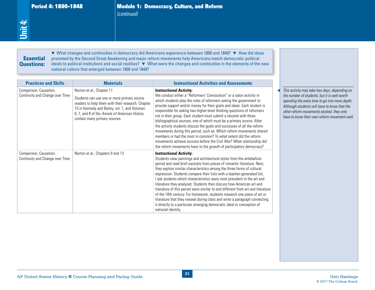#### **Essential** Questions:

| <b>Practices and Skills</b>                               | <b>Materials</b>                                                                                                                                                                                                                                                 | <b>Instructional Activities and Assessments</b>                                                                                                                                                                                                                                                                                                                                                                                                                                                                                                                                                                                                                                                                                                                                                                                                        |                                                                                                                                                                                                                                                                                              |
|-----------------------------------------------------------|------------------------------------------------------------------------------------------------------------------------------------------------------------------------------------------------------------------------------------------------------------------|--------------------------------------------------------------------------------------------------------------------------------------------------------------------------------------------------------------------------------------------------------------------------------------------------------------------------------------------------------------------------------------------------------------------------------------------------------------------------------------------------------------------------------------------------------------------------------------------------------------------------------------------------------------------------------------------------------------------------------------------------------------------------------------------------------------------------------------------------------|----------------------------------------------------------------------------------------------------------------------------------------------------------------------------------------------------------------------------------------------------------------------------------------------|
| Comparison, Causation,<br>Continuity and Change over Time | Norton et al., Chapter 11<br>Students can use one or more primary source<br>readers to help them with their research. Chapter<br>15 in Kennedy and Bailey, vol. 1, and Volumes<br>6, 7, and 8 of the Annals of American History<br>contain many primary sources. | <b>Instructional Activity:</b><br>We conduct either a "Reformers' Convocation" or a salon activity in<br>which students play the roles of reformers asking the government to<br>provide support and/or money for their goals and ideas. Each student is<br>responsible for asking two higher-level thinking questions of reformers<br>not in their group. Each student must submit a résumé with three<br>bibliographical sources, one of which must be a primary source. After<br>the activity students discuss the goals and successes of all the reform<br>movements during this period, such as: Which reform movements shared<br>members or had the most in common? To what extent did the reform<br>movements achieve success before the Civil War? What relationship did<br>the reform movements have to the growth of participatory democracy? | This activity may take two days, depending on<br>the number of students, but it is well worth<br>spending the extra time to go into more depth.<br>Although students will have to know that the<br>other reform movements existed, they only<br>have to know their own reform movement well. |
| Comparison, Causation,<br>Continuity and Change over Time | Norton et al., Chapters 9 and 13                                                                                                                                                                                                                                 | <b>Instructional Activity:</b><br>Students view paintings and architectural styles from the antebellum<br>period and read brief excerpts from pieces of romantic literature. Next,<br>they explore similar characteristics among the three forms of cultural<br>expression. Students compare their lists with a teacher-generated list;<br>I ask students which characteristics were most prevalent in the art and<br>literature they analyzed. Students then discuss how American art and<br>literature of this period were similar to and different from art and literature<br>of the 18th century. For homework, students research one piece of art or<br>literature that they viewed during class and write a paragraph connecting<br>it directly to a particular emerging democratic ideal or conception of<br>national identity.                 |                                                                                                                                                                                                                                                                                              |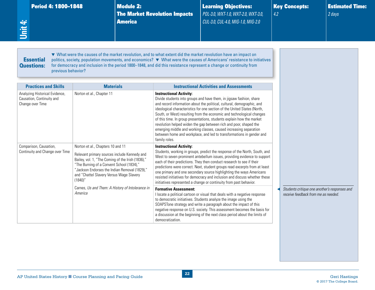|  | <b>Period 4: 1800–1848</b> |  |
|--|----------------------------|--|
|  |                            |  |

Learning Objectives: *POL-3.0, WXT-1.0, WXT-2.0, WXT-3.0, CUL-3.0, CUL-4.0, MIG-1.0, MIG-2.0*

Key Concepts: *4.2*

Estimated Time: *2 days*

**Essential** Questions:

<span id="page-26-0"></span>**Unit 4:**

▼ What were the causes of the market revolution, and to what extent did the market revolution have an impact on politics, society, population movements, and economics? ▼ What were the causes of Americans' resistance to initiatives for democracy and inclusion in the period 1800–1848, and did this resistance represent a change or continuity from previous behavior?

| <b>Practices and Skills</b>                                                     | <b>Materials</b>                                                                                                                                                                                                                                                                            | <b>Instructional Activities and Assessments</b>                                                                                                                                                                                                                                                                                                                                                                                                                                                                                                                                                                                                  |                                                                                      |
|---------------------------------------------------------------------------------|---------------------------------------------------------------------------------------------------------------------------------------------------------------------------------------------------------------------------------------------------------------------------------------------|--------------------------------------------------------------------------------------------------------------------------------------------------------------------------------------------------------------------------------------------------------------------------------------------------------------------------------------------------------------------------------------------------------------------------------------------------------------------------------------------------------------------------------------------------------------------------------------------------------------------------------------------------|--------------------------------------------------------------------------------------|
| Analyzing Historical Evidence,<br>Causation, Continuity and<br>Change over Time | Norton et al., Chapter 11                                                                                                                                                                                                                                                                   | <b>Instructional Activity:</b><br>Divide students into groups and have them, in jigsaw fashion, share<br>and record information about the political, cultural, demographic, and<br>ideological characteristics for one section of the United States (North,<br>South, or West) resulting from the economic and technological changes<br>of this time. In group presentations, students explain how the market<br>revolution helped widen the gap between rich and poor, shaped the<br>emerging middle and working classes, caused increasing separation<br>between home and workplace, and led to transformations in gender and<br>family roles. |                                                                                      |
| Comparison, Causation,<br>Continuity and Change over Time                       | Norton et al., Chapters 10 and 11<br>Relevant primary sources include Kennedy and<br>Bailey, vol. 1, "The Coming of the Irish (1836),"<br>"The Burning of a Convent School (1834),"<br>"Jackson Endorses the Indian Removal (1829),"<br>and "Chattel Slavery Versus Wage Slavery<br>(1840)' | <b>Instructional Activity:</b><br>Students, working in groups, predict the response of the North, South, and<br>West to seven prominent antebellum issues, providing evidence to support<br>each of their predictions. They then conduct research to see if their<br>predictions were correct. Next, student groups read excerpts from at least<br>one primary and one secondary source highlighting the ways Americans<br>resisted initiatives for democracy and inclusion and discuss whether these<br>initiatives represented a change or continuity from past behavior.                                                                      |                                                                                      |
|                                                                                 | Carnes, Us and Them: A History of Intolerance in<br>America                                                                                                                                                                                                                                 | <b>Formative Assessment:</b><br>I locate a political cartoon or visual that deals with a negative response<br>to democratic initiatives. Students analyze the image using the<br>SOAPSTone strategy and write a paragraph about the impact of this<br>negative response on U.S. society. This assessment becomes the basis for<br>a discussion at the beginning of the next class period about the limits of<br>democratization.                                                                                                                                                                                                                 | Students critique one another's responses and<br>receive feedback from me as needed. |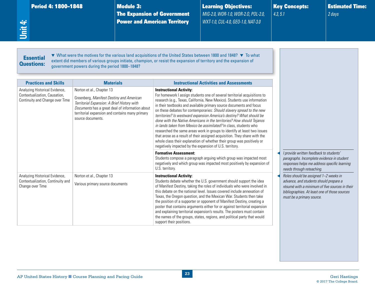| Period 4: 1800–1848 |  |  |
|---------------------|--|--|
|                     |  |  |

**Module 3:** The Expansion of Government Power and American Territory

Learning Objectives: *MIG-2.0, WOR-1.0, WOR-2.O, POL-2.0, WXT-1.0, CUL-4.0, GEO-1.0, NAT-3.0*

Key Concepts: *4.3, 5.1*

Estimated Time: *2 days*

#### **Essential** Questions:

<span id="page-27-0"></span>**Unit 4:**

▼ What were the motives for the various land acquisitions of the United States between 1800 and 1848? ▼ To what extent did members of various groups initiate, champion, or resist the expansion of territory and the expansion of government powers during the period 1800–1848?

| <b>Practices and Skills</b>                                                                        | <b>Materials</b>                                                                                                                                                                                                                                | <b>Instructional Activities and Assessments</b>                                                                                                                                                                                                                                                                                                                                                                                                                                                                                                                                                                                                                                                                                                                                                                                                             |
|----------------------------------------------------------------------------------------------------|-------------------------------------------------------------------------------------------------------------------------------------------------------------------------------------------------------------------------------------------------|-------------------------------------------------------------------------------------------------------------------------------------------------------------------------------------------------------------------------------------------------------------------------------------------------------------------------------------------------------------------------------------------------------------------------------------------------------------------------------------------------------------------------------------------------------------------------------------------------------------------------------------------------------------------------------------------------------------------------------------------------------------------------------------------------------------------------------------------------------------|
| Analyzing Historical Evidence,<br>Contextualization, Causation,<br>Continuity and Change over Time | Norton et al., Chapter 13<br>Greenberg, Manifest Destiny and American<br>Territorial Expansion: A Brief History with<br>Documents has a great deal of information about<br>territorial expansion and contains many primary<br>source documents. | <b>Instructional Activity:</b><br>For homework I assign students one of several territorial acquisitions to<br>research (e.g., Texas, California, New Mexico). Students use information<br>in their textbooks and available primary source documents and focus<br>on these debates for contemporaries: Should slavery spread to the new<br>territories? Is westward expansion America's destiny? What should be<br>done with the Native Americans in the territories? How should Tejanos<br>in lands taken from Mexico be assimilated? In class, students who<br>researched the same areas work in groups to identify at least two issues<br>that arose as a result of their assigned acquisition. They share with the<br>whole class their explanation of whether their group was positively or<br>negatively impacted by the expansion of U.S. territory. |
|                                                                                                    |                                                                                                                                                                                                                                                 | <b>Formative Assessment:</b><br>Students compose a paragraph arguing which group was impacted most<br>negatively and which group was impacted most positively by expansion of<br>U.S. territory.                                                                                                                                                                                                                                                                                                                                                                                                                                                                                                                                                                                                                                                            |
| Analyzing Historical Evidence,<br>Contextualization, Continuity and<br>Change over Time            | Norton et al., Chapter 13<br>Various primary source documents                                                                                                                                                                                   | <b>Instructional Activity:</b><br>Students debate whether the U.S. government should support the idea<br>of Manifest Destiny, taking the roles of individuals who were involved in<br>this debate on the national level. Issues covered include annexation of<br>Texas, the Oregon question, and the Mexican War. Students then take<br>the position of a supporter or opponent of Manifest Destiny, creating a<br>poster that contains arguments either for or against territorial expansion<br>and explaining territorial expansion's results. The posters must contain<br>the names of the groups, states, regions, and political party that would<br>support their positions.                                                                                                                                                                           |

◀ *I provide written feedback to students' paragraphs. Incomplete evidence in student responses helps me address specific learning needs through reteaching.*

◀ *Roles should be assigned 1–2 weeks in advance, and students should prepare a résumé with a minimum of five sources in their bibliographies. At least one of those sources must be a primary source.*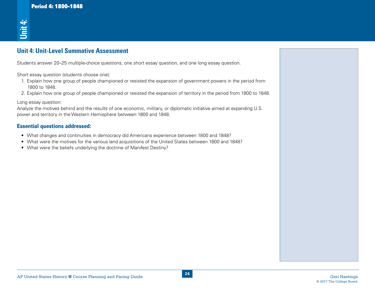# **Unit 4: Unit-Level Summative Assessment**

Students answer 20–25 multiple-choice questions, one short essay question, and one long essay question.

Short essay question (students choose one):

- 1. Explain how one group of people championed or resisted the expansion of government powers in the period from 1800 to 1848.
- 2. Explain how one group of people championed or resisted the expansion of territory in the period from 1800 to 1848.

Long essay question:

AP<br>
AP United States Historical Summarize Assessment<br>
States a maximal 20-23 multilated policy questions, one after assessment to the Vice States and Court of the<br>
1. Excel were planning and Pacing Guide Cerimical of Vanda Analyze the motives behind and the results of one economic, military, or diplomatic initiative aimed at expanding U.S. power and territory in the Western Hemisphere between 1800 and 1848. **• What were the beliefs underlying the doctrine of Manifest Destiny?**<br>• What were the beliefs answer 20–25 multiple-choice questions, one short essay question for the stay question (students choose one):<br>1. Explain how on

#### Essential questions addressed:

- • What changes and continuities in democracy did Americans experience between 1800 and 1848?
- What were the motives for the various land acquisitions of the United States between 1800 and 1848?
-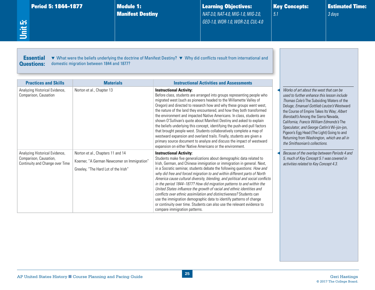Manifest Destiny

Learning Objectives: *NAT-3.0, NAT-4.0, MIG-1.0, MIG-2.0, GEO-1.0, WOR-1.0, WOR-2.0, CUL-4.0*  Key Concepts: *5.1*

Estimated Time: *3 days*

<span id="page-29-0"></span>**Unit 5:**

Essential Questions: ▼ What were the beliefs underlying the doctrine of Manifest Destiny? ▼ Why did conflicts result from international and domestic migration between 1844 and 1877?

| <b>Practices and Skills</b>                                                                 | <b>Materials</b>                                                                                                         | <b>Instructional Activities and Assessments</b>                                                                                                                                                                                                                                                                                                                                                                                                                                                                                                                                                                                                                                                                                                                                                                                                        |                                                                                                                                                                                                                                                                                                                                                                                                                                                                                                    |
|---------------------------------------------------------------------------------------------|--------------------------------------------------------------------------------------------------------------------------|--------------------------------------------------------------------------------------------------------------------------------------------------------------------------------------------------------------------------------------------------------------------------------------------------------------------------------------------------------------------------------------------------------------------------------------------------------------------------------------------------------------------------------------------------------------------------------------------------------------------------------------------------------------------------------------------------------------------------------------------------------------------------------------------------------------------------------------------------------|----------------------------------------------------------------------------------------------------------------------------------------------------------------------------------------------------------------------------------------------------------------------------------------------------------------------------------------------------------------------------------------------------------------------------------------------------------------------------------------------------|
| Analyzing Historical Evidence,<br>Comparison, Causation                                     | Norton et al., Chapter 13                                                                                                | <b>Instructional Activity:</b><br>Before class, students are arranged into groups representing people who<br>migrated west (such as pioneers headed to the Willamette Valley of<br>Oregon) and directed to research how and why these groups went west,<br>the nature of the land they encountered, and how they both transformed<br>the environment and impacted Native Americans. In class, students are<br>shown O'Sullivan's quote about Manifest Destiny and asked to explain<br>the beliefs underlying this concept, identifying the push-and-pull factors<br>that brought people west. Students collaboratively complete a map of<br>westward expansion and overland trails. Finally, students are given a<br>primary source document to analyze and discuss the impact of westward<br>expansion on either Native Americans or the environment. | Works of art about the west that can be<br>used to further enhance this lesson include<br>Thomas Cole's The Subsiding Waters of the<br>Deluge; Emanuel Gottlieb Leutze's Westward<br>the Course of Empire Takes Its Way; Albert<br>Bierstadt's Among the Sierra Nevada,<br>California; Francis William Edmonds's The<br>Speculator; and George Catlin's Wi-jún-jon,<br>Pigeon's Egg Head (The Light) Going to and<br>Returning from Washington, which are all in<br>the Smithsonian's collections. |
| Analyzing Historical Evidence,<br>Comparison, Causation,<br>Continuity and Change over Time | Norton et al., Chapters 11 and 14<br>Koerner, "A German Newcomer on Immigration"<br>Greeley, "The Hard Lot of the Irish" | <b>Instructional Activity:</b><br>Students make five generalizations about demographic data related to<br>Irish, German, and Chinese immigration or immigration in general. Next,<br>in a Socratic seminar, students debate the following questions: How and<br>why did free and forced migration to and within different parts of North<br>America cause cultural diversity, blending, and political and social conflicts<br>in the period 1844-1877? How did migration patterns to and within the<br>United States influence the growth of racial and ethnic identities and<br>conflicts over ethnic assimilation and distinctiveness? Students can<br>use the immigration demographic data to identify patterns of change<br>or continuity over time. Students can also use the relevant evidence to<br>compare immigration patterns.               | Because of the overlap between Periods 4 and<br>5, much of Key Concept 5.1 was covered in<br>activities related to Key Concept 4.3.                                                                                                                                                                                                                                                                                                                                                                |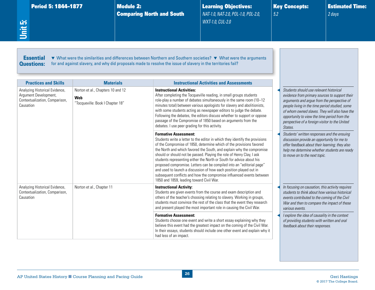Comparing North and South

Learning Objectives: *NAT-1.0, NAT-2.0, POL-1.0, POL-2.0, WXT-1.0, CUL-2.0*

Key Concepts: *5.2*

Estimated Time: *2 days*

<span id="page-30-0"></span>**Unit 5:**

**Essential** Questions: ▼ What were the similarities and differences between Northern and Southern societies? ▼ What were the arguments for and against slavery, and why did proposals made to resolve the issue of slavery in the territories fail?

| <b>Practices and Skills</b>                                                                            | <b>Materials</b>                                                                    | <b>Instructional Activities and Assessments</b>                                                                                                                                                                                                                                                                                                                                                                                                                                                                                                                                                                                                                                   |                                                                                                                                                                                                                                                                                                                                                          |
|--------------------------------------------------------------------------------------------------------|-------------------------------------------------------------------------------------|-----------------------------------------------------------------------------------------------------------------------------------------------------------------------------------------------------------------------------------------------------------------------------------------------------------------------------------------------------------------------------------------------------------------------------------------------------------------------------------------------------------------------------------------------------------------------------------------------------------------------------------------------------------------------------------|----------------------------------------------------------------------------------------------------------------------------------------------------------------------------------------------------------------------------------------------------------------------------------------------------------------------------------------------------------|
| Analyzing Historical Evidence,<br>Argument Development,<br>Contextualization, Comparison,<br>Causation | Norton et al., Chapters 10 and 12<br><b>Web</b><br>"Tocqueville: Book I Chapter 18" | <b>Instructional Activities:</b><br>After completing the Tocqueville reading, in small groups students<br>role-play a number of debates simultaneously in the same room (10-12<br>minutes total) between various apologists for slavery and abolitionists,<br>with some students acting as newspaper editors to judge the debate.<br>Following the debates, the editors discuss whether to support or oppose<br>passage of the Compromise of 1850 based on arguments from the<br>debates. I use peer grading for this activity.                                                                                                                                                   | Students should use relevant historical<br>evidence from primary sources to support their<br>arguments and argue from the perspective of<br>people living in the time period studied, some<br>of whom owned slaves. They will also have the<br>opportunity to view the time period from the<br>perspective of a foreign visitor to the United<br>States. |
|                                                                                                        |                                                                                     | <b>Formative Assessment:</b><br>Students write a letter to the editor in which they identify the provisions<br>of the Compromise of 1850, determine which of the provisions favored<br>the North and which favored the South, and explain why the compromise<br>should or should not be passed. Playing the role of Henry Clay, I ask<br>students representing either the North or South for advice about his<br>proposed compromise. Letters can be compiled into an "editorial page"<br>and used to launch a discussion of how each position played out in<br>subsequent conflicts and how the compromise influenced events between<br>1850 and 1859, leading toward Civil War. | Students' written responses and the ensuing<br>discussion provide an opportunity for me to<br>offer feedback about their learning; they also<br>help me determine whether students are ready<br>to move on to the next topic.                                                                                                                            |
| Analyzing Historical Evidence,<br>Contextualization, Comparison,<br>Causation                          | Norton et al., Chapter 11                                                           | <b>Instructional Activity:</b><br>Students are given events from the course and exam description and<br>others of the teacher's choosing relating to slavery. Working in groups,<br>students must convince the rest of the class that the event they research<br>and present played the most important role in causing the Civil War.                                                                                                                                                                                                                                                                                                                                             | In focusing on causation, this activity requires<br>students to think about how various historical<br>events contributed to the coming of the Civil<br>War and then to compare the impact of these<br>various events.                                                                                                                                    |
|                                                                                                        |                                                                                     | <b>Formative Assessment:</b><br>Students choose one event and write a short essay explaining why they<br>believe this event had the greatest impact on the coming of the Civil War.<br>In their essays, students should include one other event and explain why it<br>had less of an impact.                                                                                                                                                                                                                                                                                                                                                                                      | I explore the idea of causality in the context<br>of providing students with written and oral<br>feedback about their responses.                                                                                                                                                                                                                         |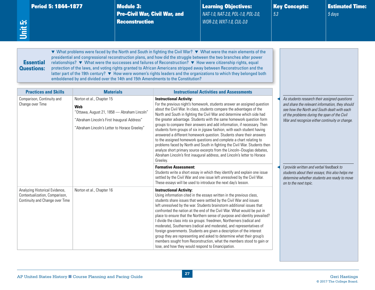| Period 5: 1844–1877 |  |  |
|---------------------|--|--|
|                     |  |  |

**Module 3:** Pre–Civil War, Civil War, and **Reconstruction** 

Learning Objectives: *NAT-1.0, NAT-2.0, POL-1.0, POL-3.0, WOR-2.0, WXT-1.0, CUL-3.0*

Key Concepts: *5.3*

Estimated Time: *5 days*

<span id="page-31-0"></span>**Unit 5:**

# **Essential** Questions:

▼ What problems were faced by the North and South in fighting the Civil War? ▼ What were the main elements of the presidential and congressional reconstruction plans, and how did the struggle between the two branches alter power relationships? ▼ What were the successes and failures of Reconstruction? ▼ How were citizenship rights, equal protection of the laws, and voting rights granted to African Americans stripped away between Reconstruction and the latter part of the 19th century? ▼ How were women's rights leaders and the organizations to which they belonged both emboldened by and divided over the 14th and 15th Amendments to the Constitution?

| <b>Practices and Skills</b>                                                                         | <b>Materials</b>                                                                                                                                                               | <b>Instructional Activities and Assessments</b>                                                                                                                                                                                                                                                                                                                                                                                                                                                                                                                                                                                                                                                                                                                                                                                                                                                                             |                                                                                                                                                                                                                                                   |
|-----------------------------------------------------------------------------------------------------|--------------------------------------------------------------------------------------------------------------------------------------------------------------------------------|-----------------------------------------------------------------------------------------------------------------------------------------------------------------------------------------------------------------------------------------------------------------------------------------------------------------------------------------------------------------------------------------------------------------------------------------------------------------------------------------------------------------------------------------------------------------------------------------------------------------------------------------------------------------------------------------------------------------------------------------------------------------------------------------------------------------------------------------------------------------------------------------------------------------------------|---------------------------------------------------------------------------------------------------------------------------------------------------------------------------------------------------------------------------------------------------|
| Comparison, Continuity and<br>Change over Time                                                      | Norton et al., Chapter 15<br>Web<br>"Ottawa, August 21, 1858 - Abraham Lincoln'<br>"Abraham Lincoln's First Inaugural Address"<br>"Abraham Lincoln's Letter to Horace Greeley" | <b>Instructional Activity:</b><br>For the previous night's homework, students answer an assigned question<br>about the Civil War. In class, students compare the advantages of the<br>North and South in fighting the Civil War and determine which side had<br>the greater advantage. Students with the same homework question form<br>groups to compare their answers and add information, if necessary. Then<br>students form groups of six in jigsaw fashion, with each student having<br>answered a different homework question. Students share their answers<br>to the assigned homework questions and complete a chart relating to<br>problems faced by North and South in fighting the Civil War. Students then<br>analyze short primary source excerpts from the Lincoln-Douglas debates,<br>Abraham Lincoln's first inaugural address, and Lincoln's letter to Horace<br>Greeley.<br><b>Formative Assessment:</b> | As students research their assigned questions<br>and share the relevant information, they should<br>see how the North and South dealt with each<br>of the problems during the span of the Civil<br>War and recognize either continuity or change. |
|                                                                                                     |                                                                                                                                                                                | Students write a short essay in which they identify and explain one issue<br>settled by the Civil War and one issue left unresolved by the Civil War.<br>These essays will be used to introduce the next day's lesson.                                                                                                                                                                                                                                                                                                                                                                                                                                                                                                                                                                                                                                                                                                      | I provide written and verbal feedback to<br>students about their essays; this also helps me<br>determine whether students are ready to move<br>on to the next topic.                                                                              |
| Analyzing Historical Evidence,<br>Contextualization, Comparison,<br>Continuity and Change over Time | Norton et al., Chapter 16                                                                                                                                                      | <b>Instructional Activity:</b><br>Using information cited in the essays written in the previous class,<br>students share issues that were settled by the Civil War and issues<br>left unresolved by the war. Students brainstorm additional issues that<br>confronted the nation at the end of the Civil War. What would be put in<br>place to ensure that the Northern sense of purpose and identity prevailed?<br>I divide the class into six groups: freedmen, Northerners (radical and<br>moderate), Southerners (radical and moderate), and representatives of<br>foreign governments. Students are given a description of the interest<br>group they are representing and asked to determine what their group's<br>members sought from Reconstruction, what the members stood to gain or<br>lose, and how they would respond to Emancipation.                                                                         |                                                                                                                                                                                                                                                   |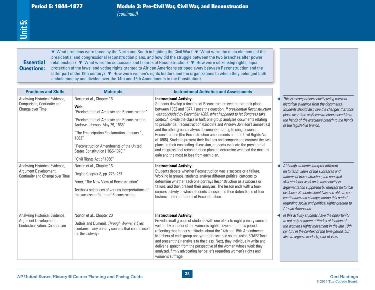# **Essential** Questions:

| Unit 5:<br><b>Essential</b><br><b>Questions:</b>                                           | emboldened by and divided over the 14th and 15th Amendments to the Constitution?                                                                                                                                                                                                                                                        | ▼ What problems were faced by the North and South in fighting the Civil War? ▼ What were the main elements of the<br>presidential and congressional reconstruction plans, and how did the struggle between the two branches alter power<br>relationships? ▼ What were the successes and failures of Reconstruction? ▼ How were citizenship rights, equal<br>protection of the laws, and voting rights granted to African Americans stripped away between Reconstruction and the<br>latter part of the 19th century? $\blacktriangledown$ How were women's rights leaders and the organizations to which they belonged both                                                                                                                                                                                                                             |                                                                                                                                                                                                                                                                                                                                                                                                        |
|--------------------------------------------------------------------------------------------|-----------------------------------------------------------------------------------------------------------------------------------------------------------------------------------------------------------------------------------------------------------------------------------------------------------------------------------------|--------------------------------------------------------------------------------------------------------------------------------------------------------------------------------------------------------------------------------------------------------------------------------------------------------------------------------------------------------------------------------------------------------------------------------------------------------------------------------------------------------------------------------------------------------------------------------------------------------------------------------------------------------------------------------------------------------------------------------------------------------------------------------------------------------------------------------------------------------|--------------------------------------------------------------------------------------------------------------------------------------------------------------------------------------------------------------------------------------------------------------------------------------------------------------------------------------------------------------------------------------------------------|
| <b>Practices and Skills</b>                                                                | <b>Materials</b>                                                                                                                                                                                                                                                                                                                        | <b>Instructional Activities and Assessments</b>                                                                                                                                                                                                                                                                                                                                                                                                                                                                                                                                                                                                                                                                                                                                                                                                        |                                                                                                                                                                                                                                                                                                                                                                                                        |
| Analyzing Historical Evidence,<br>Comparison, Continuity and<br>Change over Time           | Norton et al., Chapter 16<br>Web:<br>"Proclamation of Amnesty and Reconstruction"<br>"Proclamation of Amnesty and Reconstruction,<br>Andrew Johnson, May 29, 1865"<br>"The Emancipation Proclamation, January 1,<br>1863"<br>"Reconstruction Amendments of the United<br>States Constitution (1865-1870)"<br>"Civil Rights Act of 1866" | <b>Instructional Activity:</b><br>Students develop a timeline of Reconstruction events that took place<br>between 1862 and 1877. I pose the question, If presidential Reconstruction<br>was concluded by December 1865, what happened to let Congress take<br>control? I divide the class in half: one group analyzes documents relating<br>to presidential Reconstruction (Lincoln's and Andrew Johnson's amnesties)<br>and the other group analyzes documents relating to congressional<br>Reconstruction (the Reconstruction amendments and the Civil Rights Act<br>of 1866). Students present their findings and compare and contrast the two<br>plans. In their concluding discussion, students evaluate the presidential<br>and congressional reconstruction plans to determine who had the most to<br>gain and the most to lose from each plan. | This is a comparison activity using relevant<br>historical evidence from the documents.<br>Students should also see the changes that took<br>place over time as Reconstruction moved from<br>the hands of the executive branch to the hands<br>of the legislative branch.                                                                                                                              |
| Analyzing Historical Evidence,<br>Argument Development,<br>Continuity and Change over Time | Norton et al., Chapter 16<br>Degler, Chapter 8, pp. 228-257<br>Foner, "The New View of Reconstruction"<br>Textbook selections of various interpretations of<br>the success or failure of Reconstruction                                                                                                                                 | <b>Instructional Activity:</b><br>Students debate whether Reconstruction was a success or a failure.<br>Working in groups, students analyze different political cartoons to<br>determine whether each one portrays Reconstruction as a success or<br>failure, and then present their analyses. The lesson ends with a four-<br>corners activity in which students choose (and then defend) one of four<br>historical interpretations of Reconstruction.                                                                                                                                                                                                                                                                                                                                                                                                | Although students interpret different<br>historians' views of the successes and<br>failures of Reconstruction, the principal<br>skill students work on in this activity is<br>argumentation supported by relevant historical<br>evidence. Students should also be able to see<br>continuities and changes during this period<br>regarding social and political rights granted to<br>African Americans. |
| Analyzing Historical Evidence,<br>Argument Development,<br>Contextualization, Comparison   | Norton et al., Chapter 20<br>DuBois and Dumenil, Through Women's Eyes<br>(contains many primary sources that can be used<br>for this activity)                                                                                                                                                                                          | <b>Instructional Activity:</b><br>Provide small groups of students with one of six to eight primary sources<br>written by a leader of the women's rights movement in this period,<br>reflecting that leader's attitudes about the 14th and 15th Amendments.<br>Members of each group analyze their assigned source using SOAPSTone<br>and present their analysis to the class. Next, they individually write and<br>deliver a speech from the perspective of the woman whose work they<br>analyzed, firmly advocating her beliefs regarding women's rights and<br>women's suffrage.                                                                                                                                                                                                                                                                    | In this activity students have the opportunity<br>to not only compare attitudes of leaders of<br>the women's rights movement in the late 19th<br>century in the context of the time period, but<br>also to argue a leader's point of view.                                                                                                                                                             |
|                                                                                            | AP United States History Course Planning and Pacing Guide                                                                                                                                                                                                                                                                               | ${\bf 28}$                                                                                                                                                                                                                                                                                                                                                                                                                                                                                                                                                                                                                                                                                                                                                                                                                                             | <b>Geri Hastings</b>                                                                                                                                                                                                                                                                                                                                                                                   |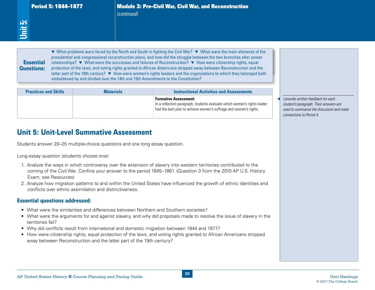Period 5: 1844–1877 Module 3: Pre–Civil War, Civil War, and Reconstruction<br>
(continued)<br>
sections: and the civil War and Reconstruction<br>
presidential and congressional reconstruction plans, and how did the struggle betwee ▼ What problems were faced by the North and South in fighting the Civil War? ▼ What were the main elements of the presidential and congressional reconstruction plans, and how did the struggle between the two branches alter power relationships? ▼ What were the successes and failures of Reconstruction? ▼ How were citizenship rights, equal protection of the laws, and voting rights granted to African Americans stripped away between Reconstruction and the latter part of the 19th century? ▼ How were women's rights leaders and the organizations to which they belonged both emboldened by and divided over the 14th and 15th Amendments to the Constitution?

| <b>Essential</b><br><b>Questions:</b>                                                                       | emboldened by and divided over the 14th and 15th Amendments to the Constitution? | ▼ What problems were faced by the North and South in fighting the Civil War? ▼ What were the main elements of the<br>presidential and congressional reconstruction plans, and how did the struggle between the two branches alter power<br>relationships? ▼ What were the successes and failures of Reconstruction? ▼ How were citizenship rights, equal<br>protection of the laws, and voting rights granted to African Americans stripped away between Reconstruction and the<br>latter part of the 19th century? ▼ How were women's rights leaders and the organizations to which they belonged both |                                                                                                                                                        |  |
|-------------------------------------------------------------------------------------------------------------|----------------------------------------------------------------------------------|---------------------------------------------------------------------------------------------------------------------------------------------------------------------------------------------------------------------------------------------------------------------------------------------------------------------------------------------------------------------------------------------------------------------------------------------------------------------------------------------------------------------------------------------------------------------------------------------------------|--------------------------------------------------------------------------------------------------------------------------------------------------------|--|
| <b>Practices and Skills</b>                                                                                 | <b>Materials</b>                                                                 | <b>Instructional Activities and Assessments</b>                                                                                                                                                                                                                                                                                                                                                                                                                                                                                                                                                         |                                                                                                                                                        |  |
|                                                                                                             |                                                                                  | <b>Formative Assessment:</b><br>In a reflection paragraph, students evaluate which women's rights leader<br>had the best plan to achieve women's suffrage and women's rights.                                                                                                                                                                                                                                                                                                                                                                                                                           | I provide written feedback for each<br>student's paragraph. Their answers are<br>used to summarize the discussion and make<br>connections to Period 4. |  |
| Long essay question (students choose one):<br>Exam; see Resources)<br><b>Essential questions addressed:</b> | conflicts over ethnic assimilation and distinctiveness.                          | 1. Analyze the ways in which controversy over the extension of slavery into western territories contributed to the<br>coming of the Civil War. Confine your answer to the period 1845–1861. (Question 3 from the 2010 AP U.S. History<br>2. Analyze how migration patterns to and within the United States have influenced the growth of ethnic identities and<br>• What were the similarities and differences between Northern and Southern societies?<br>• What were the arguments for and against slavery, and why did proposals made to resolve the issue of slavery in the                         |                                                                                                                                                        |  |
| territories fail?                                                                                           | away between Reconstruction and the latter part of the 19th century?             | • Why did conflicts result from international and domestic migration between 1844 and 1877?<br>• How were citizenship rights, equal protection of the laws, and voting rights granted to African Americans stripped                                                                                                                                                                                                                                                                                                                                                                                     |                                                                                                                                                        |  |

# Unit 5: Unit-Level Summative Assessment

- 1. Analyze the ways in which controversy over the extension of slavery into western territories contributed to the coming of the Civil War. Confine your answer to the period 1845–1861. (Question 3 from the 2010 AP U.S. History Exam; see Resources)
- 2. Analyze how migration patterns to and within the United States have influenced the growth of ethnic identities and conflicts over ethnic assimilation and distinctiveness.

#### Essential questions addressed:

- What were the similarities and differences between Northern and Southern societies?
- What were the arguments for and against slavery, and why did proposals made to resolve the issue of slavery in the territories fail?
- • Why did conflicts result from international and domestic migration between 1844 and 1877?
- How were citizenship rights, equal protection of the laws, and voting rights granted to African Americans stripped away between Reconstruction and the latter part of the 19th century?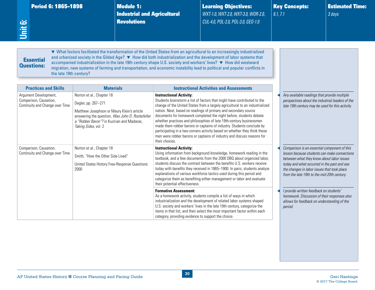| <b>Period 6: 1865–1898</b> |  |
|----------------------------|--|

**Module 1: Industrial and Agricultural Revolutions** 

Learning Objectives: *WXT-1.0, WXT-2.0, WXT-3.0, WOR-2.0, CUL-4.0, POL-2.0, POL-3.0, GEO-1.0*

Key Concepts: *6.1, 7.1*

Estimated Time: *3 days*

# **Essential** Questions:

<span id="page-34-0"></span>**Unit 6:**

▼ What factors facilitated the transformation of the United States from an agricultural to an increasingly industrialized and urbanized society in the Gilded Age? ▼ How did both industrialization and the development of labor systems that accompanied industrialization in the late 19th century shape U.S. society and workers' lives? ▼ How did westward migration, new systems of farming and transportation, and economic instability lead to political and popular conflicts in the late 19th century?

| <b>Practices and Skills</b>                                                        | <b>Materials</b>                                                                                                                                                                                                        | <b>Instructional Activities and Assessments</b>                                                                                                                                                                                                                                                                                                                                                                                                                                                                                                                                                                                                              |                                                                                                                                                                                                                                                                                        |
|------------------------------------------------------------------------------------|-------------------------------------------------------------------------------------------------------------------------------------------------------------------------------------------------------------------------|--------------------------------------------------------------------------------------------------------------------------------------------------------------------------------------------------------------------------------------------------------------------------------------------------------------------------------------------------------------------------------------------------------------------------------------------------------------------------------------------------------------------------------------------------------------------------------------------------------------------------------------------------------------|----------------------------------------------------------------------------------------------------------------------------------------------------------------------------------------------------------------------------------------------------------------------------------------|
| Argument Development,<br>Comparison, Causation,<br>Continuity and Change over Time | Norton et al., Chapter 18<br>Degler, pp. 267-271<br>Matthew Josephson or Maury Klein's article<br>answering the question, Was John D. Rockefeller<br>a "Robber Baron"? in Kuzirian and Madaras,<br>Taking Sides, vol. 2 | <b>Instructional Activity:</b><br>Students brainstorm a list of factors that might have contributed to the<br>change of the United States from a largely agricultural to an industrialized<br>nation. Next, based on readings of primary and secondary source<br>documents for homework completed the night before, students debate<br>whether practices and philosophies of late 19th-century businessmen<br>made them robber barons or captains of industry. Students conclude by<br>participating in a two-corners activity based on whether they think these<br>men were robber barons or captains of industry and discuss reasons for<br>their choices. | Any available readings that provide multiple<br>perspectives about the industrial leaders of the<br>late 19th century may be used for this activity.                                                                                                                                   |
| Comparison, Causation,<br>Continuity and Change over Time                          | Norton et al., Chapter 18<br>Smith, "How the Other Side Lived"<br>United States History Free-Response Questions:<br>2000                                                                                                | <b>Instructional Activity:</b><br>Using information from background knowledge, homework reading in the<br>textbook, and a few documents from the 2000 DBQ about organized labor,<br>students discuss the contrast between the benefits U.S. workers receive<br>today with benefits they received in 1865-1900. In pairs, students analyze<br>explanations of various workforce tactics used during this period and<br>categorize them as benefiting either management or labor and evaluate<br>their potential effectiveness.                                                                                                                                | Comparison is an essential component of this<br>lesson because students can make connections<br>between what they know about labor issues<br>today and what occurred in the past and see<br>the changes in labor issues that took place<br>from the late 19th to the mid-20th century. |
|                                                                                    |                                                                                                                                                                                                                         | <b>Formative Assessment:</b><br>As a homework activity, students compile a list of ways in which<br>industrialization and the development of related labor systems shaped<br>U.S. society and workers' lives in the late 19th century, categorize the<br>items in that list, and then select the most important factor within each<br>category, providing evidence to support the choice.                                                                                                                                                                                                                                                                    | I provide written feedback on students'<br>homework. Discussion of their responses also<br>allows for feedback on understanding of the<br>period.                                                                                                                                      |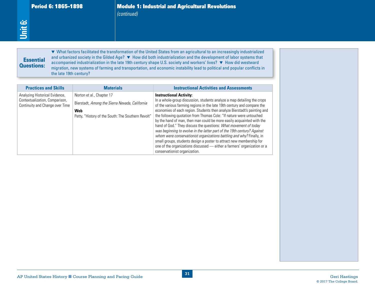# **Essential** Questions:

| <b>Essential</b><br><b>Questions:</b><br>the late 19th century?                                     |                                                                                                                                                 | ▼ What factors facilitated the transformation of the United States from an agricultural to an increasingly industrialized<br>and urbanized society in the Gilded Age? ▼ How did both industrialization and the development of labor systems that<br>accompanied industrialization in the late 19th century shape U.S. society and workers' lives? ▼ How did westward<br>migration, new systems of farming and transportation, and economic instability lead to political and popular conflicts in                                                                                                                                                                                                                                                                                                                             |  |
|-----------------------------------------------------------------------------------------------------|-------------------------------------------------------------------------------------------------------------------------------------------------|-------------------------------------------------------------------------------------------------------------------------------------------------------------------------------------------------------------------------------------------------------------------------------------------------------------------------------------------------------------------------------------------------------------------------------------------------------------------------------------------------------------------------------------------------------------------------------------------------------------------------------------------------------------------------------------------------------------------------------------------------------------------------------------------------------------------------------|--|
| <b>Practices and Skills</b>                                                                         | <b>Materials</b>                                                                                                                                | <b>Instructional Activities and Assessments</b>                                                                                                                                                                                                                                                                                                                                                                                                                                                                                                                                                                                                                                                                                                                                                                               |  |
| Analyzing Historical Evidence,<br>Contextualization, Comparison,<br>Continuity and Change over Time | Norton et al., Chapter 17<br>Bierstadt, Among the Sierra Nevada, California<br><b>Web</b><br>Petty, "History of the South: The Southern Revolt" | <b>Instructional Activity:</b><br>In a whole-group discussion, students analyze a map detailing the crops<br>of the various farming regions in the late 19th century and compare the<br>economies of each region. Students then analyze Bierstadt's painting and<br>the following quotation from Thomas Cole: "If nature were untouched<br>by the hand of man, then man could be more easily acquainted with the<br>hand of God." They discuss the questions: What movement of today<br>was beginning to evolve in the latter part of the 19th century? Against<br>whom were conservationist organizations battling and why? Finally, in<br>small groups, students design a poster to attract new membership for<br>one of the organizations discussed - either a farmers' organization or a<br>conservationist organization. |  |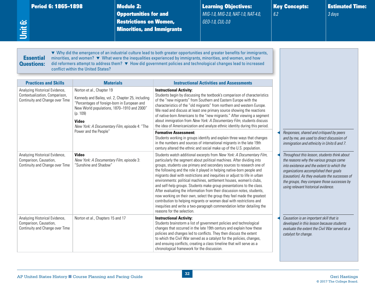| Period 6: 1865–1898 |  |  |
|---------------------|--|--|
|                     |  |  |
|                     |  |  |

<span id="page-36-0"></span>**Unit 6:**

**Module 2:** Opportunities for and Restrictions on Women, Minorities, and Immigrants Learning Objectives: *MIG-1.0, MIG-2.0, NAT-1.0, NAT-4.0, GEO-1.0, CUL-3.0*

Key Concepts: *6.2*

Estimated Time: *3 days*

#### **Essential** Questions:

▼ Why did the emergence of an industrial culture lead to both greater opportunities and greater benefits for immigrants, minorities, and women? ▼ What were the inequalities experienced by immigrants, minorities, and women, and how did reformers attempt to address them? ▼ How did government policies and technological changes lead to increased conflict within the United States?

| <b>Practices and Skills</b>                                                                         | <b>Materials</b>                                                                                                                                                                                                                                          | <b>Instructional Activities and Assessments</b>                                                                                                                                                                                                                                                                                                                                                                                                                                                                                                                                                                                                                                                                                                                                                                                                                      |                                                                                                                                                                                                                                                                                                                         |
|-----------------------------------------------------------------------------------------------------|-----------------------------------------------------------------------------------------------------------------------------------------------------------------------------------------------------------------------------------------------------------|----------------------------------------------------------------------------------------------------------------------------------------------------------------------------------------------------------------------------------------------------------------------------------------------------------------------------------------------------------------------------------------------------------------------------------------------------------------------------------------------------------------------------------------------------------------------------------------------------------------------------------------------------------------------------------------------------------------------------------------------------------------------------------------------------------------------------------------------------------------------|-------------------------------------------------------------------------------------------------------------------------------------------------------------------------------------------------------------------------------------------------------------------------------------------------------------------------|
| Analyzing Historical Evidence,<br>Contextualization, Comparison,<br>Continuity and Change over Time | Norton et al., Chapter 19<br>Kennedy and Bailey, vol. 2, Chapter 25, including<br>"Percentages of foreign-born in European and<br>New World populations, 1870-1910 and 2000'<br>(p. 109)<br><b>Video</b><br>New York: A Documentary Film, episode 4: "The | <b>Instructional Activity:</b><br>Students begin by discussing the textbook's comparison of characteristics<br>of the "new migrants" from Southern and Eastern Europe with the<br>characteristics of the "old migrants" from northern and western Europe.<br>We read and discuss at least one primary source showing the reactions<br>of native-born Americans to the "new migrants." After viewing a segment<br>about immigration from New York: A Documentary Film, students discuss<br>the idea of Americanization and analyze ethnic identity during this period.                                                                                                                                                                                                                                                                                                |                                                                                                                                                                                                                                                                                                                         |
|                                                                                                     | Power and the People"                                                                                                                                                                                                                                     | <b>Formative Assessment:</b><br>Students working in groups identify and explain three ways that changes<br>in the numbers and sources of international migrants in the late 19th<br>century altered the ethnic and social make up of the U.S. population.                                                                                                                                                                                                                                                                                                                                                                                                                                                                                                                                                                                                            | Responses, shared and critiqued by peers<br>and by me, are used to direct discussion of<br>immigration and ethnicity in Units 6 and 7.                                                                                                                                                                                  |
| Analyzing Historical Evidence,<br>Comparison, Causation,<br>Continuity and Change over Time         | <b>Video</b><br>New York: A Documentary Film, episode 3:<br>"Sunshine and Shadow"                                                                                                                                                                         | Students watch additional excerpts from New York: A Documentary Film,<br>particularly the segment about political machines. After dividing into<br>groups, students use primary and secondary sources to research one of<br>the following and the role it played in helping native-born people and<br>migrants deal with restrictions and inequities or adjust to life in urban<br>environments: political machines, settlement houses, women's clubs,<br>and self-help groups. Students make group presentations to the class.<br>After evaluating the information from their discussion notes, students,<br>now working on their own, select the group they feel made the greatest<br>contribution to helping migrants or women deal with restrictions and<br>inequities and write a two-paragraph commendation letter detailing the<br>reasons for the selection. | Throughout this lesson, students think about<br>the reasons why the various groups came<br>into existence and the extent to which the<br>organizations accomplished their goals<br>(causation). As they evaluate the successes of<br>the groups, they compare those successes by<br>using relevant historical evidence. |
| Analyzing Historical Evidence,<br>Comparison, Causation,<br>Continuity and Change over Time         | Norton et al., Chapters 15 and 17                                                                                                                                                                                                                         | <b>Instructional Activity:</b><br>Students brainstorm a list of government policies and technological<br>changes that occurred in the late 19th century and explain how these<br>policies and changes led to conflicts. They then discuss the extent<br>to which the Civil War served as a catalyst for the policies, changes,<br>and ensuing conflicts, creating a class timeline that will serve as a<br>chronological framework for the discussion.                                                                                                                                                                                                                                                                                                                                                                                                               | Causation is an important skill that is<br>developed in this lesson because students<br>evaluate the extent the Civil War served as a<br>catalyst for change.                                                                                                                                                           |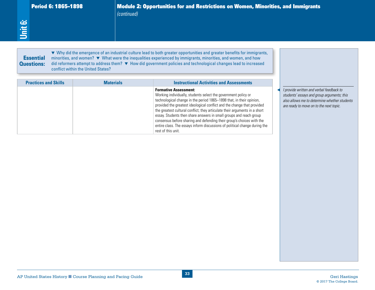| <b>Practices and Skills</b> | <b>Materials</b> | <b>Instructional Activities and Assessments</b>                                                                                                                                                                                                                                                                                                                                                                                                                                                                                                                                    |                                                                                                                                                                                   |
|-----------------------------|------------------|------------------------------------------------------------------------------------------------------------------------------------------------------------------------------------------------------------------------------------------------------------------------------------------------------------------------------------------------------------------------------------------------------------------------------------------------------------------------------------------------------------------------------------------------------------------------------------|-----------------------------------------------------------------------------------------------------------------------------------------------------------------------------------|
|                             |                  | <b>Formative Assessment:</b><br>Working individually, students select the government policy or<br>technological change in the period 1865-1898 that, in their opinion,<br>provided the greatest ideological conflict and the change that provided<br>the greatest cultural conflict; they articulate their arguments in a short<br>essay. Students then share answers in small groups and reach group<br>consensus before sharing and defending their group's choices with the<br>entire class. The essays inform discussions of political change during the<br>rest of this unit. | I provide written and verbal feedback to<br>students' essays and group arguments; this<br>also allows me to determine whether students<br>are ready to move on to the next topic. |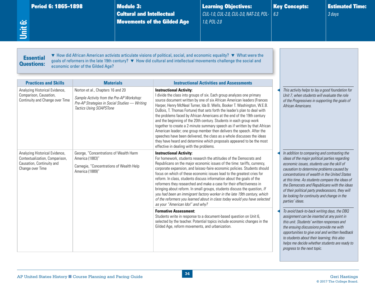<span id="page-38-0"></span>

| <b>Period 6: 1865-1898</b><br>Unit 6: | <b>Module 3:</b><br><b>Cultural and Intellectual</b>                                                                                                                                                                                                                             | <b>Movements of the Gilded Age</b> | <b>Learning Objectives:</b><br>CUL-1.0, CUL-2.0, CUL-3.0, NAT-2.0, POL-<br>1.0, POL-2.0 | 6.3 | <b>Key Concepts:</b>                                                                                                                               | <b>Estimated Time:</b><br>3 days |  |
|---------------------------------------|----------------------------------------------------------------------------------------------------------------------------------------------------------------------------------------------------------------------------------------------------------------------------------|------------------------------------|-----------------------------------------------------------------------------------------|-----|----------------------------------------------------------------------------------------------------------------------------------------------------|----------------------------------|--|
| <b>Essential</b><br><b>Questions:</b> | ▼ How did African American activists articulate visions of political, social, and economic equality? ▼ What were the<br>goals of reformers in the late 19th century? ▼ How did cultural and intellectual movements challenge the social and<br>economic order of the Gilded Age? |                                    |                                                                                         |     |                                                                                                                                                    |                                  |  |
| <b>Practices and Skills</b>           | <b>Materials</b>                                                                                                                                                                                                                                                                 |                                    | <b>Instructional Activities and Assessments</b>                                         |     |                                                                                                                                                    |                                  |  |
| Analyzing Historical Evidence,        | Norton et al., Chapters 16 and 20                                                                                                                                                                                                                                                | <b>Instructional Activity:</b>     | I divide the class into groups of six. Each group analyzes one primary                  |     | This activity helps to lay a good foundation for<br>Unit 7, when students will evaluate the role<br>of the Progressives in supporting the goals of |                                  |  |

**Instructional Activity:**

*as your "American Idol" and why?*

Gilded Age, reform movements, and urbanization.

**Formative Assessment:**

For homework, students research the attitudes of the Democrats and Republicans on the major economic issues of the time: tariffs, currency, corporate expansion, and laissez-faire economic policies. Students should focus on which of these economic issues lead to the greatest cries for reform. In class, students discuss information about the goals of the reformers they researched and make a case for their effectiveness in bringing about reform. In small groups, students discuss the question, *If you had been an immigrant factory worker in the late 19th century, which of the reformers you learned about in class today would you have selected* 

Students write in response to a document-based question on Unit 6, selected by the teacher. Potential topics include economic changes in the In addition to comparing and contrasting the *ideas of the major political parties regarding economic issues, students use the skill of causation to determine problems caused by concentrations of wealth in the United States at this time. As students compare the ideas of the Democrats and Republicans with the ideas of their political party predecessors, they will be looking for continuity and change in the parties' ideas.*

◀ *To avoid back-to-back writing days, the DBQ assignment can be inserted at any point in this unit. Students' written responses and the ensuing discussions provide me with opportunities to give oral and written feedback to students about their learning; this also helps me decide whether students are ready to progress to the next topic.*

George, "Concentrations of Wealth Harm

Carnegie, "Concentrations of Wealth Help

America (1883)"

America (1889)"

Analyzing Historical Evidence, Contextualization, Comparison, Causation, Continuity and Change over Time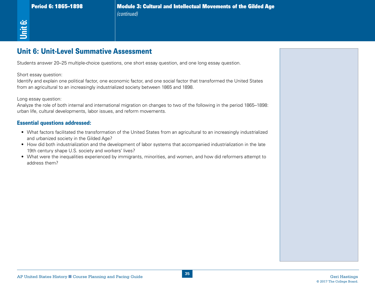# Unit 6: Unit-Level Summative Assessment

Students answer 20–25 multiple-choice questions, one short essay question, and one long essay question.

Short essay question:

Identify and explain one political factor, one economic factor, and one social factor that transformed the United States from an agricultural to an increasingly industrialized society between 1865 and 1898.

Long essay question:

AP<br>
AP United States Historical Definition Control Department States Assessment<br>
States Historical Definition Control Definition Control Definition Courses Historical Definition Courses Planning and Pacing Guide Germany an Analyze the role of both internal and international migration on changes to two of the following in the period 1865–1898: urban life, cultural developments, labor issues, and reform movements.

#### Essential questions addressed:

- What factors facilitated the transformation of the United States from an agricultural to an increasingly industrialized and urbanized society in the Gilded Age?
- • How did both industrialization and the development of labor systems that accompanied industrialization in the late 19th century shape U.S. society and workers' lives?
- • What were the inequalities experienced by immigrants, minorities, and women, and how did reformers attempt to address them?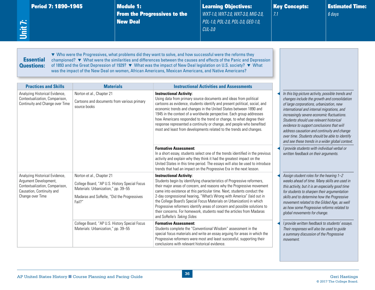Period 7: 1890-1945 Module 1:

From the Progressives to the New Deal

Learning Objectives: *WXT-1.0, WXT-2.0, WXT-3.0, MIG-2.0, POL-1.0, POL-2.0, POL-3.0, GEO-1.0, CUL-3.0*

Key Concepts: *7.1*

Estimated Time: *6 days*

# **Essential** Questions:

<span id="page-40-0"></span>**Unit 7:**

▼ Who were the Progressives, what problems did they want to solve, and how successful were the reforms they championed? ▼ What were the similarities and differences between the causes and effects of the Panic and Depression of 1893 and the Great Depression of 1929? ▼ What was the impact of New Deal legislation on U.S. society? ▼ What was the impact of the New Deal on women, African Americans, Mexican Americans, and Native Americans?

| <b>Practices and Skills</b>                                                                                                                | <b>Materials</b>                                                                                                                                                          | <b>Instructional Activities and Assessments</b>                                                                                                                                                                                                                                                                                                                                                                                                                                                                                                                                                       |                                                                                                                                                                                                                                                                                                                                                                                                                                                                                       |
|--------------------------------------------------------------------------------------------------------------------------------------------|---------------------------------------------------------------------------------------------------------------------------------------------------------------------------|-------------------------------------------------------------------------------------------------------------------------------------------------------------------------------------------------------------------------------------------------------------------------------------------------------------------------------------------------------------------------------------------------------------------------------------------------------------------------------------------------------------------------------------------------------------------------------------------------------|---------------------------------------------------------------------------------------------------------------------------------------------------------------------------------------------------------------------------------------------------------------------------------------------------------------------------------------------------------------------------------------------------------------------------------------------------------------------------------------|
| Analyzing Historical Evidence,<br>Contextualization, Comparison,<br>Continuity and Change over Time                                        | Norton et al., Chapter 21<br>Cartoons and documents from various primary<br>source books                                                                                  | <b>Instructional Activity:</b><br>Using data from primary source documents and ideas from political<br>cartoons as evidence, students identify and present political, social, and<br>economic trends and changes in the United States between 1890 and<br>1945 in the context of a worldwide perspective. Each group addresses<br>how Americans responded to the trend or change, to what degree their<br>response represented a continuity or change, and people who benefited<br>most and least from developments related to the trends and changes.                                                | In this big-picture activity, possible trends and<br>changes include the growth and consolidation<br>of large corporations, urbanization, new<br>international and internal migrations, and<br>increasingly severe economic fluctuations.<br>Students should use relevant historical<br>evidence to support conclusions that will<br>address causation and continuity and change<br>over time. Students should be able to identify<br>and see these trends in a wider global context. |
|                                                                                                                                            |                                                                                                                                                                           | <b>Formative Assessment:</b><br>In a short essay, students select one of the trends identified in the previous<br>activity and explain why they think it had the greatest impact on the<br>United States in this time period. The essays will also be used to introduce<br>trends that had an impact on the Progressive Era in the next lesson.                                                                                                                                                                                                                                                       | I provide students with individual verbal or<br>written feedback on their arguments.                                                                                                                                                                                                                                                                                                                                                                                                  |
| Analyzing Historical Evidence,<br>Argument Development,<br>Contextualization, Comparison,<br>Causation, Continuity and<br>Change over Time | Norton et al., Chapter 21<br>College Board, "AP U.S. History Special Focus<br>Materials: Urbanization," pp. 39-55<br>Madaras and SoRelle, "Did the Progressives<br>Fail?" | <b>Instructional Activity:</b><br>Students begin by identifying characteristics of Progressive reformers,<br>their major areas of concern, and reasons why the Progressive movement<br>came into existence at this particular time. Next, students conduct the<br>2-day congressional hearing, "What's Wrong with America" (laid out in<br>the College Board's Special Focus Materials on Urbanization) in which<br>Progressive reformers identify areas of concern and possible solutions to<br>their concerns. For homework, students read the articles from Madaras<br>and SoRelle's Taking Sides. | Assign student roles for the hearing 1-2<br>weeks ahead of time. Many skills are used in<br>this activity, but it is an especially good time<br>for students to sharpen their argumentation<br>skills and to determine how the Progressive<br>movement related to the Gilded Age, as well<br>as how some Progressive reforms related to<br>global movements for change.                                                                                                               |
|                                                                                                                                            | College Board, "AP U.S. History Special Focus<br>Materials: Urbanization," pp. 39-55                                                                                      | <b>Formative Assessment:</b><br>Students complete the "Conventional Wisdom" assessment in the<br>special focus materials and write an essay arguing for areas in which the<br>Progressive reformers were most and least successful, supporting their<br>conclusions with relevant historical evidence.                                                                                                                                                                                                                                                                                                | I provide written feedback to students' essays.<br>Their responses will also be used to guide<br>a summary discussion of the Progressive<br>movement.                                                                                                                                                                                                                                                                                                                                 |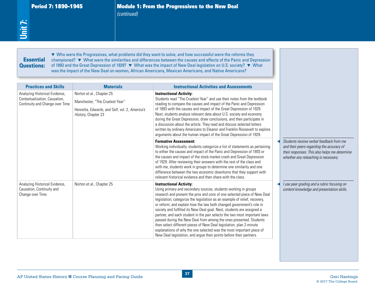*(continued)*

# Essential Essential Questions:

**Period 7: 1890–1945**<br>
(continued)<br>
(continued)<br> **7:**<br> **7:**<br> **7:**<br> **8:**<br> **8:**<br> **8:**<br> **8:**<br> **8:**<br> **8:**<br> **8:**<br> **8:**<br> **8:**<br> **8:**<br> **8:**<br> **8:**<br> **8:**<br> **8:**<br> **8:**<br> **8:**<br> **8:**<br> **8:**<br> **8:**<br> **8:**<br> **8:**<br> **8:**<br> **8:**<br> **8:**<br> **8:**<br> **8:**<br> ▼ Who were the Progressives, what problems did they want to solve, and how successful were the reforms they championed? ▼ What were the similarities and differences between the causes and effects of the Panic and Depression of 1893 and the Great Depression of 1929? ▼ What was the impact of New Deal legislation on U.S. society? ▼ What was the impact of the New Deal on women, African Americans, Mexican Americans, and Native Americans?

| <b>Essential</b><br><b>Questions:</b>                                           |                                                                                                          | ▼ Who were the Progressives, what problems did they want to solve, and how successful were the reforms they<br>championed? ▼ What were the similarities and differences between the causes and effects of the Panic and Depression<br>of 1893 and the Great Depression of 1929? ▼ What was the impact of New Deal legislation on U.S. society? ▼ What<br>was the impact of the New Deal on women, African Americans, Mexican Americans, and Native Americans?                                                                                                                                                                                                                                                                                                                          |                                                                                                                                                                                |
|---------------------------------------------------------------------------------|----------------------------------------------------------------------------------------------------------|----------------------------------------------------------------------------------------------------------------------------------------------------------------------------------------------------------------------------------------------------------------------------------------------------------------------------------------------------------------------------------------------------------------------------------------------------------------------------------------------------------------------------------------------------------------------------------------------------------------------------------------------------------------------------------------------------------------------------------------------------------------------------------------|--------------------------------------------------------------------------------------------------------------------------------------------------------------------------------|
| <b>Practices and Skills</b><br>Analyzing Historical Evidence,                   | <b>Materials</b><br>Norton et al., Chapter 25                                                            | <b>Instructional Activities and Assessments</b><br><b>Instructional Activity:</b>                                                                                                                                                                                                                                                                                                                                                                                                                                                                                                                                                                                                                                                                                                      |                                                                                                                                                                                |
| Contextualization, Causation,<br>Continuity and Change over Time                | Manchester, "The Cruelest Year"<br>Henretta, Edwards, and Self, vol. 2, America's<br>History, Chapter 23 | Students read "The Cruelest Year" and use their notes from the textbook<br>reading to compare the causes and impact of the Panic and Depression<br>of 1893 with the causes and impact of the Great Depression of 1929.<br>Next, students analyze relevant data about U.S. society and economy<br>during the Great Depression, draw conclusions, and then participate in<br>a discussion about the article. They read and discuss selected letters<br>written by ordinary Americans to Eleanor and Franklin Roosevelt to explore<br>arguments about the human impact of the Great Depression of 1929.                                                                                                                                                                                   |                                                                                                                                                                                |
|                                                                                 |                                                                                                          | <b>Formative Assessment:</b><br>Working individually, students categorize a list of statements as pertaining<br>to either the causes and impact of the Panic and Depression of 1893 or<br>the causes and impact of the stock market crash and Great Depression<br>of 1929. After reviewing their answers with the rest of the class and<br>with me, students work in groups to determine one similarity and one<br>difference between the two economic downturns that they support with<br>relevant historical evidence and then share with the class.                                                                                                                                                                                                                                 | Students receive verbal feedback from me<br>and their peers regarding the accuracy of<br>their responses. This also helps me determine<br>whether any reteaching is necessary. |
| Analyzing Historical Evidence,<br>Causation, Continuity and<br>Change over Time | Norton et al., Chapter 25                                                                                | <b>Instructional Activity:</b><br>Using primary and secondary sources, students working in groups<br>research and present the pros and cons of one selected piece of New Deal<br>legislation; categorize the legislation as an example of relief, recovery,<br>or reform; and explain how the law both changed government's role in<br>society and fulfilled its New Deal goal. Next, students are assigned a<br>partner, and each student in the pair selects the two most important laws<br>passed during the New Deal from among the ones presented. Students<br>then select different pieces of New Deal legislation, plan 2-minute<br>explanations of why the one selected was the most important piece of<br>New Deal legislation, and argue their points before their partners. | I use peer grading and a rubric focusing on<br>content knowledge and presentation skills.                                                                                      |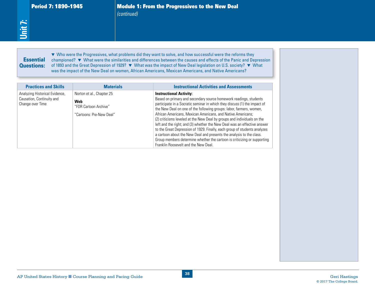# **Essential** Questions:

| <b>Practices and Skills</b>                                                     | <b>Materials</b>                                                                      | <b>Instructional Activities and Assessments</b>                                                                                                                                                                                                                                                                                                                                                                                                                                                                                                                                                                                                                                                                                                        |  |
|---------------------------------------------------------------------------------|---------------------------------------------------------------------------------------|--------------------------------------------------------------------------------------------------------------------------------------------------------------------------------------------------------------------------------------------------------------------------------------------------------------------------------------------------------------------------------------------------------------------------------------------------------------------------------------------------------------------------------------------------------------------------------------------------------------------------------------------------------------------------------------------------------------------------------------------------------|--|
| Analyzing Historical Evidence,<br>Causation, Continuity and<br>Change over Time | Norton et al., Chapter 25<br>Web<br>"FDR Cartoon Archive"<br>"Cartoons: Pre-New Deal" | <b>Instructional Activity:</b><br>Based on primary and secondary source homework readings, students<br>participate in a Socratic seminar in which they discuss (1) the impact of<br>the New Deal on one of the following groups: labor, farmers, women,<br>African Americans, Mexican Americans, and Native Americans;<br>(2) criticisms leveled at the New Deal by groups and individuals on the<br>left and the right; and (3) whether the New Deal was an effective answer<br>to the Great Depression of 1929. Finally, each group of students analyzes<br>a cartoon about the New Deal and presents the analysis to the class.<br>Group members determine whether the cartoon is criticizing or supporting<br>Franklin Roosevelt and the New Deal. |  |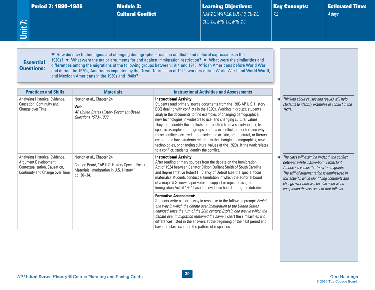<span id="page-43-0"></span>

| Period 7: 1890–1945 |  |  |
|---------------------|--|--|
|                     |  |  |

**Module 2:** Cultural Conflict Learning Objectives: *NAT-2.0, WXT-3.0, CUL-1.0, CU-2.0, CUL-4.0, MIG-1.0, MIG-2.0*

Key Concepts: *7.2*

Estimated Time: *4 days*

Essential Questions: ▼ How did new technologies and changing demographics result in conflicts and cultural expressions in the 1920s? ▼ What were the major arguments for and against immigration restriction? ▼ What were the similarities and differences among the migrations of the following groups between 1914 and 1945: African Americans before World War I and during the 1920s, Americans impacted by the Great Depression of 1929, workers during World War I and World War II, and Mexican Americans in the 1930s and 1940s?

| <b>Practices and Skills</b>                                                                                                 | <b>Materials</b>                                                                                                                     | <b>Instructional Activities and Assessments</b>                                                                                                                                                                                                                                                                                                                                                                                                                                                                                                                                                                                                                                                                                                                                |                                                                                                                                                                                                                                                                                                                          |
|-----------------------------------------------------------------------------------------------------------------------------|--------------------------------------------------------------------------------------------------------------------------------------|--------------------------------------------------------------------------------------------------------------------------------------------------------------------------------------------------------------------------------------------------------------------------------------------------------------------------------------------------------------------------------------------------------------------------------------------------------------------------------------------------------------------------------------------------------------------------------------------------------------------------------------------------------------------------------------------------------------------------------------------------------------------------------|--------------------------------------------------------------------------------------------------------------------------------------------------------------------------------------------------------------------------------------------------------------------------------------------------------------------------|
| Analyzing Historical Evidence,<br>Causation, Continuity and<br>Change over Time                                             | Norton et al., Chapter 24<br>Web<br>AP United States History Document-Based<br>Questions 1973-1999                                   | <b>Instructional Activity:</b><br>Students read primary source documents from the 1986 AP U.S. History<br>DBQ dealing with conflicts in the 1920s. Working in groups, students<br>analyze the documents to find examples of changing demographics,<br>new technologies in widespread use, and changing cultural values.<br>They then identify the conflicts that resulted from a society in flux, list<br>specific examples of the groups or ideas in conflict, and determine why<br>these conflicts occurred. I then select an artistic, architectural, or literary<br>excerpt and have students relate it to the changing demographics, new<br>technologies, or changing cultural values of the 1920s. If the work relates<br>to a conflict, students identify the conflict. | Thinking about causes and results will help<br>students to identify examples of conflict in the<br>$1920s$ .                                                                                                                                                                                                             |
| Analyzing Historical Evidence,<br>Argument Development,<br>Contextualization, Causation,<br>Continuity and Change over Time | Norton et al., Chapter 24<br>College Board, "AP U.S. History Special Focus<br>Materials: Immigration in U.S. History,"<br>pp. 30-34. | <b>Instructional Activity:</b><br>After reading primary sources from the debate on the Immigration<br>Act of 1924 between Senator Ellison DuRant Smith of South Carolina<br>and Representative Robert H. Clancy of Detroit (see the special focus<br>materials), students conduct a simulation in which the editorial board<br>of a major U.S. newspaper votes to support or reject passage of the<br>Immigration Act of 1924 based on evidence heard during the debates.                                                                                                                                                                                                                                                                                                      | The class will examine in-depth the conflict<br>between white, native-born, Protestant<br>Americans versus the "new" immigrants.<br>The skill of argumentation is emphasized in<br>this activity, while identifying continuity and<br>change over time will be also used when<br>completing the assessment that follows. |
|                                                                                                                             |                                                                                                                                      | <b>Formative Assessment:</b><br>Students write a short essay in response to the following prompt: Explain<br>one way in which the debate over immigration to the United States<br>changed since the turn of the 20th century. Explain one way in which the<br>debate over immigration remained the same. I chart the similarities and<br>differences listed in the answers at the beginning of the next period and<br>have the class examine the pattern of responses.                                                                                                                                                                                                                                                                                                         |                                                                                                                                                                                                                                                                                                                          |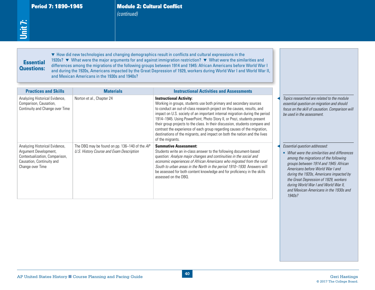Period 7: 1890–1945 Module 2: Cultural Conflict *(continued)*

#### Essential Questions:

| <b>Essential</b><br><b>Questions:</b>                                                                                                      | and Mexican Americans in the 1930s and 1940s?                                             | • How did new technologies and changing demographics result in conflicts and cultural expressions in the<br>1920s? ▼ What were the major arguments for and against immigration restriction? ▼ What were the similarities and<br>differences among the migrations of the following groups between 1914 and 1945: African Americans before World War I<br>and during the 1920s, Americans impacted by the Great Depression of 1929, workers during World War I and World War II,                                                                                                                         |                                                                                                                                                                                                                                                                                                                                                                                     |
|--------------------------------------------------------------------------------------------------------------------------------------------|-------------------------------------------------------------------------------------------|--------------------------------------------------------------------------------------------------------------------------------------------------------------------------------------------------------------------------------------------------------------------------------------------------------------------------------------------------------------------------------------------------------------------------------------------------------------------------------------------------------------------------------------------------------------------------------------------------------|-------------------------------------------------------------------------------------------------------------------------------------------------------------------------------------------------------------------------------------------------------------------------------------------------------------------------------------------------------------------------------------|
| <b>Practices and Skills</b>                                                                                                                | <b>Materials</b>                                                                          | <b>Instructional Activities and Assessments</b>                                                                                                                                                                                                                                                                                                                                                                                                                                                                                                                                                        |                                                                                                                                                                                                                                                                                                                                                                                     |
| Analyzing Historical Evidence,<br>Comparison, Causation,<br>Continuity and Change over Time                                                | Norton et al., Chapter 24                                                                 | <b>Instructional Activity:</b><br>Working in groups, students use both primary and secondary sources<br>to conduct an out-of-class research project on the causes, results, and<br>impact on U.S. society of an important internal migration during the period<br>1914-1945. Using PowerPoint, Photo Story II, or Prezi, students present<br>their group projects to the class. In their discussion, students compare and<br>contrast the experience of each group regarding causes of the migration,<br>destinations of the migrants, and impact on both the nation and the lives<br>of the migrants. | Topics researched are related to the module<br>essential question on migration and should<br>focus on the skill of causation. Comparison will<br>be used in the assessment                                                                                                                                                                                                          |
| Analyzing Historical Evidence,<br>Argument Development,<br>Contextualization, Comparison,<br>Causation, Continuity and<br>Change over Time | The DBQ may be found on pp. 136-140 of the AP<br>U.S. History Course and Exam Description | <b>Summative Assessment:</b><br>Students write an in-class answer to the following document-based<br>question: Analyze major changes and continuities in the social and<br>economic experiences of African Americans who migrated from the rural<br>South to urban areas in the North in the period 1910-1930. Answers will<br>be assessed for both content knowledge and for proficiency in the skills<br>assessed on the DBQ.                                                                                                                                                                        | Essential question addressed:<br>• What were the similarities and differences<br>among the migrations of the following<br>groups between 1914 and 1945: African<br>Americans before World War I and<br>during the 1920s, Americans impacted by<br>the Great Depression of 1929, workers<br>during World War I and World War II,<br>and Mexican Americans in the 1930s and<br>1940s? |
|                                                                                                                                            | AP United States History Course Planning and Pacing Guide                                 | 40                                                                                                                                                                                                                                                                                                                                                                                                                                                                                                                                                                                                     | <b>Geri Hastings</b>                                                                                                                                                                                                                                                                                                                                                                |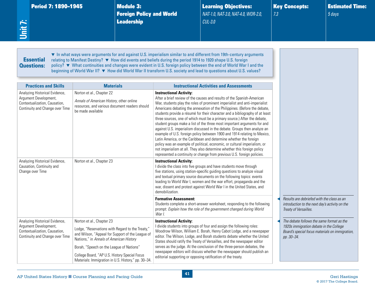Period 7: 1890-1945 Module 3:

Foreign Policy and World Leadership

Learning Objectives: *NAT-1.0, NAT-3.0, NAT-4.0, WOR-2.0, CUL-3.0* 

Key Concepts: *7.3*

Estimated Time: *5 days*

## **Essential** Questions:

<span id="page-45-0"></span>**Unit 7:**

▼ In what ways were arguments for and against U.S. imperialism similar to and different from 19th-century arguments relating to Manifest Destiny? ▼ How did events and beliefs during the period 1914 to 1920 shape U.S. foreign policy? ▼ What continuities and changes were evident in U.S. foreign policy between the end of World War I and the beginning of World War II? ▼ How did World War II transform U.S. society and lead to questions about U.S. values?

| <b>Practices and Skills</b>                                                                                                 | <b>Materials</b>                                                                                                                                                                                                                                                                                                                 | <b>Instructional Activities and Assessments</b>                                                                                                                                                                                                                                                                                                                                                                                                                                                                                                                                                                                                                                                                                                                                                                                                                                                                                                                             |                                                                                                                                                       |
|-----------------------------------------------------------------------------------------------------------------------------|----------------------------------------------------------------------------------------------------------------------------------------------------------------------------------------------------------------------------------------------------------------------------------------------------------------------------------|-----------------------------------------------------------------------------------------------------------------------------------------------------------------------------------------------------------------------------------------------------------------------------------------------------------------------------------------------------------------------------------------------------------------------------------------------------------------------------------------------------------------------------------------------------------------------------------------------------------------------------------------------------------------------------------------------------------------------------------------------------------------------------------------------------------------------------------------------------------------------------------------------------------------------------------------------------------------------------|-------------------------------------------------------------------------------------------------------------------------------------------------------|
| Analyzing Historical Evidence,<br>Argument Development,<br>Contextualization, Causation,<br>Continuity and Change over Time | Norton et al., Chapter 22<br>Annals of American History, other online<br>resources, and various document readers should<br>be made available                                                                                                                                                                                     | <b>Instructional Activity:</b><br>After a brief review of the causes and results of the Spanish-American<br>War, students play the roles of prominent imperialist and anti-imperialist<br>Americans debating the annexation of the Philippines. (Before the debate,<br>students provide a résumé for their character and a bibliography of at least<br>three sources, one of which must be a primary source.) After the debate,<br>student groups make a list of the three most important arguments for and<br>against U.S. imperialism discussed in the debate. Groups then analyze an<br>example of U.S. foreign policy between 1900 and 1914 relating to Mexico,<br>Latin America, or the Caribbean and determine whether the foreign<br>policy was an example of political, economic, or cultural imperialism, or<br>not imperialism at all. They also determine whether this foreign policy<br>represented a continuity or change from previous U.S. foreign policies. |                                                                                                                                                       |
| Analyzing Historical Evidence,<br>Causation, Continuity and<br>Change over Time                                             | Norton et al., Chapter 23                                                                                                                                                                                                                                                                                                        | <b>Instructional Activity:</b><br>I divide the class into five groups and have students move through<br>five stations, using station-specific guiding questions to analyze visual<br>and textual primary source documents on the following topics: events<br>leading to World War I, women and the war effort, propaganda and the<br>war, dissent and protest against World War I in the United States, and<br>demobilization.                                                                                                                                                                                                                                                                                                                                                                                                                                                                                                                                              |                                                                                                                                                       |
|                                                                                                                             |                                                                                                                                                                                                                                                                                                                                  | <b>Formative Assessment:</b><br>Students complete a short-answer worksheet, responding to the following<br>prompt: Explain how the role of the government changed during World<br>War I.                                                                                                                                                                                                                                                                                                                                                                                                                                                                                                                                                                                                                                                                                                                                                                                    | Results are debriefed with the class as an<br>introduction to the next day's activity on the<br>Treaty of Versailles.                                 |
| Analyzing Historical Evidence,<br>Argument Development,<br>Contextualization, Causation,<br>Continuity and Change over Time | Norton et al., Chapter 23<br>Lodge, "Reservations with Regard to the Treaty,"<br>and Wilson, "Appeal for Support of the League of<br>Nations," in Annals of American History<br>Borah, "Speech on the League of Nations"<br>College Board, "AP U.S. History Special Focus<br>Materials: Immigration in U.S. History," pp. 30-34. | <b>Instructional Activity:</b><br>I divide students into groups of four and assign the following roles:<br>Woodrow Wilson, William E. Borah, Henry Cabot Lodge, and a newspaper<br>editor. The Wilson, Lodge, and Borah students debate whether the United<br>States should ratify the Treaty of Versailles, and the newspaper editor<br>serves as the judge. At the conclusion of the three-person debates, the<br>newspaper editors will discuss whether the newspaper should publish an<br>editorial supporting or opposing ratification of the treaty.                                                                                                                                                                                                                                                                                                                                                                                                                  | The debate follows the same format as the<br>1920s immigration debate in the College<br>Board's special focus materials on immigration,<br>рр. 30-34. |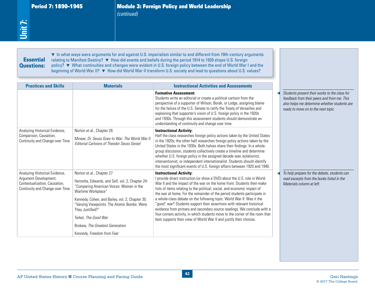Period 7: 1890–1945 **Module 3: Foreign Policy and World Leadership** *(continued)*

| <b>Essential</b><br><b>Questions:</b>                                                                                       |                                                                                                                                                                                                                                                                                                                                                                | ▼ In what ways were arguments for and against U.S. imperialism similar to and different from 19th-century arguments<br>relating to Manifest Destiny? ▼ How did events and beliefs during the period 1914 to 1920 shape U.S. foreign<br>policy? ▼ What continuities and changes were evident in U.S. foreign policy between the end of World War I and the<br>beginning of World War II? ▼ How did World War II transform U.S. society and lead to questions about U.S. values?                                                                                                                                                                                                                                                     |                                                                                                                                                                                     |
|-----------------------------------------------------------------------------------------------------------------------------|----------------------------------------------------------------------------------------------------------------------------------------------------------------------------------------------------------------------------------------------------------------------------------------------------------------------------------------------------------------|------------------------------------------------------------------------------------------------------------------------------------------------------------------------------------------------------------------------------------------------------------------------------------------------------------------------------------------------------------------------------------------------------------------------------------------------------------------------------------------------------------------------------------------------------------------------------------------------------------------------------------------------------------------------------------------------------------------------------------|-------------------------------------------------------------------------------------------------------------------------------------------------------------------------------------|
| <b>Practices and Skills</b>                                                                                                 | <b>Materials</b>                                                                                                                                                                                                                                                                                                                                               | <b>Instructional Activities and Assessments</b>                                                                                                                                                                                                                                                                                                                                                                                                                                                                                                                                                                                                                                                                                    |                                                                                                                                                                                     |
|                                                                                                                             |                                                                                                                                                                                                                                                                                                                                                                | <b>Formative Assessment:</b><br>Students write an editorial or create a political cartoon from the<br>perspective of a supporter of Wilson, Borah, or Lodge, assigning blame<br>for the failure of the U.S. Senate to ratify the Treaty of Versailles and<br>explaining that supporter's vision of U.S. foreign policy in the 1920s<br>and 1930s. Through this assessment students should demonstrate an<br>understanding of continuity and change over time.                                                                                                                                                                                                                                                                      | Students present their works to the class for<br>feedback from their peers and from me. This<br>also helps me determine whether students are<br>ready to move on to the next topic. |
| Analyzing Historical Evidence,<br>Comparison, Causation,<br>Continuity and Change over Time                                 | Norton et al., Chapter 26<br>Minear, Dr. Seuss Goes to War: The World War II<br><b>Editorial Cartoons of Theodor Seuss Geisel</b>                                                                                                                                                                                                                              | <b>Instructional Activity:</b><br>Half the class researches foreign policy actions taken by the United States<br>in the 1920s; the other half researches foreign policy actions taken by the<br>United States in the 1930s. Both halves share their findings. In a whole-<br>group discussion, students collectively create a timeline and determine<br>whether U.S. foreign policy in the assigned decade was isolationist,<br>interventionist, or independent internationalist. Students should identify<br>the most significant events of U.S. foreign affairs between 1920 and 1940.                                                                                                                                           |                                                                                                                                                                                     |
| Analyzing Historical Evidence,<br>Argument Development,<br>Contextualization, Causation,<br>Continuity and Change over Time | Norton et al., Chapter 27<br>Henretta, Edwards, and Self, vol. 2, Chapter 24:<br>"Comparing American Voices: Women in the<br>Wartime Workplace"<br>Kennedy, Cohen, and Bailey, vol. 2, Chapter 35:<br>"Varying Viewpoints: The Atomic Bombs: Were<br>They Justified?"<br>Terkel, The Good War<br>Brokaw, The Greatest Generation<br>Kennedy, Freedom from Fear | <b>Instructional Activity:</b><br>I provide direct instruction (or show a DVD) about the U.S. role in World<br>War II and the impact of the war on the home front. Students then make<br>lists of items relating to the political, social, and economic impact of<br>the war at home. For the remainder of the period students participate in<br>a whole-class debate on the following topic: World War II: Was it the<br>"good" war? Students support their assertions with relevant historical<br>evidence from primary and secondary source readings. We conclude with a<br>four-corners activity, in which students move to the corner of the room that<br>best supports their view of World War II and justify their choices. | To help prepare for the debate, students can<br>read excerpts from the books listed in the<br>Materials column at left.                                                             |
|                                                                                                                             |                                                                                                                                                                                                                                                                                                                                                                |                                                                                                                                                                                                                                                                                                                                                                                                                                                                                                                                                                                                                                                                                                                                    |                                                                                                                                                                                     |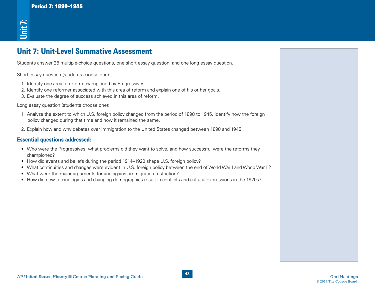# Unit 7: Unit-Level Summative Assessment

Students answer 25 multiple-choice questions, one short essay question, and one long essay question.

Short essay question (students choose one):

- 1. Identify one area of reform championed by Progressives.
- 2. Identify one reformer associated with this area of reform and explain one of his or her goals.
- 3. Evaluate the degree of success achieved in this area of reform.

Long essay question (students choose one):

- **AP United States Historic States Historic States Historic States Historic States Historic States Historic States Historic States Historic States Historic States History and Pacific Course Planning and Pacific Course Pla** 1. Analyze the extent to which U.S. foreign policy changed from the period of 1898 to 1945. Identify how the foreign policy changed during that time and how it remained the same.
- 2. Explain how and why debates over immigration to the United States changed between 1898 and 1945.

#### Essential questions addressed:

- Who were the Progressives, what problems did they want to solve, and how successful were the reforms they championed? **For the State of the State of the State State of the New technologies and changing demographics result in conflicts and changing demographics results and changing demographics results are the method of the state of the st**
- How did events and beliefs during the period 1914–1920 shape U.S. foreign policy?
- What continuities and changes were evident in U.S. foreign policy between the end of World War I and World War II?
- What were the major arguments for and against immigration restriction?
-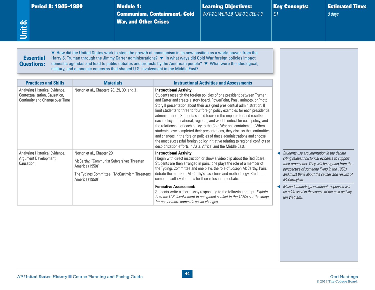<span id="page-48-0"></span>

| Period 8: 1945-1980<br>Unit 8:                                                                                                                                                                                                                                                                                                                                                                                                                                                                                                    | <b>Module 1:</b><br><b>War, and Other Crises</b> | <b>Communism, Containment, Cold</b>                                                        | <b>Learning Objectives:</b><br>WXT-2.0, WOR-2.0, NAT-3.0, GEO-1.0                                                                                                                                                                                                                                                                                                                                                                                                                                                                                                                                                                                                                                                                                                                                                                                                  | 8.1 | <b>Key Concepts:</b>                                                                                                                                                                                                                                         | <b>Estimated Time:</b><br>5 days |  |
|-----------------------------------------------------------------------------------------------------------------------------------------------------------------------------------------------------------------------------------------------------------------------------------------------------------------------------------------------------------------------------------------------------------------------------------------------------------------------------------------------------------------------------------|--------------------------------------------------|--------------------------------------------------------------------------------------------|--------------------------------------------------------------------------------------------------------------------------------------------------------------------------------------------------------------------------------------------------------------------------------------------------------------------------------------------------------------------------------------------------------------------------------------------------------------------------------------------------------------------------------------------------------------------------------------------------------------------------------------------------------------------------------------------------------------------------------------------------------------------------------------------------------------------------------------------------------------------|-----|--------------------------------------------------------------------------------------------------------------------------------------------------------------------------------------------------------------------------------------------------------------|----------------------------------|--|
| • How did the United States work to stem the growth of communism in its new position as a world power, from the<br><b>Essential</b><br>Harry S. Truman through the Jimmy Carter administrations? ▼ In what ways did Cold War foreign policies impact<br>domestic agendas and lead to public debates and protests by the American people? ▼ What were the ideological,<br><b>Questions:</b><br>military, and economic concerns that shaped U.S. involvement in the Middle East?<br><b>Practices and Skills</b><br><b>Materials</b> |                                                  |                                                                                            | <b>Instructional Activities and Assessments</b>                                                                                                                                                                                                                                                                                                                                                                                                                                                                                                                                                                                                                                                                                                                                                                                                                    |     |                                                                                                                                                                                                                                                              |                                  |  |
| Analyzing Historical Evidence,<br>Norton et al., Chapters 28, 29, 30, and 31<br>Contextualization, Causation,<br>Continuity and Change over Time                                                                                                                                                                                                                                                                                                                                                                                  |                                                  | <b>Instructional Activity:</b>                                                             | Students research the foreign policies of one president between Truman<br>and Carter and create a story board, PowerPoint, Prezi, animoto, or Photo<br>Story II presentation about their assigned presidential administration. (I<br>limit students to three to four foreign policy examples for each presidential<br>administration.) Students should focus on the impetus for and results of<br>each policy; the national, regional, and world context for each policy; and<br>the relationship of each policy to the Cold War and containment. When<br>students have completed their presentations, they discuss the continuities<br>and changes in the foreign policies of these administrations and choose<br>the most successful foreign policy initiative relating to regional conflicts or<br>decolonization efforts in Asia, Africa, and the Middle East. |     |                                                                                                                                                                                                                                                              |                                  |  |
| Analyzing Historical Evidence,<br>Norton et al., Chapter 29<br>Argument Development,<br>McCarthy, "Communist Subversives Threaten<br>Causation<br>America (1950)"<br>The Tydings Committee, "McCarthyism Threatens<br>America (1950)"                                                                                                                                                                                                                                                                                             |                                                  | <b>Instructional Activity:</b><br>complete self-evaluations for their roles in the debate. | I begin with direct instruction or show a video clip about the Red Scare.<br>Students are then arranged in pairs: one plays the role of a member of<br>the Tydings Committee and one plays the role of Joseph McCarthy. Pairs<br>debate the merits of McCarthy's assertions and methodology. Students                                                                                                                                                                                                                                                                                                                                                                                                                                                                                                                                                              |     | Students use argumentation in the debate<br>citing relevant historical evidence to support<br>their arguments. They will be arguing from the<br>perspective of someone living in the 1950s<br>and must think about the causes and results of<br>McCarthyism. |                                  |  |
|                                                                                                                                                                                                                                                                                                                                                                                                                                                                                                                                   |                                                  | <b>Formative Assessment:</b><br>for one or more domestic social changes.                   | Students write a short essay responding to the following prompt: Explain<br>how the U.S. involvement in one global conflict in the 1950s set the stage                                                                                                                                                                                                                                                                                                                                                                                                                                                                                                                                                                                                                                                                                                             |     | Misunderstandings in student responses will<br>be addressed in the course of the next activity<br>(on Vietnam).                                                                                                                                              |                                  |  |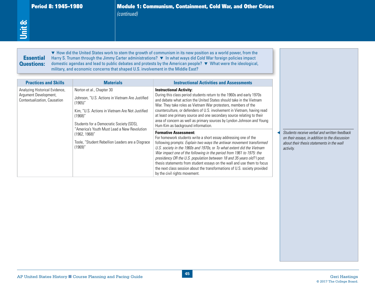Period 8: 1945–1980 Module 1: Communism, Containment, Cold War, and Other Crises *(continued)*

#### **Essential** Questions:

| <b>Essential</b><br><b>Questions:</b>                                                                                  | military, and economic concerns that shaped U.S. involvement in the Middle East?                                                                                                                                                                                                                                                                           | • How did the United States work to stem the growth of communism in its new position as a world power, from the<br>Harry S. Truman through the Jimmy Carter administrations? ▼ In what ways did Cold War foreign policies impact<br>domestic agendas and lead to public debates and protests by the American people? ▼ What were the ideological,                                                                                                                                                                                                                                                                                                                                                                                                                                                                                                                                                                                                                                                                                                                                                                                                                        |                                                                                                                                                          |
|------------------------------------------------------------------------------------------------------------------------|------------------------------------------------------------------------------------------------------------------------------------------------------------------------------------------------------------------------------------------------------------------------------------------------------------------------------------------------------------|--------------------------------------------------------------------------------------------------------------------------------------------------------------------------------------------------------------------------------------------------------------------------------------------------------------------------------------------------------------------------------------------------------------------------------------------------------------------------------------------------------------------------------------------------------------------------------------------------------------------------------------------------------------------------------------------------------------------------------------------------------------------------------------------------------------------------------------------------------------------------------------------------------------------------------------------------------------------------------------------------------------------------------------------------------------------------------------------------------------------------------------------------------------------------|----------------------------------------------------------------------------------------------------------------------------------------------------------|
| <b>Practices and Skills</b><br>Analyzing Historical Evidence,<br>Argument Development,<br>Contextualization, Causation | <b>Materials</b><br>Norton et al., Chapter 30<br>Johnson, "U.S. Actions in Vietnam Are Justified<br>(1965)'<br>Kim, "U.S. Actions in Vietnam Are Not Justified<br>$(1968)$ "<br>Students for a Democratic Society (SDS),<br>"America's Youth Must Lead a New Revolution<br>$(1962, 1968)$ "<br>Toole, "Student Rebellion Leaders are a Disgrace<br>(1969)' | <b>Instructional Activities and Assessments</b><br><b>Instructional Activity:</b><br>During this class period students return to the 1960s and early 1970s<br>and debate what action the United States should take in the Vietnam<br>War. They take roles as Vietnam War protesters, members of the<br>counterculture, or defenders of U.S. involvement in Vietnam, having read<br>at least one primary source and one secondary source relating to their<br>area of concern as well as primary sources by Lyndon Johnson and Young<br>Hum Kim as background information.<br><b>Formative Assessment:</b><br>For homework students write a short essay addressing one of the<br>following prompts: Explain two ways the antiwar movement transformed<br>U.S. society in the 1960s and 1970s, or To what extent did the Vietnam<br>War impact one of the following in the period from 1961 to 1975: the<br>presidency OR the U.S. population between 18 and 35 years old? I post<br>thesis statements from student essays on the wall and use them to focus<br>the next class session about the transformations of U.S. society provided<br>by the civil rights movement. | Students receive verbal and written feedback<br>on their essays, in addition to the discussion<br>about their thesis statements in the wall<br>activity. |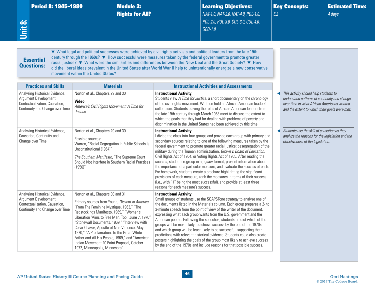<span id="page-50-0"></span>

| Period 8: 1945-1980<br>Unit 8:                                                                                              |                                                                                                                                                                                                                                                                                                                                                                                                                                                                                                                | <b>Module 2:</b><br><b>Rights for All?</b> |                                                                       | <b>Learning Objectives:</b><br>NAT-1.0, NAT-2.0, NAT-4.0, POL-1.0,<br>POL-2.0, POL-3.0, CUL-3.0, CUL-4.0,<br>GEO-1.0<br>▼ What legal and political successes were achieved by civil rights activists and political leaders from the late 19th                                                                                                                                                                                                                                                                                                                                                                                                                                                                                                                                       | 8.2 | <b>Key Concepts:</b>                                                                                                                                                                 | <b>Estimated Time:</b><br>4 days |
|-----------------------------------------------------------------------------------------------------------------------------|----------------------------------------------------------------------------------------------------------------------------------------------------------------------------------------------------------------------------------------------------------------------------------------------------------------------------------------------------------------------------------------------------------------------------------------------------------------------------------------------------------------|--------------------------------------------|-----------------------------------------------------------------------|-------------------------------------------------------------------------------------------------------------------------------------------------------------------------------------------------------------------------------------------------------------------------------------------------------------------------------------------------------------------------------------------------------------------------------------------------------------------------------------------------------------------------------------------------------------------------------------------------------------------------------------------------------------------------------------------------------------------------------------------------------------------------------------|-----|--------------------------------------------------------------------------------------------------------------------------------------------------------------------------------------|----------------------------------|
| <b>Essential</b><br><b>Questions:</b>                                                                                       | movement within the United States?                                                                                                                                                                                                                                                                                                                                                                                                                                                                             |                                            |                                                                       | century through the 1960s? ▼ How successful were measures taken by the federal government to promote greater<br>racial justice? ▼ What were the similarities and differences between the New Deal and the Great Society? ▼ How<br>did the liberal ideas prevalent in the United States after World War II help to unintentionally energize a new conservative                                                                                                                                                                                                                                                                                                                                                                                                                       |     |                                                                                                                                                                                      |                                  |
| <b>Practices and Skills</b>                                                                                                 | <b>Materials</b>                                                                                                                                                                                                                                                                                                                                                                                                                                                                                               |                                            |                                                                       | <b>Instructional Activities and Assessments</b>                                                                                                                                                                                                                                                                                                                                                                                                                                                                                                                                                                                                                                                                                                                                     |     |                                                                                                                                                                                      |                                  |
| Analyzing Historical Evidence,<br>Argument Development,<br>Contextualization, Causation,<br>Continuity and Change over Time | Norton et al., Chapters 29 and 30<br><b>Video</b><br>America's Civil Rights Movement: A Time for<br>Justice                                                                                                                                                                                                                                                                                                                                                                                                    |                                            | <b>Instructional Activity:</b>                                        | Students view A Time for Justice, a short documentary on the chronology<br>of the civil rights movement. We then hold an African American leaders'<br>colloquium. Students playing the roles of African American leaders from<br>the late 19th century through March 1968 meet to discuss the extent to<br>which the goals that they had for dealing with problems of poverty and<br>discrimination in the United States had been achieved by this time.                                                                                                                                                                                                                                                                                                                            |     | This activity should help students to<br>understand patterns of continuity and change<br>over time in what African Americans wanted<br>and the extent to which their goals were met. |                                  |
| Analyzing Historical Evidence,<br>Causation, Continuity and<br>Change over Time                                             | Norton et al., Chapters 29 and 30<br>Possible sources:<br>Warren, "Racial Segregation in Public Schools Is<br>Unconstitutional (1954)"<br>The Southern Manifesto, "The Supreme Court<br>Should Not Interfere in Southern Racial Practices<br>(1956)'                                                                                                                                                                                                                                                           |                                            | <b>Instructional Activity:</b><br>reasons for each measure's success. | I divide the class into four groups and provide each group with primary and<br>secondary sources relating to one of the following measures taken by the<br>federal government to promote greater racial justice: desegregation of the<br>military during the Truman administration, Brown v. Board of Education,<br>Civil Rights Act of 1964, or Voting Rights Act of 1965. After reading the<br>sources, students regroup in a jigsaw format, present information about<br>the importance of a particular measure, and evaluate the success of each.<br>For homework, students create a brochure highlighting the significant<br>provisions of each measure, rank the measures in terms of their success<br>(i.e., with "1" being the most successful), and provide at least three |     | Students use the skill of causation as they<br>analyze the reasons for the legislation and the<br>effectiveness of the legislation.                                                  |                                  |
| Analyzing Historical Evidence,<br>Argument Development,<br>Contextualization, Causation,<br>Continuity and Change over Time | Norton et al., Chapters 30 and 31<br>Primary sources from Young, Dissent in America:<br>"From The Feminine Mystique, 1963," "The<br>Redstockings Manifesto, 1969," "Women's<br>Liberation 'Aims to Free Men, Too,' June 7, 1970'<br>"Stonewall Documents, 1969," "Interview with<br>Cesar Chavez, Apostle of Non-Violence, May<br>1970," "A Proclamation: To the Great White<br>Father and All His People, 1969," and "American<br>Indian Movement 20 Point Proposal, October<br>1972, Minneapolis, Minnesota" |                                            | <b>Instructional Activity:</b>                                        | Small groups of students use the SOAPSTone strategy to analyze one of<br>the documents listed in the Materials column. Each group prepares a 2- to<br>3-minute speech from the point of view of the writer of the document,<br>expressing what each group wants from the U.S. government and the<br>American people. Following the speeches, students predict which of the<br>groups will be most likely to achieve success by the end of the 1970s<br>and which group will be least likely to be successful, supporting their<br>predictions with relevant historical evidence. Students could also create<br>posters highlighting the goals of the group most likely to achieve success<br>by the end of the 1970s and include reasons for that possible success.                 |     |                                                                                                                                                                                      |                                  |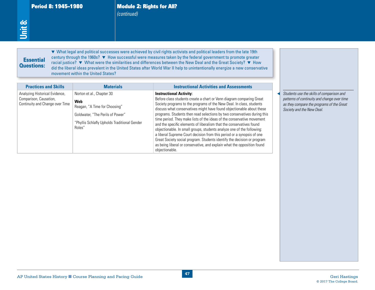Period 8: 1945-1980 **Module 2: Rights for All?** *(continued)*

# **Essential** Questions:

| <u>Unit 8:</u><br><b>Essential</b><br><b>Questions:</b>                                     | movement within the United States?                                                                                                                                     | ▼ What legal and political successes were achieved by civil rights activists and political leaders from the late 19th<br>century through the 1960s? ▼ How successful were measures taken by the federal government to promote greater<br>racial justice? ▼ What were the similarities and differences between the New Deal and the Great Society? ▼ How<br>did the liberal ideas prevalent in the United States after World War II help to unintentionally energize a new conservative                                                                                                                                                                                                                                                                                                                            |                                                                                                                                                                    |
|---------------------------------------------------------------------------------------------|------------------------------------------------------------------------------------------------------------------------------------------------------------------------|-------------------------------------------------------------------------------------------------------------------------------------------------------------------------------------------------------------------------------------------------------------------------------------------------------------------------------------------------------------------------------------------------------------------------------------------------------------------------------------------------------------------------------------------------------------------------------------------------------------------------------------------------------------------------------------------------------------------------------------------------------------------------------------------------------------------|--------------------------------------------------------------------------------------------------------------------------------------------------------------------|
| <b>Practices and Skills</b>                                                                 | <b>Materials</b>                                                                                                                                                       | <b>Instructional Activities and Assessments</b>                                                                                                                                                                                                                                                                                                                                                                                                                                                                                                                                                                                                                                                                                                                                                                   |                                                                                                                                                                    |
| Analyzing Historical Evidence,<br>Comparison, Causation,<br>Continuity and Change over Time | Norton et al., Chapter 30<br><b>Web</b><br>Reagan, "A Time for Choosing"<br>Goldwater, "The Perils of Power"<br>"Phyllis Schlafly Upholds Traditional Gender<br>Roles" | <b>Instructional Activity:</b><br>Before class students create a chart or Venn diagram comparing Great<br>Society programs to the programs of the New Deal. In class, students<br>discuss what conservatives might have found objectionable about these<br>programs. Students then read selections by two conservatives during this<br>time period. They make lists of the ideas of the conservative movement<br>and the specific elements of liberalism that the conservatives found<br>objectionable. In small groups, students analyze one of the following:<br>a liberal Supreme Court decision from this period or a synopsis of one<br>Great Society social program. Students identify the decision or program<br>as being liberal or conservative, and explain what the opposition found<br>objectionable. | Students use the skills of comparison and<br>patterns of continuity and change over time<br>as they compare the programs of the Great<br>Society and the New Deal. |
|                                                                                             | AP United States History Course Planning and Pacing Guide                                                                                                              | 47                                                                                                                                                                                                                                                                                                                                                                                                                                                                                                                                                                                                                                                                                                                                                                                                                | <b>Geri Hastings</b>                                                                                                                                               |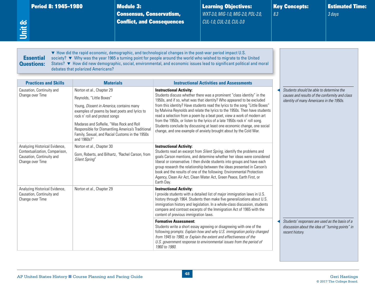Consensus, Conservatism, Conflict, and Consequences Learning Objectives: *WXT-3.0, MIG-1.0, MIG-2.0, POL-2.0, CUL-1.0, CUL-2.0, CUL-3.0*

Key Concepts: *8.3*

Estimated Time: *3 days*

#### <span id="page-52-0"></span>Essential Questions:

▼ How did the rapid economic, demographic, and technological changes in the post-war period impact U.S. society? ▼ Why was the year 1965 a turning point for people around the world who wished to migrate to the United States? ▼ How did new demographic, social, environmental, and economic issues lead to significant political and moral debates that polarized Americans?

| <b>Practices and Skills</b>                                                                                       | <b>Materials</b>                                                                                                                                                                                                                                                                                                                                       | <b>Instructional Activities and Assessments</b>                                                                                                                                                                                                                                                                                                                                                                                                                                                                                                                                                                                                          |                                                                                                                                        |
|-------------------------------------------------------------------------------------------------------------------|--------------------------------------------------------------------------------------------------------------------------------------------------------------------------------------------------------------------------------------------------------------------------------------------------------------------------------------------------------|----------------------------------------------------------------------------------------------------------------------------------------------------------------------------------------------------------------------------------------------------------------------------------------------------------------------------------------------------------------------------------------------------------------------------------------------------------------------------------------------------------------------------------------------------------------------------------------------------------------------------------------------------------|----------------------------------------------------------------------------------------------------------------------------------------|
| Causation, Continuity and<br>Change over Time                                                                     | Norton et al., Chapter 29<br>Reynolds, "Little Boxes"<br>Young, Dissent in America, contains many<br>examples of poems by beat poets and lyrics to<br>rock n' roll and protest songs<br>Madaras and SoRelle, "Was Rock and Roll<br>Responsible for Dismantling America's Traditional<br>Family, Sexual, and Racial Customs in the 1950s<br>and 1960s?" | <b>Instructional Activity:</b><br>Students discuss whether there was a prominent "class identity" in the<br>1950s, and if so, what was that identity? Who appeared to be excluded<br>from this identity? Have students read the lyrics to the song "Little Boxes"<br>by Malvina Reynolds and relate the lyrics to the 1950s. Then have students<br>read a selection from a poem by a beat poet, view a work of modern art<br>from the 1950s, or listen to the lyrics of a late 1950s rock n' roll song.<br>Students conclude by discussing at least one economic change, one social<br>change, and one example of anxiety brought about by the Cold War. | Students should be able to determine the<br>causes and results of the conformity and class<br>identity of many Americans in the 1950s. |
| Analyzing Historical Evidence,<br>Contextualization, Comparison,<br>Causation, Continuity and<br>Change over Time | Norton et al., Chapter 30<br>Gorn, Roberts, and Bilhartz, 'Rachel Carson, from<br><b>Silent Spring"</b>                                                                                                                                                                                                                                                | <b>Instructional Activity:</b><br>Students read an excerpt from Silent Spring, identify the problems and<br>goals Carson mentions, and determine whether her ideas were considered<br>liberal or conservative. I then divide students into groups and have each<br>group research the relationship between the ideas presented in Carson's<br>book and the results of one of the following: Environmental Protection<br>Agency, Clean Air Act, Clean Water Act, Green Peace, Earth First, or<br>Earth Day.                                                                                                                                               |                                                                                                                                        |
| Analyzing Historical Evidence,<br>Causation, Continuity and<br>Change over Time                                   | Norton et al., Chapter 29                                                                                                                                                                                                                                                                                                                              | <b>Instructional Activity:</b><br>I provide students with a detailed list of major immigration laws in U.S.<br>history through 1964. Students then make five generalizations about U.S.<br>immigration history and legislation. In a whole-class discussion, students<br>compare and contrast excerpts of the Immigration Act of 1965 with the<br>content of previous immigration laws.                                                                                                                                                                                                                                                                  |                                                                                                                                        |
|                                                                                                                   |                                                                                                                                                                                                                                                                                                                                                        | <b>Formative Assessment:</b><br>Students write a short essay agreeing or disagreeing with one of the<br>following prompts: Explain how and why U.S. immigration policy changed<br>from 1945 to 1980, or Explain the extent and effectiveness of the<br>U.S. government response to environmental issues from the period of<br>1960 to 1980.                                                                                                                                                                                                                                                                                                              | Students' responses are used as the basis of a<br>discussion about the idea of "turning points" in<br>recent history.                  |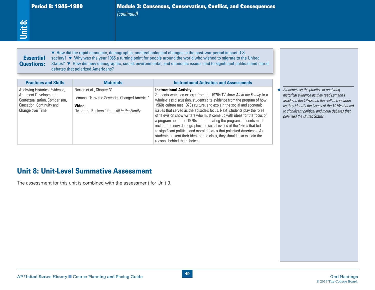*(continued)*

# **Essential**<br> **Questions:**

Period 8: 1945–1980 Module 3: Consensus, Conservatism, Conflict, and Consequences<br>
(continued)<br>
↓<br>
↓<br>
↓<br>
↓ Now did the rapid economic, demographic, and technological changes in the post-war period impact U.S.<br>
<br>
Questions ▼ How did the rapid economic, demographic, and technological changes in the post-war period impact U.S. society? ▼ Why was the year 1965 a turning point for people around the world who wished to migrate to the United States? ▼ How did new demographic, social, environmental, and economic issues lead to significant political and moral debates that polarized Americans?

| <b>Essential</b><br><b>Questions:</b>                                                                                                                                     | debates that polarized Americans?                                                                                                                                                                     | ▼ How did the rapid economic, demographic, and technological changes in the post-war period impact U.S.<br>society? ▼ Why was the year 1965 a turning point for people around the world who wished to migrate to the United<br>States? ▼ How did new demographic, social, environmental, and economic issues lead to significant political and moral                                                                                                                                                                                                                                                                                                                                                                                                                                                         |                                                                                                                                                                                                                                                                                |
|---------------------------------------------------------------------------------------------------------------------------------------------------------------------------|-------------------------------------------------------------------------------------------------------------------------------------------------------------------------------------------------------|--------------------------------------------------------------------------------------------------------------------------------------------------------------------------------------------------------------------------------------------------------------------------------------------------------------------------------------------------------------------------------------------------------------------------------------------------------------------------------------------------------------------------------------------------------------------------------------------------------------------------------------------------------------------------------------------------------------------------------------------------------------------------------------------------------------|--------------------------------------------------------------------------------------------------------------------------------------------------------------------------------------------------------------------------------------------------------------------------------|
| <b>Practices and Skills</b><br>Analyzing Historical Evidence,<br>Argument Development,<br>Contextualization, Comparison,<br>Causation, Continuity and<br>Change over Time | <b>Materials</b><br>Norton et al., Chapter 31<br>Lemann, "How the Seventies Changed America"<br>Video<br>"Meet the Bunkers," from All in the Family<br><b>Unit 8: Unit-Level Summative Assessment</b> | <b>Instructional Activities and Assessments</b><br><b>Instructional Activity:</b><br>Students watch an excerpt from the 1970s TV show All in the Family. In a<br>whole-class discussion, students cite evidence from the program of how<br>1960s culture met 1970s culture, and explain the social and economic<br>issues that served as the episode's focus. Next, students play the roles<br>of television show writers who must come up with ideas for the focus of<br>a program about the 1970s. In formulating the program, students must<br>include the new demographic and social issues of the 1970s that led<br>to significant political and moral debates that polarized Americans. As<br>students present their ideas to the class, they should also explain the<br>reasons behind their choices. | Students use the practice of analyzing<br>historical evidence as they read Lemann's<br>article on the 1970s and the skill of causation<br>as they identify the issues of the 1970s that led<br>to significant political and moral debates that<br>polarized the United States. |
|                                                                                                                                                                           | The assessment for this unit is combined with the assessment for Unit 9.                                                                                                                              |                                                                                                                                                                                                                                                                                                                                                                                                                                                                                                                                                                                                                                                                                                                                                                                                              |                                                                                                                                                                                                                                                                                |

# Unit 8: Unit-Level Summative Assessment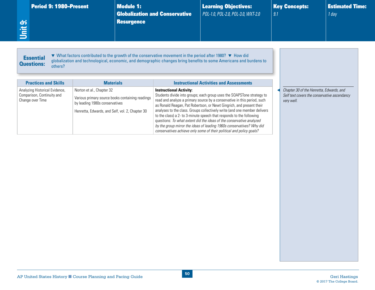<span id="page-54-0"></span>

| Period 9: 1980-Present<br>Unit 9:                                                | <b>Module 1:</b><br><b>Resurgence</b>                                                                                                                                                                                                               | <b>Globalization and Conservative</b> | <b>Learning Objectives:</b><br>POL-1.0, POL-2.0, POL-3.0, WXT-2.0                                                                                                                                                                                                                                                                                                                                                                                                                                                                                                                                        | 9.1 | <b>Key Concepts:</b>                                                                                   | <b>Estimated Time:</b><br>1 day |
|----------------------------------------------------------------------------------|-----------------------------------------------------------------------------------------------------------------------------------------------------------------------------------------------------------------------------------------------------|---------------------------------------|----------------------------------------------------------------------------------------------------------------------------------------------------------------------------------------------------------------------------------------------------------------------------------------------------------------------------------------------------------------------------------------------------------------------------------------------------------------------------------------------------------------------------------------------------------------------------------------------------------|-----|--------------------------------------------------------------------------------------------------------|---------------------------------|
| <b>Essential</b><br><b>Questions:</b><br>others?<br><b>Practices and Skills</b>  | ▼ What factors contributed to the growth of the conservative movement in the period after 1980? ▼ How did<br>globalization and technological, economic, and demographic changes bring benefits to some Americans and burdens to<br><b>Materials</b> |                                       | <b>Instructional Activities and Assessments</b>                                                                                                                                                                                                                                                                                                                                                                                                                                                                                                                                                          |     |                                                                                                        |                                 |
| Analyzing Historical Evidence,<br>Comparison, Continuity and<br>Change over Time | Norton et al., Chapter 32<br>Various primary source books containing readings<br>by leading 1980s conservatives<br>Henretta, Edwards, and Self, vol. 2, Chapter 30                                                                                  | <b>Instructional Activity:</b>        | Students divide into groups; each group uses the SOAPSTone strategy to<br>read and analyze a primary source by a conservative in this period, such<br>as Ronald Reagan, Pat Robertson, or Newt Gingrich, and present their<br>analyses to the class. Groups collectively write (and one member delivers<br>to the class) a 2- to 3-minute speech that responds to the following<br>questions: To what extent did the ideas of the conservative analyzed<br>by the group mirror the ideas of leading 1960s conservatives? Why did<br>conservatives achieve only some of their political and policy goals? |     | Chapter 30 of the Henretta, Edwards, and<br>Self text covers the conservative ascendancy<br>very well. |                                 |
|                                                                                  |                                                                                                                                                                                                                                                     |                                       |                                                                                                                                                                                                                                                                                                                                                                                                                                                                                                                                                                                                          |     |                                                                                                        |                                 |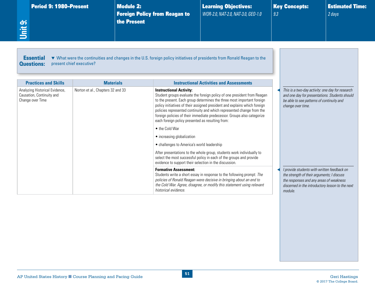<span id="page-55-0"></span>

| <b>Period 9: 1980-Present</b><br>Unit 9:                                        |                                                       | <b>Module 2:</b><br>the Present | <b>Foreign Policy from Reagan to</b>                               | <b>Learning Objectives:</b><br>WOR-2.0, NAT-2.0, NAT-3.0, GEO-1.0                                                                                                                                                                                                                                                                                                                  | 9.3 | <b>Key Concepts:</b>                                                                                                                                                                                | <b>Estimated Time:</b><br>2 days |
|---------------------------------------------------------------------------------|-------------------------------------------------------|---------------------------------|--------------------------------------------------------------------|------------------------------------------------------------------------------------------------------------------------------------------------------------------------------------------------------------------------------------------------------------------------------------------------------------------------------------------------------------------------------------|-----|-----------------------------------------------------------------------------------------------------------------------------------------------------------------------------------------------------|----------------------------------|
| <b>Essential</b><br><b>Questions:</b>                                           | present chief executive?                              |                                 |                                                                    | ▼ What were the continuities and changes in the U.S. foreign policy initiatives of presidents from Ronald Reagan to the                                                                                                                                                                                                                                                            |     |                                                                                                                                                                                                     |                                  |
| <b>Practices and Skills</b>                                                     | <b>Materials</b><br>Norton et al., Chapters 32 and 33 |                                 | <b>Instructional Activity:</b>                                     | <b>Instructional Activities and Assessments</b>                                                                                                                                                                                                                                                                                                                                    |     | This is a two-day activity: one day for research                                                                                                                                                    |                                  |
| Analyzing Historical Evidence,<br>Causation, Continuity and<br>Change over Time |                                                       |                                 | each foreign policy presented as resulting from:<br>• the Cold War | Student groups evaluate the foreign policy of one president from Reagan<br>to the present. Each group determines the three most important foreign<br>policy initiatives of their assigned president and explains which foreign<br>policies represented continuity and which represented change from the<br>foreign policies of their immediate predecessor. Groups also categorize |     | and one day for presentations. Students should<br>be able to see patterns of continuity and<br>change over time.                                                                                    |                                  |
|                                                                                 |                                                       |                                 | • increasing globalization                                         |                                                                                                                                                                                                                                                                                                                                                                                    |     |                                                                                                                                                                                                     |                                  |
|                                                                                 |                                                       |                                 | • challenges to America's world leadership                         |                                                                                                                                                                                                                                                                                                                                                                                    |     |                                                                                                                                                                                                     |                                  |
|                                                                                 |                                                       |                                 | evidence to support their selection in the discussion.             | After presentations to the whole group, students work individually to<br>select the most successful policy in each of the groups and provide                                                                                                                                                                                                                                       |     |                                                                                                                                                                                                     |                                  |
|                                                                                 |                                                       |                                 | <b>Formative Assessment:</b><br>historical evidence.               | Students write a short essay in response to the following prompt: The<br>policies of Ronald Reagan were decisive in bringing about an end to<br>the Cold War. Agree, disagree, or modify this statement using relevant                                                                                                                                                             |     | I provide students with written feedback on<br>the strength of their arguments; I discuss<br>the responses and any areas of weakness<br>discerned in the introductory lesson to the next<br>module. |                                  |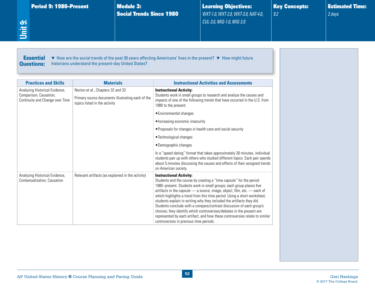<span id="page-56-0"></span>

| Period 9: 1980-Present<br>Unit 9:                                                           | <b>Module 3:</b>                                                                                                        | <b>Social Trends Since 1980</b>                        | <b>Learning Objectives:</b><br>WXT-1.0, WXT-2.0, WXT-3.0, NAT-4.0,<br>CUL-3.0, MIG-1.0, MIG-2.0                                                    | <b>Key Concepts:</b><br>9.2                                                |
|---------------------------------------------------------------------------------------------|-------------------------------------------------------------------------------------------------------------------------|--------------------------------------------------------|----------------------------------------------------------------------------------------------------------------------------------------------------|----------------------------------------------------------------------------|
| <b>Essential</b><br><b>Questions:</b>                                                       | historians understand the present-day United States?                                                                    |                                                        | ▼ How are the social trends of the past 30 years affecting Americans' lives in the present? ▼ How might future                                     |                                                                            |
| <b>Practices and Skills</b>                                                                 | <b>Materials</b>                                                                                                        |                                                        | <b>Instructional Activities and Assessments</b>                                                                                                    |                                                                            |
| Analyzing Historical Evidence,<br>Comparison, Causation,<br>Continuity and Change over Time | Norton et al., Chapters 32 and 33<br>Primary source documents illustrating each of the<br>topics listed in the activity | <b>Instructional Activity:</b><br>1980 to the present: | Students work in small groups to research and analyze the causes and<br>impacts of one of the following trends that have occurred in the U.S. from |                                                                            |
|                                                                                             |                                                                                                                         | • Environmental changes                                |                                                                                                                                                    |                                                                            |
|                                                                                             |                                                                                                                         | • Increasing economic insecurity                       |                                                                                                                                                    |                                                                            |
|                                                                                             |                                                                                                                         |                                                        | • Proposals for changes in health care and social security                                                                                         |                                                                            |
|                                                                                             |                                                                                                                         | • Technological changes                                |                                                                                                                                                    |                                                                            |
|                                                                                             |                                                                                                                         | •Demographic changes                                   |                                                                                                                                                    |                                                                            |
|                                                                                             |                                                                                                                         |                                                        |                                                                                                                                                    | In a "speed dating" format that takes approximately 30 minutes, individual |

|                                                                |                                                   | on American society.                                                                                                                                                                                                                                                                                                                                                                                                                                                                                                                                                                                                                                                                         |
|----------------------------------------------------------------|---------------------------------------------------|----------------------------------------------------------------------------------------------------------------------------------------------------------------------------------------------------------------------------------------------------------------------------------------------------------------------------------------------------------------------------------------------------------------------------------------------------------------------------------------------------------------------------------------------------------------------------------------------------------------------------------------------------------------------------------------------|
| Analyzing Historical Evidence,<br>Contextualization, Causation | Relevant artifacts (as explained in the activity) | <b>Instructional Activity:</b><br>Students end the course by creating a "time capsule" for the period<br>1980–present. Students work in small groups; each group places five<br>artifacts in the capsule $-$ a source, image, object, film, etc. $-$ each of<br>which highlights a trend from this time period. Using a short worksheet,<br>students explain in writing why they included the artifacts they did.<br>Students conclude with a compare/contrast discussion of each group's<br>choices; they identify which controversies/debates in the present are<br>represented by each artifact, and how these controversies relate to similar<br>controversies in previous time periods. |

Estimated Time:

*2 days*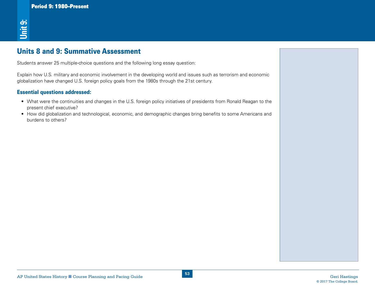# Units 8 and 9: Summative Assessment

Students answer 25 multiple-choice questions and the following long essay question:

AP<br>
AP United States History and The Manufacture and the Manufacture and the Manufacture and Pacing Course Planning<br>
Applications of the Manufacture and Pacing Guide Geri Hasting Guide Geri Hasting Guide Guide Guide Geri H Explain how U.S. military and economic involvement in the developing world and issues such as terrorism and economic globalization have changed U.S. foreign policy goals from the 1980s through the 21st century.

#### Essential questions addressed:

- What were the continuities and changes in the U.S. foreign policy initiatives of presidents from Ronald Reagan to the present chief executive?
- How did globalization and technological, economic, and demographic changes bring benefits to some Americans and burdens to others?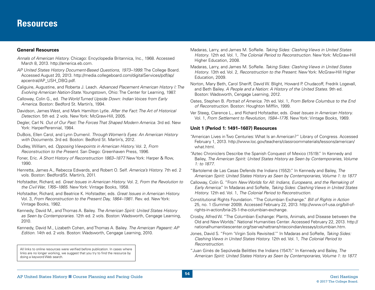#### <span id="page-58-0"></span>**General Resources**

- *Annals of American History.* Chicago: Encyclopedia Britannica, Inc., 1968. Accessed March 8, 2013. [http://america.eb.com.](http://america.eb.com)
- *AP United States History Document-Based Questions, 1973–1999*. The College Board. Accessed August 20, 2013. [http://media.collegeboard.com/digitalServices/pdf/ap/](http://media.collegeboard.com/digitalServices/pdf/ap/apcentral/AP_USH_DBQ.pdf) [apcentral/AP\\_USH\\_DBQ.pdf.](http://media.collegeboard.com/digitalServices/pdf/ap/apcentral/AP_USH_DBQ.pdf)
- Caliguire, Augustine, and Roberta J. Leach. *Advanced Placement American History I: The Evolving American Nation-State.* Youngstown, Ohio: The Center for Learning, 1987.
- Calloway, Colin G., ed. *The World Turned Upside Down: Indian Voices from Early America.* Boston: Bedford St. Martin's, 1994.
- Davidson, James West, and Mark Hamilton Lytle. *After the Fact: The Art of Historical Detection.* 5th ed. 2 vols. New York: McGraw-Hill, 2005.
- Degler, Carl N. *Out of Our Past: The Forces That Shaped Modern America*. 3rd ed. New York: HarperPerennial, 1984.
- DuBois, Ellen Carol, and Lynn Dumenil. *Through Women's Eyes: An American History with Documents.* 3rd ed. Boston: Bedford St. Martin's, 2012.
- Dudley, William, ed. *Opposing Viewpoints in American History.* Vol. 2, *From Reconstruction to the Present*. San Diego: Greenhaven Press, 1996.
- Foner, Eric. *A Short History of Reconstruction 1863–1877.* New York: Harper & Row, 1990.
- Henretta, James A., Rebecca Edwards, and Robert O. Self. *America's History.* 7th ed. 2 vols. Boston: Bedford/St. Martin's, 2011.
- Hofstadter, Richard, ed. *Great Issues in American History.* Vol. 2, *From the Revolution to the Civil War, 1765–1865*. New York: Vintage Books, 1958.
- Hofstadter, Richard, and Beatrice K. Hofstadter, eds. *Great Issues in American History.*  Vol. 3, *From Reconstruction to the Present Day, 1864–1981*. Rev. ed. New York: Vintage Books, 1982.
- Kennedy, David M., and Thomas A. Bailey. *The American Spirit: United States History as Seen by Contemporaries*. 12th ed. 2 vols. Boston: Wadsworth, Cengage Learning, 2010.
- Kennedy, David M., Lizabeth Cohen, and Thomas A. Bailey. *The American Pageant: AP Edition.* 14th ed. 2 vols. Boston: Wadsworth, Cengage Learning, 2010.

All links to online resources were verified before publication. In cases where links are no longer working, we suggest that you try to find the resource by doing a keyword Web search.

- Madaras, Larry, and James M. SoRelle. *Taking Sides: Clashing Views in United States History*. 12th ed. Vol. 1, *The Colonial Period to Reconstruction*. New York: McGraw-Hill Higher Education, 2008.
- Madaras, Larry, and James M. SoRelle. *Taking Sides: Clashing Views in United States History*. 13th ed. Vol. 2, *Reconstruction to the Present*. New York: McGraw-Hill Higher Education, 2009.
- Norton, Mary Beth, Carol Sheriff, David W. Blight, Howard P. Chudacoff, Fredrik Logevall, and Beth Bailey. *A People and a Nation: A History of the United States*. 9th ed. Boston: Wadsworth, Cengage Learning, 2012.
- Oates, Stephen B. *Portrait of America.* 7th ed. Vol. 1, *From Before Columbus to the End of Reconstruction*. Boston: Houghton Mifflin, 1999.
- Ver Steeg, Clarence L., and Richard Hofstadter, eds. *Great Issues in American History.*  Vol. 1, *From Settlement to Revolution, 1584–1776*. New York: Vintage Books, 1969.

#### **Unit 1 (Period 1: 1491–1607) Resources**

- "American Lives in Two Centuries: What Is an American?" Library of Congress. Accessed February 1, 2013. [http://www.loc.gov/teachers/classroommaterials/lessons/american/](http://www.loc.gov/teachers/classroommaterials/lessons/american/what.html) [what.html.](http://www.loc.gov/teachers/classroommaterials/lessons/american/what.html)
- "Aztec Chroniclers Describe the Spanish Conquest of Mexico (1519)." In Kennedy and Bailey, *The American Spirit: United States History as Seen by Contemporaries, Volume 1: to 1877*.
- "Bartolemé de Las Casas Defends the Indians (1552)." In Kennedy and Bailey, *The American Spirit: United States History as Seen by Contemporaries, Volume 1: to 1877*
- Calloway, Colin G. "From *New Worlds for All: Indians, Europeans, and the Remaking of Early America*." In Madaras and SoRelle, *Taking Sides: Clashing Views in United States History.* 12th ed. Vol. 1, *The Colonial Period to Reconstruction*.
- Constitutional Rights Foundation. "The Columbian Exchange." *Bill of Rights in Action* 25, no. 1 (Summer 2009). Accessed February 22, 2013. [http://www.crf-usa.org/bill-of](http://www.crf-usa.org/bill-of-rights-in-action/bria-25-1-the-columbian-exchange)[rights-in-action/bria-](http://www.crf-usa.org/bill-of-rights-in-action/bria-25-1-the-columbian-exchange)25-1-the-columbian-exchange.
- Crosby, Alfred W. "The Columbian Exchange: Plants, Animals, and Disease between the Old and New Worlds." National Humanities Center. Accessed February 22, 2013. [http://](http://nationalhumanitiescenter.org/tserve/nattrans/ntecoindian/essays/columbian.htm) [nationalhumanitiescenter.org/tserve/nattrans/ntecoindian/essays/columbian.htm.](http://nationalhumanitiescenter.org/tserve/nattrans/ntecoindian/essays/columbian.htm)
- Jones, David S. "From 'Virgin Soils Revisited.'" In Madaras and SoRelle, *Taking Sides: Clashing Views in United States History.* 12th ed. Vol. 1, *The Colonial Period to Reconstruction*.
- "Juan Ginés de Sepúlveda Belittles the Indians (1547)." In Kennedy and Bailey, *The American Spirit: United States History as Seen by Contemporaries, Volume 1: to 1877.*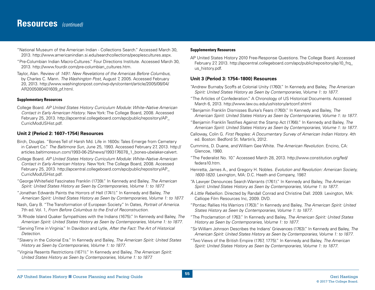- "National Museum of the American Indian Collections Search." Accessed March 30, 2013. [http://www.americanindian.si.edu/searchcollections/peoplescultures.aspx.](http://www.americanindian.si.edu/searchcollections/peoplescultures.aspx)
- "Pre-Columbian Indian Macro-Cultures." Four Directions Institute. Accessed March 30, 2013. [http://www.fourdir.com/pre-columbian\\_cultures.htm](http://www.fourdir.com/pre-columbian_cultures.htm).
- Taylor, Alan. Review of *1491: New Revelations of the Americas Before Columbus*, by Charles C. Mann. *The Washington Post*, August 7, 2005. Accessed February 20, 2013. [http://www.washingtonpost.com/wp-dyn/content/article/2005/08/04/](http://www.washingtonpost.com/wp-dyn/content/article/2005/08/04/AR2005080401609_pf.html) [AR2005080401609\\_pf.html.](http://www.washingtonpost.com/wp-dyn/content/article/2005/08/04/AR2005080401609_pf.html)

#### **Supplementary Resources**

College Board. *AP United States History Curriculum Module: White–Native American Contact in Early American History*. New York: The College Board, 2008. Accessed February 25, 2013. [http://apcentral.collegeboard.com/apc/public/repository/AP\\_](http://apcentral.collegeboard.com/apc/public/repository/AP_CurricModUSHist.pdf) [CurricModUSHist.pdf.](http://apcentral.collegeboard.com/apc/public/repository/AP_CurricModUSHist.pdf)

#### **Unit 2 (Period 2: 1607–1754) Resources**

- Birch, Douglas. "Bones Tell of Harsh Md. Life in 1600s: Tales Emerge from Cemetery in Calvert Co." *The Baltimore Sun*, June 25, 1993. Accessed February 27, 2013. [http://](http://articles.baltimoresun.com/1993-06-25/news/1993176078_1_bones-ubelaker-calvert) [articles.baltimoresun.com/1993-06-25/news/1993176078\\_1\\_bones-](http://articles.baltimoresun.com/1993-06-25/news/1993176078_1_bones-ubelaker-calvert)ubelaker-calvert.
- College Board. *AP United States History Curriculum Module: White–Native American Contact in Early American History*. New York: The College Board, 2008. Accessed February 25, 2013. [http://apcentral.collegeboard.com/apc/public/repository/AP\\_](http://apcentral.collegeboard.com/apc/public/repository/AP_CurricModUSHist.pdf) [CurricModUSHist.pdf.](http://apcentral.collegeboard.com/apc/public/repository/AP_CurricModUSHist.pdf)
- "George Whitefield Fascinates Franklin (1739)." In Kennedy and Bailey, *The American Spirit: United States History as Seen by Contemporaries, Volume 1: to 1877.*
- "Jonathan Edwards Paints the Horrors of Hell (1741)." In Kennedy and Bailey, *The American Spirit: United States History as Seen by Contemporaries, Volume 1: to 1877.*
- Nash, Gary B. "The Transformation of European Society." In Oates, *Portrait of America.* 7th ed. Vol. 1, *From Before Columbus to the End of Reconstruction*.
- "A Rhode Island Quaker Sympathizes with the Indians (1675)." In Kennedy and Bailey, *The American Spirit: United States History as Seen by Contemporaries, Volume 1: to 1877*.
- "Serving Time in Virginia." In Davidson and Lytle, *After the Fact: The Art of Historical Detection*.
- "Slavery in the Colonial Era." In Kennedy and Bailey, *The American Spirit: United States History as Seen by Contemporaries, Volume 1: to 1877*.
- "Virginia Resents Restrictions (1671)." In Kennedy and Bailey, *The American Spirit: United States History as Seen by Contemporaries, Volume 1: to 1877.*

#### **Supplementary Resources**

AP United States History 2010 Free-Response Questions. The College Board. Accessed February 27, 2013. [http://apcentral.collegeboard.com/apc/public/repository/ap10\\_frq\\_](http://apcentral.collegeboard.com/apc/public/repository/ap10_frq_us_history.pdf) [us\\_history.pdf.](http://apcentral.collegeboard.com/apc/public/repository/ap10_frq_us_history.pdf)

#### **Unit 3 (Period 3: 1754–1800) Resources**

- "Andrew Burnaby Scoffs at Colonial Unity (1760)." In Kennedy and Bailey, *The American Spirit: United States History as Seen by Contemporaries, Volume 1: to 1877*.
- "The Articles of Confederation." A Chronology of US Historical Documents. Accessed March 6, 2013.<http://www.law.ou.edu/ushistory/artconf.shtml>
- "Benjamin Franklin Dismisses Burke's Fears (1760)." In Kennedy and Bailey, *The American Spirit: United States History as Seen by Contemporaries, Volume 1: to 1877*.
- "Benjamin Franklin Testifies Against the Stamp Act (1766)." In Kennedy and Bailey, *The American Spirit: United States History as Seen by Contemporaries, Volume 1: to 1877*.
- Calloway, Colin G. *First Peoples: A Documentary Survey of American Indian History*. 4th ed. Boston: Bedford St. Martin's, 2012.
- Cummins, D. Duane, and William Gee White. *The American Revolution.* Encino, CA: Glencoe, 1980.
- "The Federalist No. 10." Accessed March 28, 2013. [http://www.constitution.org/fed/](http://www.constitution.org/fed/federa10.htm) [federa10.htm.](http://www.constitution.org/fed/federa10.htm)
- Henretta, James A., and Gregory H. Nobles. *Evolution and Revolution: American Society, 1600-1820*. Lexington, MA: D.C. Heath and Company, 1987.
- "A Lawyer Denounces Search Warrants (1761)." In Kennedy and Bailey, *The American Spirit: United States History as Seen by Contemporaries, Volume 1: to 1877*.
- *A Little Rebellion.* Directed by Randall Conrad and Christine Dall. 2009. Lexington, MA: Calliope Film Resources Inc, 2009. DVD.
- "Pontiac Rallies His Warriors (1763)." In Kennedy and Bailey, *The American Spirit: United States History as Seen by Contemporaries, Volume 1: to 1877*.
- "The Proclamation of 1763." In Kennedy and Bailey, *The American Spirit: United States History as Seen by Contemporaries, Volume 1: to 1877*.
- "Sir William Johnson Describes the Indians' Grievances (1763)." In Kennedy and Bailey, *The American Spirit: United States History as Seen by Contemporaries, Volume 1: to 1877*.
- "Two Views of the British Empire (1767, 1775)." In Kennedy and Bailey, *The American Spirit: United States History as Seen by Contemporaries, Volume 1: to 1877*.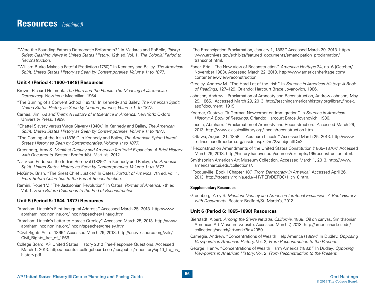# **Resources** *(continued)*

- "Were the Founding Fathers Democratic Reformers?" In Madaras and SoRelle, *Taking Sides: Clashing Views in United States History.* 12th ed. Vol. 1, *The Colonial Period to Reconstruction*.
- "William Burke Makes a Fateful Prediction (1760)." In Kennedy and Bailey, *The American Spirit: United States History as Seen by Contemporaries, Volume 1: to 1877*.

#### **Unit 4 (Period 4: 1800–1848) Resources**

- Brown, Richard Holbrook. *The Hero and the People: The Meaning of Jacksonian Democracy*. New York: Macmillan, 1964.
- "The Burning of a Convent School (1834)." In Kennedy and Bailey, *The American Spirit: United States History as Seen by Contemporaries, Volume 1: to 1877*.
- Carnes, Jim. *Us and Them: A History of Intolerance in America.* New York: Oxford University Press, 1999.
- "Chattel Slavery versus Wage Slavery (1840)." In Kennedy and Bailey, *The American Spirit: United States History as Seen by Contemporaries, Volume 1: to 1877*.
- "The Coming of the Irish (1836)." In Kennedy and Bailey, *The American Spirit: United States History as Seen by Contemporaries, Volume 1: to 1877*.
- Greenberg, Amy S. *Manifest Destiny and American Territorial Expansion: A Brief History with Documents*. Boston: Bedford/St. Martin's, 2012.
- "Jackson Endorses the Indian Removal (1829)." In Kennedy and Bailey, *The American Spirit: United States History as Seen by Contemporaries, Volume 1: to 1877*.
- McGinty, Brian. "The Great Chief Justice." In Oates, *Portrait of America.* 7th ed. Vol. 1, *From Before Columbus to the End of Reconstruction*.
- Remini, Robert V. "The Jacksonian Revolution." In Oates, *Portrait of America*. 7th ed. Vol. 1, *From Before Columbus to the End of Reconstruction*.

#### **Unit 5 (Period 5: 1844–1877) Resources**

- "Abraham Lincoln's First Inaugural Address." Accessed March 25, 2013. [http://www.](http://www.abrahamlincolnonline.org/lincoln/speeches/1inaug.htm) [abrahamlincolnonline.org/lincoln/speeches/1inaug.htm.](http://www.abrahamlincolnonline.org/lincoln/speeches/1inaug.htm)
- "Abraham Lincoln's Letter to Horace Greeley." Accessed March 25, 2013. [http://www.](http://www.abrahamlincolnonline.org/lincoln/speeches/greeley.htm) [abrahamlincolnonline.org/lincoln/speeches/greeley.htm](http://www.abrahamlincolnonline.org/lincoln/speeches/greeley.htm)
- "Civil Rights Act of 1866." Accessed March 29, 2013. [http://en.wikisource.org/wiki/](http://en.wikisource.org/wiki/Civil_Rights_Act_of_1866) [Civil\\_Rights\\_Act\\_of\\_1866](http://en.wikisource.org/wiki/Civil_Rights_Act_of_1866).
- College Board. AP United States History 2010 Free-Response Questions. Accessed March 1, 2013. http://apcentral.collegeboard.com/apc/public/repository/ap10\_frq\_us [history.pdf.](http://apcentral.collegeboard.com/apc/public/repository/ap10_frq_us_history.pdf)
- "The Emancipation Proclamation, January 1, 1863." Accessed March 29, 2013. [http://](http://www.archives.gov/exhibits/featured_documents/emancipation_proclamation/transcript.html) [www.archives.gov/exhibits/featured\\_documents/emancipation\\_proclamation/](http://www.archives.gov/exhibits/featured_documents/emancipation_proclamation/transcript.html) [transcript.html.](http://www.archives.gov/exhibits/featured_documents/emancipation_proclamation/transcript.html)
- Foner, Eric. "The New View of Reconstruction." *American Heritage* 34, no. 6 (October/ November 1983). Accessed March 22, 2013. [http://www.americanheritage.com/](http://www.americanheritage.com/content/new-view-reconstruction) [content/new-](http://www.americanheritage.com/content/new-view-reconstruction)view-reconstruction.
- Greeley, Andrew M. "The Hard Lot of the Irish." In *Sources in American History: A Book of Readings*, 127–129. Orlando: Harcourt Brace Jovanovich, 1986.
- Johnson, Andrew. "Proclamation of Amnesty and Reconstruction, Andrew Johnson, May 29, 1865." Accessed March 29, 2013. [http://teachingamericanhistory.org/library/index.](http://teachingamericanhistory.org/library/index.asp%3Fdocument%3D1919) [asp?document=1919.](http://teachingamericanhistory.org/library/index.asp%3Fdocument%3D1919)
- Koerner, Gustave. "A German Newcomer on Immigration." In *Sources in American History: A Book of Readings.* Orlando: Harcourt Brace Jovanovich, 1986.
- Lincoln, Abraham. "Proclamation of Amnesty and Reconstruction." Accessed March 29, 2013. [http://www.classicallibrary.org/lincoln/reconstruction.htm.](http://www.classicallibrary.org/lincoln/reconstruction.htm)
- "Ottawa, August 21, 1858 Abraham Lincoln." Accessed March 25, 2013. [http://www.](http://www.mrlincolnandfreedom.org/inside.asp%3FID%3D22%26subjectID%3D2) [mrlincolnandfreedom.org/inside.asp?ID=22&subjectID=2.](http://www.mrlincolnandfreedom.org/inside.asp%3FID%3D22%26subjectID%3D2)
- "Reconstruction Amendments of the United States Constitution (1865–1870)." Accessed March 29, 2013. [http://history.hanover.edu/courses/excerpts/165reconstruction.html.](http://history.hanover.edu/courses/excerpts/165reconstruction.html)
- Smithsonian American Art Museum Collection. Accessed March 1, 2013. [http://www.](http://www.americanart.si.edu/collections/) [americanart.si.edu/collections/](http://www.americanart.si.edu/collections/).
- "Tocqueville: Book I Chapter 18." (From *Democracy in America*.) Accessed April 26, 2013. [http://xroads.virginia.edu/~HYPER/DETOC/1\\_ch18.htm.](http://xroads.virginia.edu/~HYPER/DETOC/1_ch18.htm)

#### **Supplementary Resources**

Greenberg, Amy S. *Manifest Destiny and American Territorial Expansion: A Brief History with Documents*. Boston: Bedford/St. Martin's, 2012.

#### **Unit 6 (Period 6: 1865–1898) Resources**

- Bierstadt, Albert. *Among the Sierra Nevada, California*. 1868. Oil on canvas. Smithsonian American Art Museum website. Accessed March 7, 2013. [http://americanart.si.edu/](http://americanart.si.edu/collections/search/artwork/%3Fid%3D2059) [collections/search/artwork/?id=2059.](http://americanart.si.edu/collections/search/artwork/%3Fid%3D2059)
- Carnegie, Andrew. "Concentrations of Wealth Help America (1889)." In Dudley, *Opposing Viewpoints in American History*. Vol. 2, *From Reconstruction to the Present*.
- George, Henry. "Concentrations of Wealth Harm America (1883)." In Dudley, *Opposing Viewpoints in American History*. Vol. 2, *From Reconstruction to the Present*.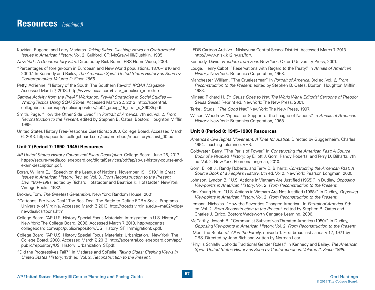# **Resources** *(continued)*

Kuzirian, Eugene, and Larry Madaras. *Taking Sides: Clashing Views on Controversial Issues in American History.* Vol. 2. Guilford, CT: McGraw-Hill/Dushkin, 1985.

*New York: A Documentary Film.* Directed by Rick Burns. PBS Home Video, 2001.

- "Percentages of foreign-born in European and New World populations, 1870–1910 and 2000." In Kennedy and Bailey, *The American Spirit: United States History as Seen by Contemporaries, Volume 2: Since 1865*.
- Petty, Adrienne. "History of the South: The Southern Revolt." *IPOAA Magazine*. Accessed March 7, 2013. [http://www.ipoaa.com/black\\_populism\\_intro.htm.](http://www.ipoaa.com/black_populism_intro.htm)
- *Sample Activity from the Pre-AP Workshop: Pre-AP Strategies in Social Studies Writing Tactics Using SOAPSTone.* Accessed March 22, 2013. [http://apcentral.](http://apcentral.collegeboard.com/apc/public/repository/ap04_preap_15_strat_s_36085.pdf) [collegeboard.com/apc/public/repository/ap04\\_preap\\_15\\_strat\\_s\\_36085.pdf.](http://apcentral.collegeboard.com/apc/public/repository/ap04_preap_15_strat_s_36085.pdf)
- Smith, Page. "How the Other Side Lived." In *Portrait of America.* 7th ed. Vol. 2, *From Reconstruction to the Present*, edited by Stephen B. Oates. Boston: Houghton Mifflin, 1999.
- United States History Free-Response Questions: 2000. College Board. Accessed March 6, 2013. [http://apcentral.collegeboard.com/apc/members/repository/ushist\\_00.pdf.](http://apcentral.collegeboard.com/apc/members/repository/ushist_00.pdf)

#### **Unit 7 (Period 7: 1890–1945) Resources**

- *AP United States History Course and Exam Description*. College Board. June 26, 2017. [https://secure-media.collegeboard.org/digitalServices/pdf/ap/ap-us-history-course-and](https://secure-media.collegeboard.org/digitalServices/pdf/ap/ap-us-history-course-and-exam-description.pdf)[exam-description.pdf](https://secure-media.collegeboard.org/digitalServices/pdf/ap/ap-us-history-course-and-exam-description.pdf).
- Borah, William E., "Speech on the League of Nations, November 19, 1919." In *Great Issues in American History*. Rev. ed. Vol. 3, *From Reconstruction to the Present Day, 1864–1981*, edited by Richard Hofstadter and Beatrice K. Hofstadter. New York: Vintage Books, 1982.
- Brokaw, Tom. *The Greatest Generation.* New York: Random House, 2001.
- "Cartoons: Pre-New Deal." The Real Deal: The Battle to Define FDR's Social Programs. University of Virginia. Accessed March 7, 2013. [http://xroads.virginia.edu/~ma02/volpe/](http://xroads.virginia.edu/~ma02/volpe/newdeal/cartoons.html) [newdeal/cartoons.html](http://xroads.virginia.edu/~ma02/volpe/newdeal/cartoons.html).
- College Board. "AP U.S. History Special Focus Materials: Immigration in U.S. History." New York: The College Board, 2006. Accessed March 7, 2013. [http://apcentral.](http://apcentral.collegeboard.com/apc/public/repository/US_History_SF_Immigration07.pdf) [collegeboard.com/apc/public/repository/US\\_History\\_SF\\_Immigration07.pdf.](http://apcentral.collegeboard.com/apc/public/repository/US_History_SF_Immigration07.pdf)
- College Board. "AP U.S. History Special Focus Materials: Urbanization." New York: The College Board, 2008. Accessed March 7, 2013. [http://apcentral.collegeboard.com/apc/](http://apcentral.collegeboard.com/apc/public/repository/US_History_Urbanization_SF.pdf) [public/repository/US\\_History\\_Urbanization\\_SF.pdf](http://apcentral.collegeboard.com/apc/public/repository/US_History_Urbanization_SF.pdf).
- "Did the Progressives Fail?" In Madaras and SoRelle, *Taking Sides: Clashing Views in United States History.* 13th ed. Vol. 2, *Reconstruction to the Present*.
- "FDR Cartoon Archive." Niskayuna Central School District. Accessed March 7, 2013. [http://www.nisk.k12.ny.us/fdr/](http://www.nisk.k12.ny.us/fdr).
- Kennedy, David. *Freedom from Fear.* New York: Oxford University Press, 2001.
- Lodge, Henry Cabot. "Reservations with Regard to the Treaty." In *Annals of American History.* New York: Britannica Corporation, 1968.
- Manchester, William. "The Cruelest Year." In *Portrait of America.* 3rd ed. Vol. *2*, *From Reconstruction to the Present*, edited by Stephen B. Oates. Boston: Houghton Mifflin, 1983.
- Minear, Richard H. *Dr. Seuss Goes to War: The World War II Editorial Cartoons of Theodor Seuss Geisel*. Reprint ed. New York: The New Press, 2001.
- Terkel, Studs. *"The Good War."* New York: The New Press, 1997.
- Wilson, Woodrow. "Appeal for Support of the League of Nations." In *Annals of American History.* New York: Britannica Corporation, 1968.

#### **Unit 8 (Period 8: 1945–1980) Resources**

- *America's Civil Rights Movement: A Time for Justice.* Directed by Guggenheim, Charles. 1994. Teaching Tolerance. VHS.
- Goldwater, Barry. "The Perils of Power." In *Constructing the American Past: A Source Book of a People's History*, by Elliott J. Gorn, Randy Roberts, and Terry D. Bilhartz. 7th ed. Vol. 2. New York: Pearson/Longman, 2010.
- Gorn, Elliott J., Randy Roberts, and Terry D. Bilhartz. *Constructing the American Past: A Source Book of a People's History*. 5th ed. Vol 2. New York: Pearson Longman, 2005.
- Johnson, Lyndon B. "U.S. Actions in Vietnam Are Justified (1965)." In Dudley, *Opposing Viewpoints in American History*. Vol. 2, *From Reconstruction to the Present*.
- Kim, Young Hum. "U.S. Actions in Vietnam Are Not Justified (1968)." In Dudley, *Opposing Viewpoints in American History*. Vol. 2, *From Reconstruction to the Present*.
- Lemann, Nicholas. "How the Seventies Changed America." In *Portrait of America*. 9th ed. Vol. 2, *From Reconstruction to the Present*, edited by Stephen B. Oates and Charles J. Errico. Boston: Wadsworth Cengage Learning, 2006.
- McCarthy, Joseph R. "Communist Subversives Threaten America (1950)." In Dudley, *Opposing Viewpoints in American History*. Vol. 2, *From Reconstruction to the Present*.
- "Meet the Bunkers." *All in the Family*, episode 1. First broadcast January 12, 1971 by CBS. Directed by John Rich and written by Norman Lear.
- "Phyllis Schlafly Upholds Traditional Gender Roles." In Kennedy and Bailey, *The American Spirit: United States History as Seen by Contemporaries, Volume 2: Since 1865*.